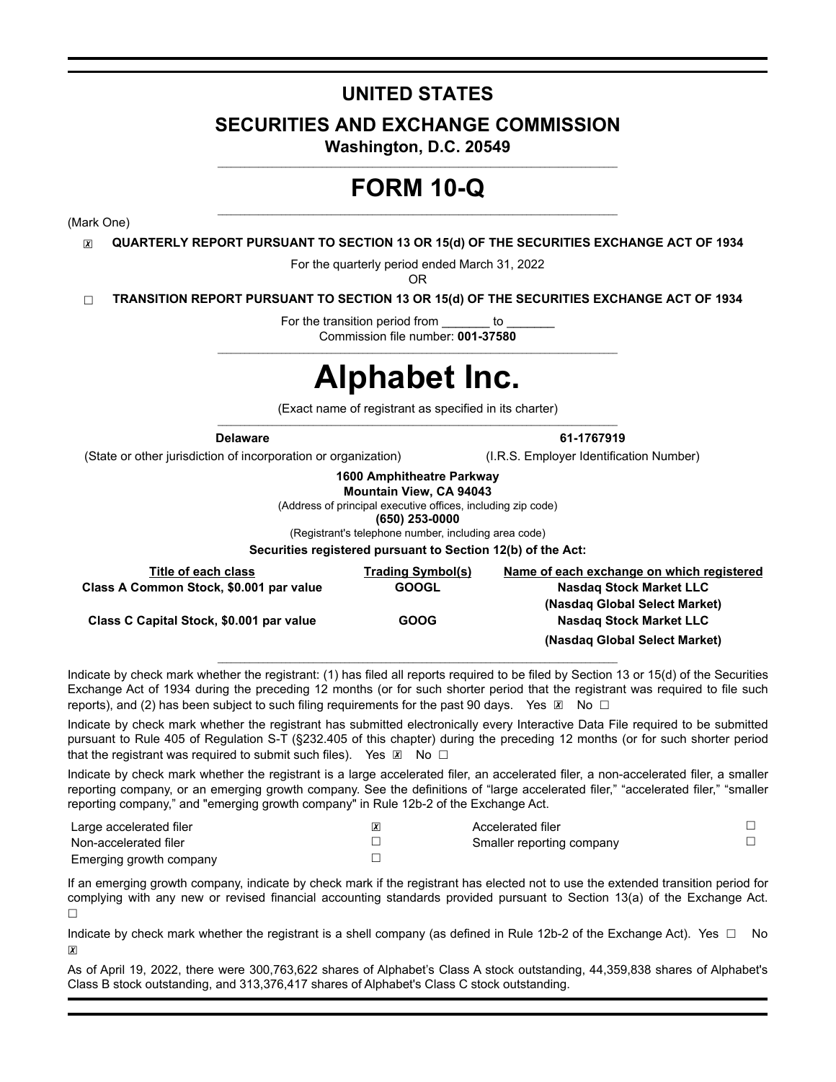# **UNITED STATES**

# **SECURITIES AND EXCHANGE COMMISSION**

**Washington, D.C. 20549**  $\mathcal{L}_\text{max}$ 

# **FORM 10-Q**

(Mark One)

☒ **QUARTERLY REPORT PURSUANT TO SECTION 13 OR 15(d) OF THE SECURITIES EXCHANGE ACT OF 1934**

For the quarterly period ended March 31, 2022

OR

☐ **TRANSITION REPORT PURSUANT TO SECTION 13 OR 15(d) OF THE SECURITIES EXCHANGE ACT OF 1934**

For the transition period from both Commission file number: **001-37580**

# **Alphabet Inc.**

(Exact name of registrant as specified in its charter)  $\mathcal{L}_\mathcal{L} = \{ \mathcal{L}_\mathcal{L} = \{ \mathcal{L}_\mathcal{L} = \{ \mathcal{L}_\mathcal{L} = \{ \mathcal{L}_\mathcal{L} = \{ \mathcal{L}_\mathcal{L} = \{ \mathcal{L}_\mathcal{L} = \{ \mathcal{L}_\mathcal{L} = \{ \mathcal{L}_\mathcal{L} = \{ \mathcal{L}_\mathcal{L} = \{ \mathcal{L}_\mathcal{L} = \{ \mathcal{L}_\mathcal{L} = \{ \mathcal{L}_\mathcal{L} = \{ \mathcal{L}_\mathcal{L} = \{ \mathcal{L}_\mathcal{$ 

(State or other jurisdiction of incorporation or organization) (I.R.S. Employer Identification Number)

**Delaware 61-1767919**

**1600 Amphitheatre Parkway**

**Mountain View, CA 94043**

(Address of principal executive offices, including zip code)

**(650) 253-0000**

(Registrant's telephone number, including area code)

**Securities registered pursuant to Section 12(b) of the Act:**

| Title of each class                      | <b>Trading Symbol(s)</b> | Name of each exchange on which registered |
|------------------------------------------|--------------------------|-------------------------------------------|
| Class A Common Stock, \$0.001 par value  | <b>GOOGL</b>             | <b>Nasdag Stock Market LLC</b>            |
|                                          |                          | (Nasdag Global Select Market)             |
| Class C Capital Stock, \$0.001 par value | <b>GOOG</b>              | <b>Nasdag Stock Market LLC</b>            |
|                                          |                          | (Nasdag Global Select Market)             |
|                                          |                          |                                           |

Indicate by check mark whether the registrant: (1) has filed all reports required to be filed by Section 13 or 15(d) of the Securities Exchange Act of 1934 during the preceding 12 months (or for such shorter period that the registrant was required to file such reports), and (2) has been subject to such filing requirements for the past 90 days. Yes  $\boxtimes$  No  $\Box$ 

Indicate by check mark whether the registrant has submitted electronically every Interactive Data File required to be submitted pursuant to Rule 405 of Regulation S-T (§232.405 of this chapter) during the preceding 12 months (or for such shorter period that the registrant was required to submit such files). Yes  $\boxtimes$  No  $\Box$ 

Indicate by check mark whether the registrant is a large accelerated filer, an accelerated filer, a non-accelerated filer, a smaller reporting company, or an emerging growth company. See the definitions of "large accelerated filer," "accelerated filer," "smaller reporting company," and "emerging growth company" in Rule 12b-2 of the Exchange Act.

| Large accelerated filer | Accelerated filer         |  |
|-------------------------|---------------------------|--|
| Non-accelerated filer   | Smaller reporting company |  |
| Emerging growth company |                           |  |

If an emerging growth company, indicate by check mark if the registrant has elected not to use the extended transition period for complying with any new or revised financial accounting standards provided pursuant to Section 13(a) of the Exchange Act.  $\Box$ 

Indicate by check mark whether the registrant is a shell company (as defined in Rule 12b-2 of the Exchange Act). Yes  $\Box$  No  $\overline{\mathbf{x}}$ 

As of April 19, 2022, there were 300,763,622 shares of Alphabet's Class A stock outstanding, 44,359,838 shares of Alphabet's Class B stock outstanding, and 313,376,417 shares of Alphabet's Class C stock outstanding.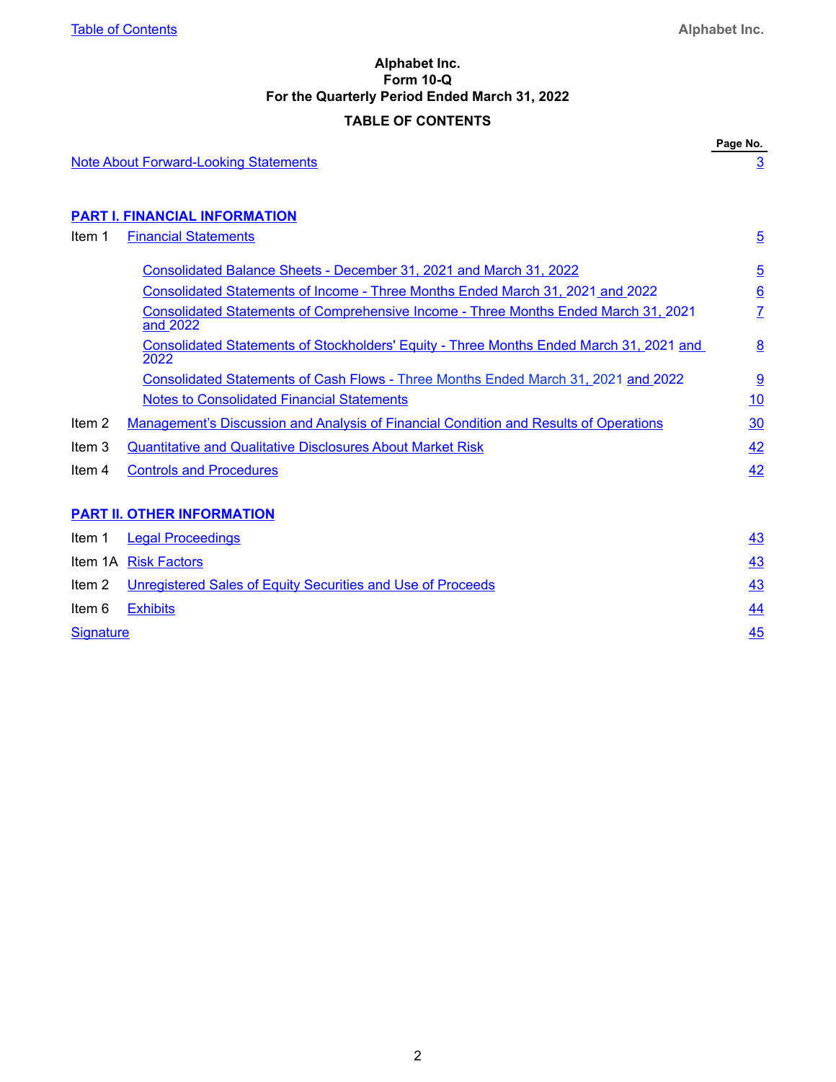# **Alphabet Inc. Form 10-Q For the Quarterly Period Ended March 31, 2022 TABLE OF CONTENTS**

<span id="page-1-0"></span>

|                  |                                                                                                 | Page No.        |
|------------------|-------------------------------------------------------------------------------------------------|-----------------|
|                  | <b>Note About Forward-Looking Statements</b>                                                    | $\overline{3}$  |
|                  | <b>PART I. FINANCIAL INFORMATION</b>                                                            |                 |
| Item 1           | <b>Financial Statements</b>                                                                     | $\overline{5}$  |
|                  |                                                                                                 |                 |
|                  | Consolidated Balance Sheets - December 31, 2021 and March 31, 2022                              | $\overline{5}$  |
|                  | Consolidated Statements of Income - Three Months Ended March 31, 2021 and 2022                  | $\underline{6}$ |
|                  | Consolidated Statements of Comprehensive Income - Three Months Ended March 31, 2021<br>and 2022 | $\overline{I}$  |
|                  | Consolidated Statements of Stockholders' Equity - Three Months Ended March 31, 2021 and<br>2022 | 8               |
|                  | Consolidated Statements of Cash Flows - Three Months Ended March 31, 2021 and 2022              | $\overline{9}$  |
|                  | <b>Notes to Consolidated Financial Statements</b>                                               | 10              |
| Item 2           | Management's Discussion and Analysis of Financial Condition and Results of Operations           | 30              |
| Item 3           | <b>Quantitative and Qualitative Disclosures About Market Risk</b>                               | 42              |
| Item 4           | <b>Controls and Procedures</b>                                                                  | 42              |
|                  | <b>PART II. OTHER INFORMATION</b>                                                               |                 |
| Item 1           | <b>Legal Proceedings</b>                                                                        | 43              |
|                  | Item 1A Risk Factors                                                                            | 43              |
| Item 2           | Unregistered Sales of Equity Securities and Use of Proceeds                                     | 43              |
| Item 6           | <b>Exhibits</b>                                                                                 | 44              |
| <b>Signature</b> |                                                                                                 | 45              |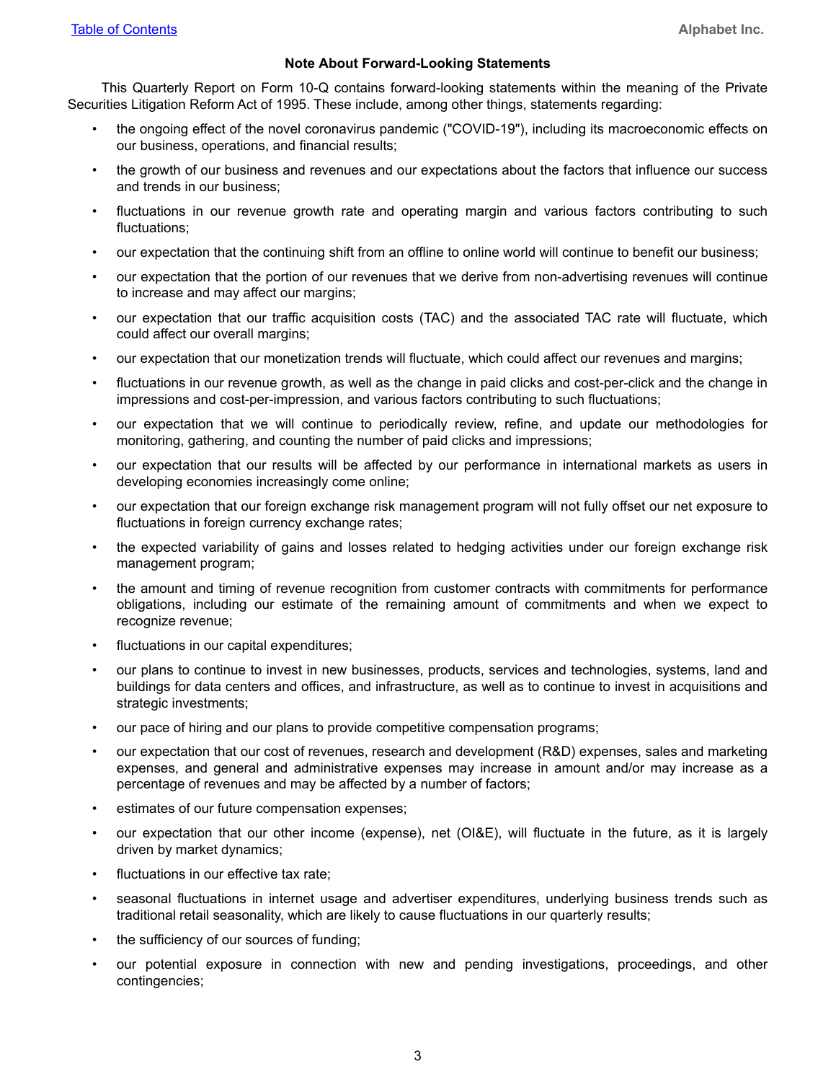#### **Note About Forward-Looking Statements**

<span id="page-2-0"></span>This Quarterly Report on Form 10-Q contains forward-looking statements within the meaning of the Private Securities Litigation Reform Act of 1995. These include, among other things, statements regarding:

- the ongoing effect of the novel coronavirus pandemic ("COVID-19"), including its macroeconomic effects on our business, operations, and financial results;
- the growth of our business and revenues and our expectations about the factors that influence our success and trends in our business;
- fluctuations in our revenue growth rate and operating margin and various factors contributing to such fluctuations;
- our expectation that the continuing shift from an offline to online world will continue to benefit our business;
- our expectation that the portion of our revenues that we derive from non-advertising revenues will continue to increase and may affect our margins;
- our expectation that our traffic acquisition costs (TAC) and the associated TAC rate will fluctuate, which could affect our overall margins;
- our expectation that our monetization trends will fluctuate, which could affect our revenues and margins;
- fluctuations in our revenue growth, as well as the change in paid clicks and cost-per-click and the change in impressions and cost-per-impression, and various factors contributing to such fluctuations;
- our expectation that we will continue to periodically review, refine, and update our methodologies for monitoring, gathering, and counting the number of paid clicks and impressions;
- our expectation that our results will be affected by our performance in international markets as users in developing economies increasingly come online;
- our expectation that our foreign exchange risk management program will not fully offset our net exposure to fluctuations in foreign currency exchange rates;
- the expected variability of gains and losses related to hedging activities under our foreign exchange risk management program;
- the amount and timing of revenue recognition from customer contracts with commitments for performance obligations, including our estimate of the remaining amount of commitments and when we expect to recognize revenue;
- fluctuations in our capital expenditures;
- our plans to continue to invest in new businesses, products, services and technologies, systems, land and buildings for data centers and offices, and infrastructure, as well as to continue to invest in acquisitions and strategic investments;
- our pace of hiring and our plans to provide competitive compensation programs;
- our expectation that our cost of revenues, research and development (R&D) expenses, sales and marketing expenses, and general and administrative expenses may increase in amount and/or may increase as a percentage of revenues and may be affected by a number of factors;
- estimates of our future compensation expenses;
- our expectation that our other income (expense), net (OI&E), will fluctuate in the future, as it is largely driven by market dynamics;
- fluctuations in our effective tax rate;
- seasonal fluctuations in internet usage and advertiser expenditures, underlying business trends such as traditional retail seasonality, which are likely to cause fluctuations in our quarterly results;
- the sufficiency of our sources of funding;
- our potential exposure in connection with new and pending investigations, proceedings, and other contingencies;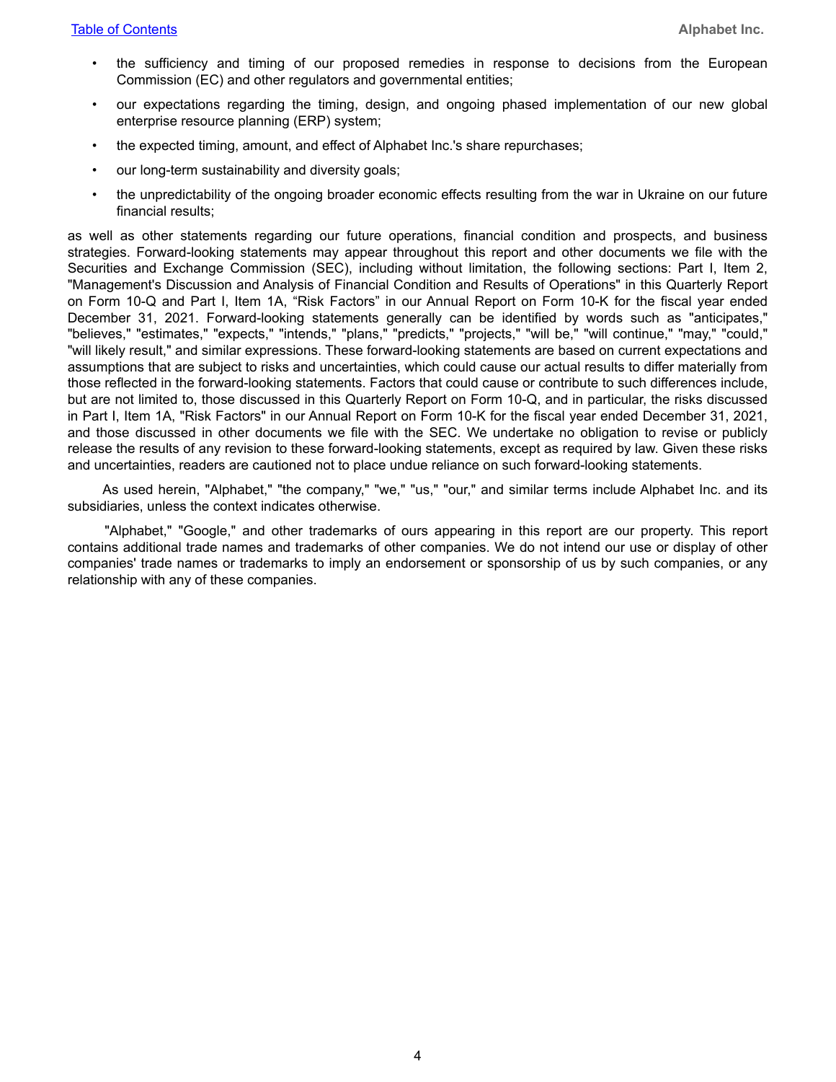- the sufficiency and timing of our proposed remedies in response to decisions from the European Commission (EC) and other regulators and governmental entities;
- our expectations regarding the timing, design, and ongoing phased implementation of our new global enterprise resource planning (ERP) system;
- the expected timing, amount, and effect of Alphabet Inc.'s share repurchases;
- our long-term sustainability and diversity goals;
- the unpredictability of the ongoing broader economic effects resulting from the war in Ukraine on our future financial results;

as well as other statements regarding our future operations, financial condition and prospects, and business strategies. Forward-looking statements may appear throughout this report and other documents we file with the Securities and Exchange Commission (SEC), including without limitation, the following sections: Part I, Item 2, "Management's Discussion and Analysis of Financial Condition and Results of Operations" in this Quarterly Report on Form 10-Q and Part I, Item 1A, "Risk Factors" in our Annual Report on Form 10-K for the fiscal year ended December 31, 2021. Forward-looking statements generally can be identified by words such as "anticipates," "believes," "estimates," "expects," "intends," "plans," "predicts," "projects," "will be," "will continue," "may," "could," "will likely result," and similar expressions. These forward-looking statements are based on current expectations and assumptions that are subject to risks and uncertainties, which could cause our actual results to differ materially from those reflected in the forward-looking statements. Factors that could cause or contribute to such differences include, but are not limited to, those discussed in this Quarterly Report on Form 10-Q, and in particular, the risks discussed in Part I, Item 1A, "Risk Factors" in our Annual Report on Form 10-K for the fiscal year ended December 31, 2021, and those discussed in other documents we file with the SEC. We undertake no obligation to revise or publicly release the results of any revision to these forward-looking statements, except as required by law. Given these risks and uncertainties, readers are cautioned not to place undue reliance on such forward-looking statements.

 As used herein, "Alphabet," "the company," "we," "us," "our," and similar terms include Alphabet Inc. and its subsidiaries, unless the context indicates otherwise.

 "Alphabet," "Google," and other trademarks of ours appearing in this report are our property. This report contains additional trade names and trademarks of other companies. We do not intend our use or display of other companies' trade names or trademarks to imply an endorsement or sponsorship of us by such companies, or any relationship with any of these companies.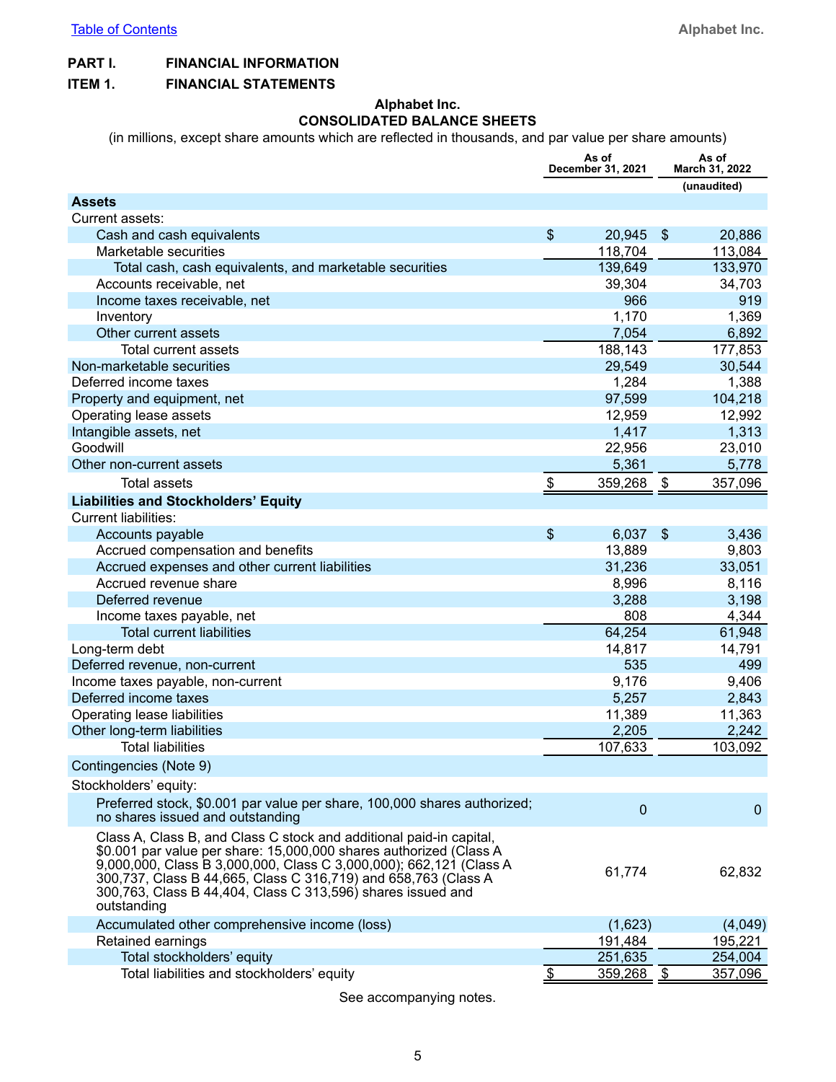### <span id="page-4-0"></span>**PART I. FINANCIAL INFORMATION**

#### **ITEM 1. FINANCIAL STATEMENTS**

#### **Alphabet Inc. CONSOLIDATED BALANCE SHEETS**

(in millions, except share amounts which are reflected in thousands, and par value per share amounts)

|                                                                                                                                                                                                                                                                                                                                                                 | As of<br>December 31, 2021 |                   |                         | As of<br>March 31, 2022 |
|-----------------------------------------------------------------------------------------------------------------------------------------------------------------------------------------------------------------------------------------------------------------------------------------------------------------------------------------------------------------|----------------------------|-------------------|-------------------------|-------------------------|
|                                                                                                                                                                                                                                                                                                                                                                 |                            |                   |                         | (unaudited)             |
| <b>Assets</b>                                                                                                                                                                                                                                                                                                                                                   |                            |                   |                         |                         |
| Current assets:                                                                                                                                                                                                                                                                                                                                                 |                            |                   |                         |                         |
| Cash and cash equivalents                                                                                                                                                                                                                                                                                                                                       | $\frac{1}{2}$              | 20,945            | $\sqrt[6]{3}$           | 20,886                  |
| Marketable securities                                                                                                                                                                                                                                                                                                                                           |                            | 118,704           |                         | 113,084                 |
| Total cash, cash equivalents, and marketable securities                                                                                                                                                                                                                                                                                                         |                            | 139,649           |                         | 133,970                 |
| Accounts receivable, net                                                                                                                                                                                                                                                                                                                                        |                            | 39,304            |                         | 34,703                  |
| Income taxes receivable, net                                                                                                                                                                                                                                                                                                                                    |                            | 966               |                         | 919                     |
| Inventory                                                                                                                                                                                                                                                                                                                                                       |                            | 1,170             |                         | 1,369                   |
| Other current assets                                                                                                                                                                                                                                                                                                                                            |                            | 7,054             |                         | 6,892                   |
| Total current assets                                                                                                                                                                                                                                                                                                                                            |                            | 188,143           |                         | 177,853                 |
| Non-marketable securities                                                                                                                                                                                                                                                                                                                                       |                            | 29,549            |                         | 30,544                  |
| Deferred income taxes                                                                                                                                                                                                                                                                                                                                           |                            | 1,284             |                         | 1,388                   |
| Property and equipment, net                                                                                                                                                                                                                                                                                                                                     |                            | 97,599            |                         | 104,218                 |
| Operating lease assets                                                                                                                                                                                                                                                                                                                                          |                            | 12,959            |                         | 12,992                  |
| Intangible assets, net                                                                                                                                                                                                                                                                                                                                          |                            | 1,417             |                         | 1,313                   |
| Goodwill                                                                                                                                                                                                                                                                                                                                                        |                            | 22,956            |                         | 23,010                  |
| Other non-current assets                                                                                                                                                                                                                                                                                                                                        |                            | 5,361             |                         | 5,778                   |
| <b>Total assets</b>                                                                                                                                                                                                                                                                                                                                             | \$                         | 359,268           | \$                      | 357,096                 |
| <b>Liabilities and Stockholders' Equity</b>                                                                                                                                                                                                                                                                                                                     |                            |                   |                         |                         |
| <b>Current liabilities:</b>                                                                                                                                                                                                                                                                                                                                     |                            |                   |                         |                         |
| Accounts payable                                                                                                                                                                                                                                                                                                                                                | \$                         | 6,037             | $\sqrt[6]{\frac{1}{2}}$ | 3,436                   |
| Accrued compensation and benefits                                                                                                                                                                                                                                                                                                                               |                            | 13,889            |                         | 9,803                   |
| Accrued expenses and other current liabilities                                                                                                                                                                                                                                                                                                                  |                            | 31,236            |                         | 33,051                  |
| Accrued revenue share                                                                                                                                                                                                                                                                                                                                           |                            | 8,996             |                         | 8,116                   |
| Deferred revenue                                                                                                                                                                                                                                                                                                                                                |                            | 3,288             |                         | 3,198                   |
| Income taxes payable, net                                                                                                                                                                                                                                                                                                                                       |                            | 808               |                         | 4,344                   |
| <b>Total current liabilities</b>                                                                                                                                                                                                                                                                                                                                |                            | 64,254            |                         | 61,948                  |
| Long-term debt                                                                                                                                                                                                                                                                                                                                                  |                            | 14,817            |                         | 14,791                  |
| Deferred revenue, non-current                                                                                                                                                                                                                                                                                                                                   |                            | 535               |                         | 499                     |
| Income taxes payable, non-current                                                                                                                                                                                                                                                                                                                               |                            | 9,176             |                         | 9,406                   |
| Deferred income taxes                                                                                                                                                                                                                                                                                                                                           |                            | 5,257             |                         | 2,843                   |
| Operating lease liabilities                                                                                                                                                                                                                                                                                                                                     |                            | 11,389            |                         | 11,363                  |
| Other long-term liabilities                                                                                                                                                                                                                                                                                                                                     |                            | 2,205             |                         | 2,242                   |
| <b>Total liabilities</b>                                                                                                                                                                                                                                                                                                                                        |                            | 107,633           |                         | 103,092                 |
| Contingencies (Note 9)                                                                                                                                                                                                                                                                                                                                          |                            |                   |                         |                         |
| Stockholders' equity:                                                                                                                                                                                                                                                                                                                                           |                            |                   |                         |                         |
| Preferred stock, \$0.001 par value per share, 100,000 shares authorized;<br>no shares issued and outstanding                                                                                                                                                                                                                                                    |                            | $\mathbf 0$       |                         | $\mathbf{0}$            |
| Class A, Class B, and Class C stock and additional paid-in capital,<br>\$0.001 par value per share: 15,000,000 shares authorized (Class A<br>9,000,000, Class B 3,000,000, Class C 3,000,000); 662,121 (Class A<br>300,737, Class B 44,665, Class C 316,719) and 658,763 (Class A<br>300,763, Class B 44,404, Class C 313,596) shares issued and<br>outstanding |                            | 61,774            |                         | 62,832                  |
| Accumulated other comprehensive income (loss)                                                                                                                                                                                                                                                                                                                   |                            | (1,623)           |                         | (4,049)                 |
| Retained earnings                                                                                                                                                                                                                                                                                                                                               |                            | 191,484           |                         | 195,221                 |
| Total stockholders' equity                                                                                                                                                                                                                                                                                                                                      |                            | 251,635           |                         | 254,004                 |
| Total liabilities and stockholders' equity                                                                                                                                                                                                                                                                                                                      |                            | <u>359,268 \$</u> |                         | 357,096                 |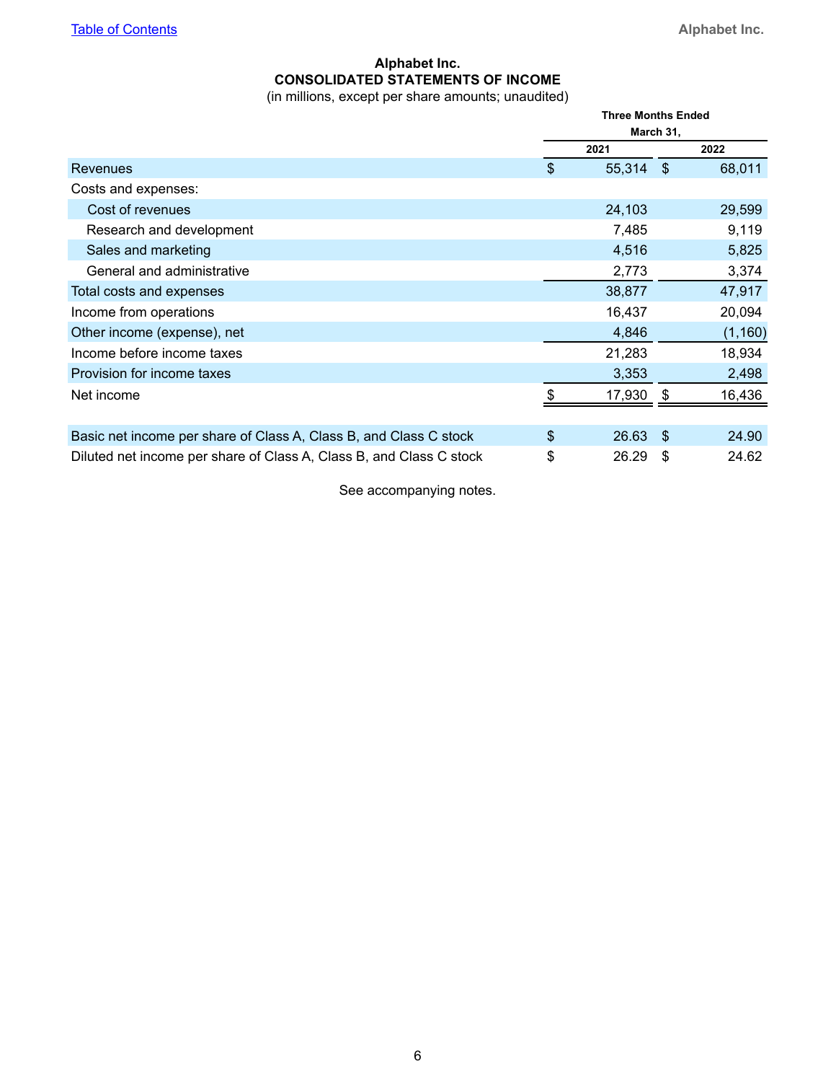# **Alphabet Inc. CONSOLIDATED STATEMENTS OF INCOME**

(in millions, except per share amounts; unaudited)

<span id="page-5-0"></span>

|                                                                     | <b>Three Months Ended</b><br>March 31, |      |          |  |
|---------------------------------------------------------------------|----------------------------------------|------|----------|--|
|                                                                     | 2021                                   |      | 2022     |  |
| Revenues                                                            | \$<br>55,314                           | - \$ | 68,011   |  |
| Costs and expenses:                                                 |                                        |      |          |  |
| Cost of revenues                                                    | 24,103                                 |      | 29,599   |  |
| Research and development                                            | 7,485                                  |      | 9,119    |  |
| Sales and marketing                                                 | 4,516                                  |      | 5,825    |  |
| General and administrative                                          | 2,773                                  |      | 3,374    |  |
| Total costs and expenses                                            | 38,877                                 |      | 47,917   |  |
| Income from operations                                              | 16,437                                 |      | 20,094   |  |
| Other income (expense), net                                         | 4,846                                  |      | (1, 160) |  |
| Income before income taxes                                          | 21,283                                 |      | 18,934   |  |
| Provision for income taxes                                          | 3,353                                  |      | 2,498    |  |
| Net income                                                          | \$<br>17,930                           | \$   | 16,436   |  |
|                                                                     |                                        |      |          |  |
| Basic net income per share of Class A, Class B, and Class C stock   | \$<br>26.63                            | -\$  | 24.90    |  |
| Diluted net income per share of Class A, Class B, and Class C stock | \$<br>26.29                            | \$   | 24.62    |  |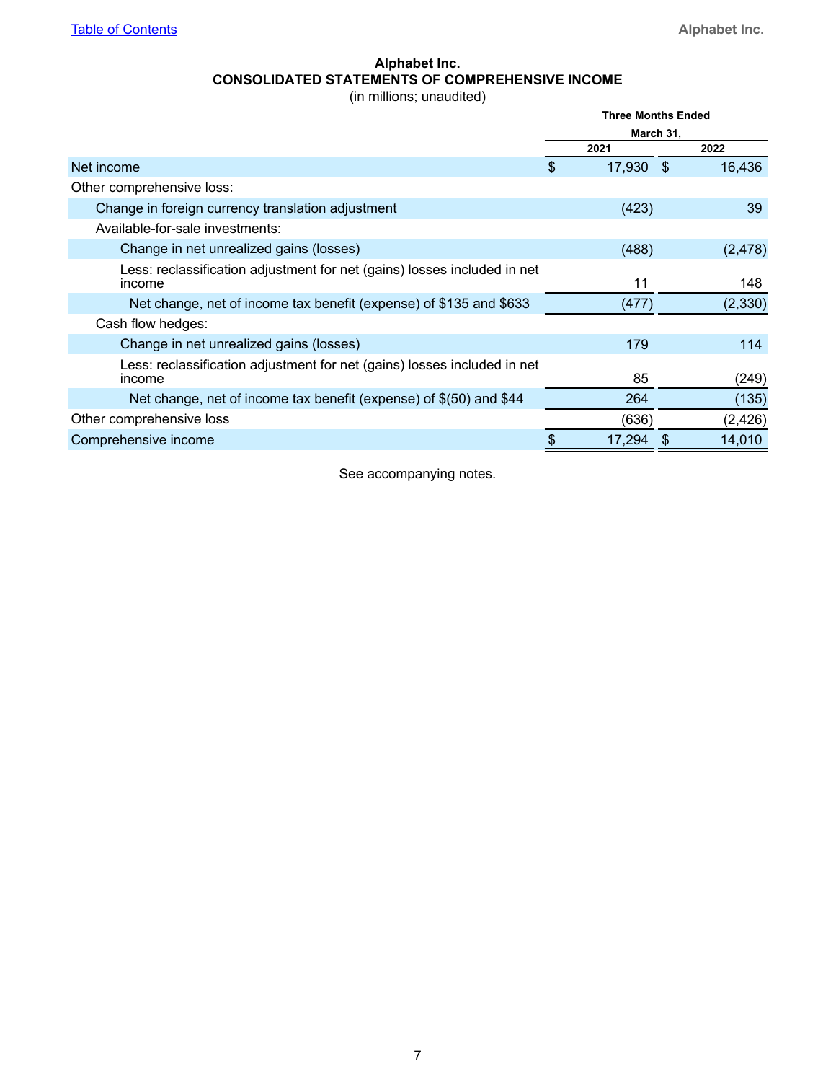# **Alphabet Inc. CONSOLIDATED STATEMENTS OF COMPREHENSIVE INCOME**

(in millions; unaudited)

<span id="page-6-0"></span>

|                                                                                    | <b>Three Months Ended</b> |      |          |
|------------------------------------------------------------------------------------|---------------------------|------|----------|
|                                                                                    | March 31,                 |      |          |
|                                                                                    | 2021                      |      | 2022     |
| Net income                                                                         | \$<br>17,930              | - \$ | 16,436   |
| Other comprehensive loss:                                                          |                           |      |          |
| Change in foreign currency translation adjustment                                  | (423)                     |      | 39       |
| Available-for-sale investments:                                                    |                           |      |          |
| Change in net unrealized gains (losses)                                            | (488)                     |      | (2, 478) |
| Less: reclassification adjustment for net (gains) losses included in net<br>income | 11                        |      | 148      |
| Net change, net of income tax benefit (expense) of \$135 and \$633                 | (477)                     |      | (2, 330) |
| Cash flow hedges:                                                                  |                           |      |          |
| Change in net unrealized gains (losses)                                            | 179                       |      | 114      |
| Less: reclassification adjustment for net (gains) losses included in net<br>income | 85                        |      | (249)    |
| Net change, net of income tax benefit (expense) of $$(50)$ and $§44$               | 264                       |      | (135)    |
| Other comprehensive loss                                                           | (636)                     |      | (2, 426) |
| Comprehensive income                                                               | 17,294                    |      | 14,010   |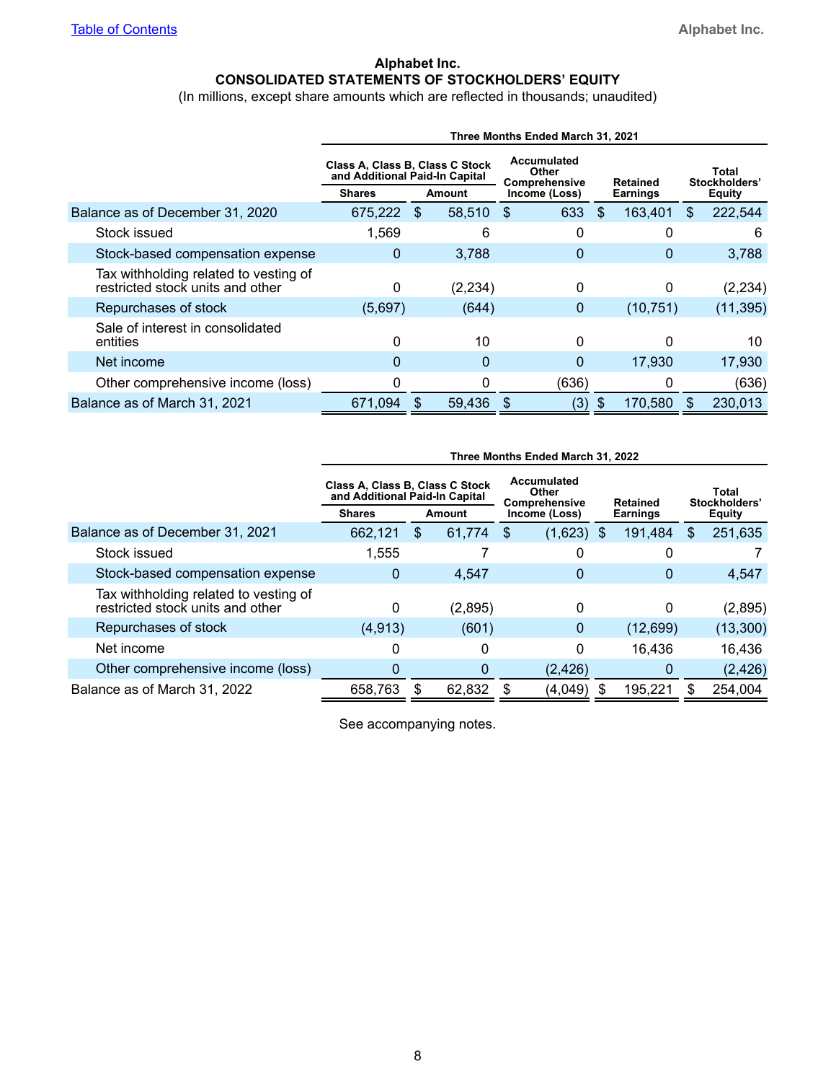### **Alphabet Inc. CONSOLIDATED STATEMENTS OF STOCKHOLDERS' EQUITY**

(In millions, except share amounts which are reflected in thousands; unaudited)

<span id="page-7-0"></span>

|                                                                           | Three Months Ended March 31, 2021                                 |     |                                              |               |                 |           |                        |               |  |  |  |
|---------------------------------------------------------------------------|-------------------------------------------------------------------|-----|----------------------------------------------|---------------|-----------------|-----------|------------------------|---------------|--|--|--|
|                                                                           | Class A, Class B, Class C Stock<br>and Additional Paid-In Capital |     | Accumulated<br><b>Other</b><br>Comprehensive |               | <b>Retained</b> |           | Total<br>Stockholders' |               |  |  |  |
|                                                                           | <b>Shares</b>                                                     |     | Amount                                       | Income (Loss) | Earnings        |           |                        | <b>Equity</b> |  |  |  |
| Balance as of December 31, 2020                                           | 675,222                                                           | \$. | 58,510                                       | 633<br>\$.    | \$.             | 163,401   | \$                     | 222,544       |  |  |  |
| Stock issued                                                              | 1,569                                                             |     | 6                                            | 0             |                 | 0         |                        | 6             |  |  |  |
| Stock-based compensation expense                                          | 0                                                                 |     | 3,788                                        | 0             |                 | 0         |                        | 3,788         |  |  |  |
| Tax withholding related to vesting of<br>restricted stock units and other | 0                                                                 |     | (2, 234)                                     | 0             |                 | 0         |                        | (2,234)       |  |  |  |
| Repurchases of stock                                                      | (5,697)                                                           |     | (644)                                        | 0             |                 | (10, 751) |                        | (11, 395)     |  |  |  |
| Sale of interest in consolidated<br>entities                              | 0                                                                 |     | 10                                           | 0             |                 | 0         |                        | 10            |  |  |  |
| Net income                                                                | 0                                                                 |     | 0                                            | 0             |                 | 17,930    |                        | 17,930        |  |  |  |
| Other comprehensive income (loss)                                         | 0                                                                 |     | $\Omega$                                     | (636)         |                 | 0         |                        | (636)         |  |  |  |
| Balance as of March 31, 2021                                              | 671,094                                                           |     | 59,436                                       | (3)<br>\$.    | S               | 170,580   | \$.                    | 230,013       |  |  |  |

|                                                                           | Three Months Ended March 31, 2022                                 |    |         |                                              |               |                 |           |    |                        |  |  |  |
|---------------------------------------------------------------------------|-------------------------------------------------------------------|----|---------|----------------------------------------------|---------------|-----------------|-----------|----|------------------------|--|--|--|
|                                                                           | Class A, Class B, Class C Stock<br>and Additional Paid-In Capital |    |         | <b>Accumulated</b><br>Other<br>Comprehensive |               |                 | Retained  |    | Total<br>Stockholders' |  |  |  |
|                                                                           | <b>Shares</b>                                                     |    | Amount  |                                              | Income (Loss) | <b>Earnings</b> |           |    | <b>Equity</b>          |  |  |  |
| Balance as of December 31, 2021                                           | 662,121                                                           | \$ | 61.774  | \$.                                          | $(1,623)$ \$  |                 | 191,484   | \$ | 251,635                |  |  |  |
| Stock issued                                                              | 1,555                                                             |    |         |                                              | 0             |                 |           |    |                        |  |  |  |
| Stock-based compensation expense                                          | 0                                                                 |    | 4.547   |                                              | 0             |                 | 0         |    | 4,547                  |  |  |  |
| Tax withholding related to vesting of<br>restricted stock units and other | 0                                                                 |    | (2,895) |                                              | 0             |                 | 0         |    | (2,895)                |  |  |  |
| Repurchases of stock                                                      | (4, 913)                                                          |    | (601)   |                                              | 0             |                 | (12, 699) |    | (13,300)               |  |  |  |
| Net income                                                                |                                                                   |    | 0       |                                              | 0             |                 | 16,436    |    | 16,436                 |  |  |  |
| Other comprehensive income (loss)                                         | 0                                                                 |    | 0       |                                              | (2, 426)      |                 | 0         |    | (2, 426)               |  |  |  |
| Balance as of March 31, 2022                                              | 658,763                                                           |    | 62,832  |                                              | (4,049)       |                 | 195,221   |    | 254,004                |  |  |  |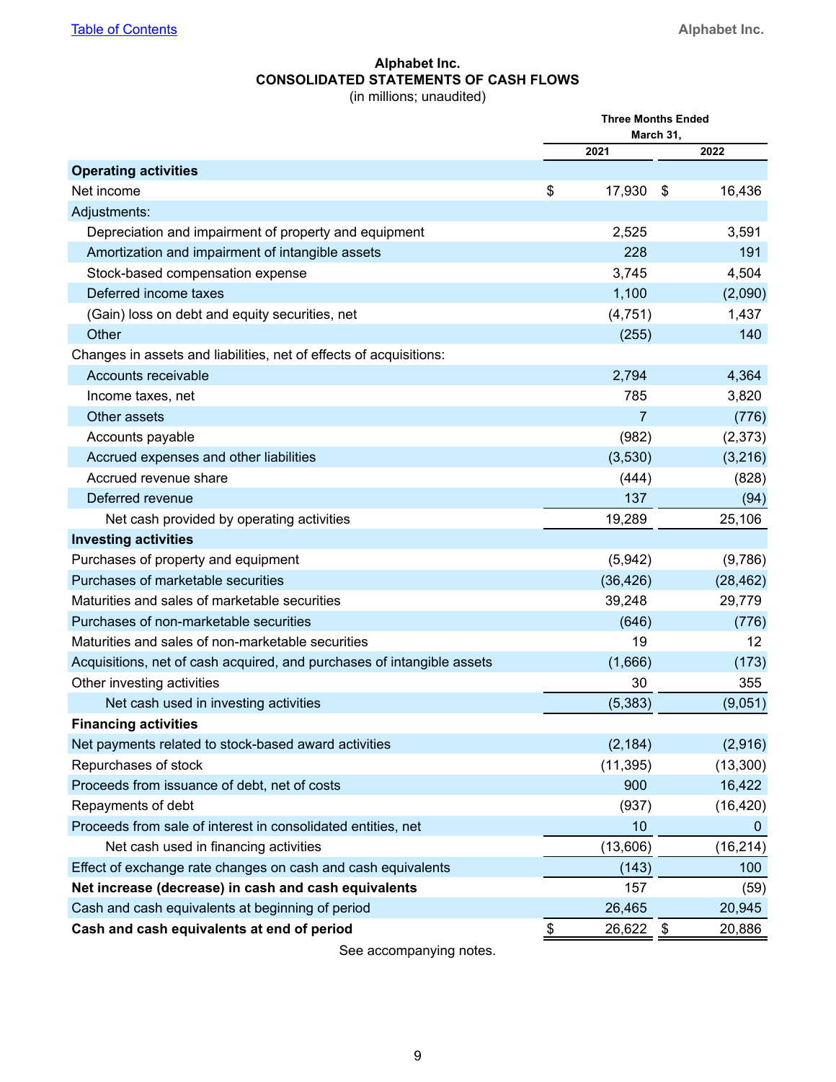#### **Alphabet Inc. CONSOLIDATED STATEMENTS OF CASH FLOWS** (in millions; unaudited)

<span id="page-8-0"></span>

|                                                                        | <b>Three Months Ended</b><br>March 31, |           |                   |  |
|------------------------------------------------------------------------|----------------------------------------|-----------|-------------------|--|
|                                                                        |                                        | 2021      | 2022              |  |
| <b>Operating activities</b>                                            |                                        |           |                   |  |
| Net income                                                             | \$                                     | 17,930    | \$<br>16,436      |  |
| Adjustments:                                                           |                                        |           |                   |  |
| Depreciation and impairment of property and equipment                  |                                        | 2,525     | 3,591             |  |
| Amortization and impairment of intangible assets                       |                                        | 228       | 191               |  |
| Stock-based compensation expense                                       |                                        | 3,745     | 4,504             |  |
| Deferred income taxes                                                  |                                        | 1,100     | (2,090)           |  |
| (Gain) loss on debt and equity securities, net                         |                                        | (4, 751)  | 1,437             |  |
| Other                                                                  |                                        | (255)     | 140               |  |
| Changes in assets and liabilities, net of effects of acquisitions:     |                                        |           |                   |  |
| Accounts receivable                                                    |                                        | 2,794     | 4,364             |  |
| Income taxes, net                                                      |                                        | 785       | 3,820             |  |
| Other assets                                                           |                                        | 7         | (776)             |  |
| Accounts payable                                                       |                                        | (982)     | (2,373)           |  |
| Accrued expenses and other liabilities                                 |                                        | (3,530)   | (3,216)           |  |
| Accrued revenue share                                                  |                                        | (444)     | (828)             |  |
| Deferred revenue                                                       |                                        | 137       | (94)              |  |
| Net cash provided by operating activities                              |                                        | 19,289    | 25,106            |  |
| <b>Investing activities</b>                                            |                                        |           |                   |  |
| Purchases of property and equipment                                    |                                        | (5,942)   | (9,786)           |  |
| Purchases of marketable securities                                     |                                        | (36, 426) | (28, 462)         |  |
| Maturities and sales of marketable securities                          |                                        | 39,248    | 29,779            |  |
| Purchases of non-marketable securities                                 |                                        | (646)     | (776)             |  |
| Maturities and sales of non-marketable securities                      |                                        | 19        | $12 \overline{ }$ |  |
| Acquisitions, net of cash acquired, and purchases of intangible assets |                                        | (1,666)   | (173)             |  |
| Other investing activities                                             |                                        | 30        | 355               |  |
| Net cash used in investing activities                                  |                                        | (5, 383)  | (9,051)           |  |
| <b>Financing activities</b>                                            |                                        |           |                   |  |
| Net payments related to stock-based award activities                   |                                        | (2, 184)  | (2,916)           |  |
| Repurchases of stock                                                   |                                        | (11, 395) | (13,300)          |  |
| Proceeds from issuance of debt, net of costs                           |                                        | 900       | 16,422            |  |
| Repayments of debt                                                     |                                        | (937)     | (16, 420)         |  |
| Proceeds from sale of interest in consolidated entities, net           |                                        | 10        | $\boldsymbol{0}$  |  |
| Net cash used in financing activities                                  |                                        | (13,606)  | (16, 214)         |  |
| Effect of exchange rate changes on cash and cash equivalents           |                                        | (143)     | 100               |  |
| Net increase (decrease) in cash and cash equivalents                   |                                        | 157       | (59)              |  |
| Cash and cash equivalents at beginning of period                       |                                        | 26,465    | 20,945            |  |
| Cash and cash equivalents at end of period                             | \$                                     | 26,622    | 20,886<br>\$      |  |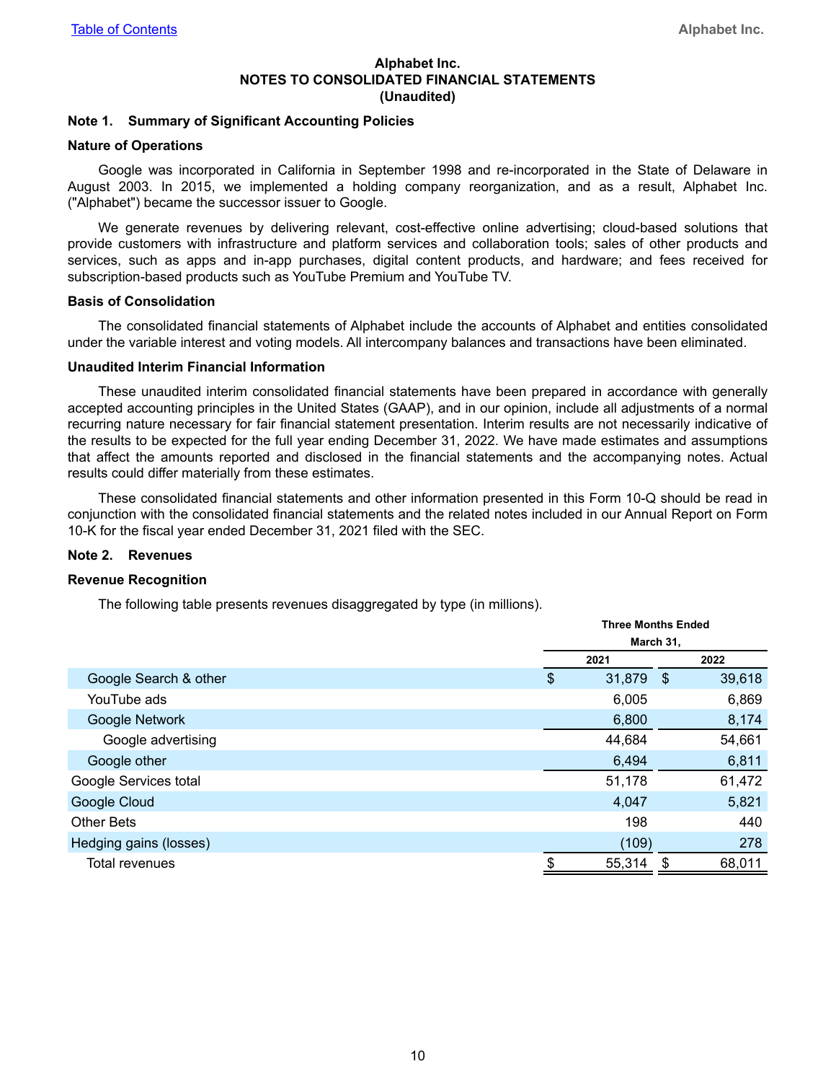#### **Alphabet Inc. NOTES TO CONSOLIDATED FINANCIAL STATEMENTS (Unaudited)**

#### <span id="page-9-0"></span>**Note 1. Summary of Significant Accounting Policies**

#### **Nature of Operations**

Google was incorporated in California in September 1998 and re-incorporated in the State of Delaware in August 2003. In 2015, we implemented a holding company reorganization, and as a result, Alphabet Inc. ("Alphabet") became the successor issuer to Google.

We generate revenues by delivering relevant, cost-effective online advertising; cloud-based solutions that provide customers with infrastructure and platform services and collaboration tools; sales of other products and services, such as apps and in-app purchases, digital content products, and hardware; and fees received for subscription-based products such as YouTube Premium and YouTube TV.

#### **Basis of Consolidation**

The consolidated financial statements of Alphabet include the accounts of Alphabet and entities consolidated under the variable interest and voting models. All intercompany balances and transactions have been eliminated.

#### **Unaudited Interim Financial Information**

These unaudited interim consolidated financial statements have been prepared in accordance with generally accepted accounting principles in the United States (GAAP), and in our opinion, include all adjustments of a normal recurring nature necessary for fair financial statement presentation. Interim results are not necessarily indicative of the results to be expected for the full year ending December 31, 2022. We have made estimates and assumptions that affect the amounts reported and disclosed in the financial statements and the accompanying notes. Actual results could differ materially from these estimates.

These consolidated financial statements and other information presented in this Form 10-Q should be read in conjunction with the consolidated financial statements and the related notes included in our Annual Report on Form 10-K for the fiscal year ended December 31, 2021 filed with the SEC.

#### **Note 2. Revenues**

#### **Revenue Recognition**

The following table presents revenues disaggregated by type (in millions).

|                        |    | <b>Three Months Ended</b><br>March 31,                    |        |  |  |  |
|------------------------|----|-----------------------------------------------------------|--------|--|--|--|
|                        |    |                                                           |        |  |  |  |
|                        |    | 2021<br>\$<br>31,879<br>6,005<br>6,800<br>44,684<br>6,494 |        |  |  |  |
| Google Search & other  |    | - \$                                                      | 39,618 |  |  |  |
| YouTube ads            |    |                                                           | 6,869  |  |  |  |
| Google Network         |    |                                                           | 8,174  |  |  |  |
| Google advertising     |    |                                                           | 54,661 |  |  |  |
| Google other           |    |                                                           | 6,811  |  |  |  |
| Google Services total  |    | 51,178                                                    | 61,472 |  |  |  |
| Google Cloud           |    | 4,047                                                     | 5,821  |  |  |  |
| <b>Other Bets</b>      |    | 198                                                       | 440    |  |  |  |
| Hedging gains (losses) |    | (109)                                                     | 278    |  |  |  |
| Total revenues         | \$ | 55,314<br>S                                               | 68,011 |  |  |  |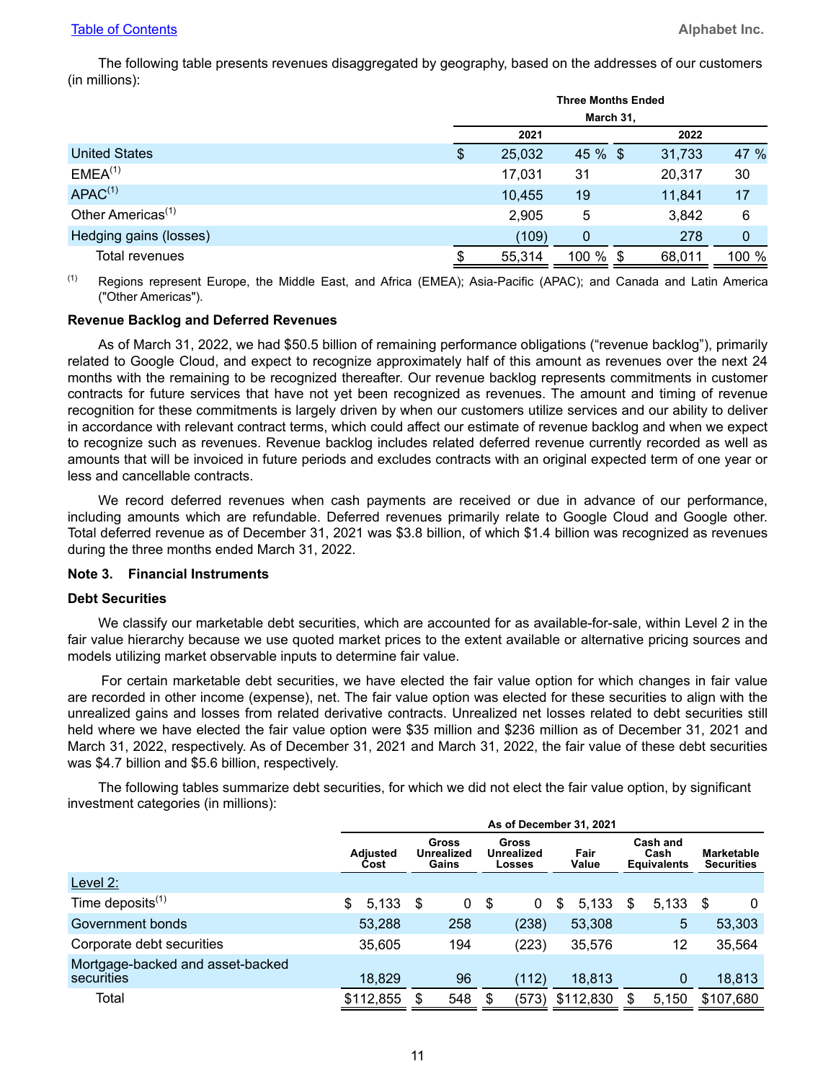The following table presents revenues disaggregated by geography, based on the addresses of our customers (in millions):

|                               | <b>Three Months Ended</b> |          |        |       |  |  |  |  |
|-------------------------------|---------------------------|----------|--------|-------|--|--|--|--|
|                               | March 31,                 |          |        |       |  |  |  |  |
|                               | 2021                      |          | 2022   |       |  |  |  |  |
| <b>United States</b>          | \$<br>25,032              | 45 % \$  | 31,733 | 47 %  |  |  |  |  |
| EMEA <sup>(1)</sup>           | 17,031                    | 31       | 20,317 | 30    |  |  |  |  |
| APAC <sup>(1)</sup>           | 10,455                    | 19       | 11,841 | 17    |  |  |  |  |
| Other Americas <sup>(1)</sup> | 2,905                     | 5        | 3,842  | 6     |  |  |  |  |
| Hedging gains (losses)        | (109)                     | 0        | 278    | 0     |  |  |  |  |
| Total revenues                | 55,314                    | 100 % \$ | 68,011 | 100 % |  |  |  |  |

(1) Regions represent Europe, the Middle East, and Africa (EMEA); Asia-Pacific (APAC); and Canada and Latin America ("Other Americas").

#### **Revenue Backlog and Deferred Revenues**

As of March 31, 2022, we had \$50.5 billion of remaining performance obligations ("revenue backlog"), primarily related to Google Cloud, and expect to recognize approximately half of this amount as revenues over the next 24 months with the remaining to be recognized thereafter. Our revenue backlog represents commitments in customer contracts for future services that have not yet been recognized as revenues. The amount and timing of revenue recognition for these commitments is largely driven by when our customers utilize services and our ability to deliver in accordance with relevant contract terms, which could affect our estimate of revenue backlog and when we expect to recognize such as revenues. Revenue backlog includes related deferred revenue currently recorded as well as amounts that will be invoiced in future periods and excludes contracts with an original expected term of one year or less and cancellable contracts.

We record deferred revenues when cash payments are received or due in advance of our performance, including amounts which are refundable. Deferred revenues primarily relate to Google Cloud and Google other. Total deferred revenue as of December 31, 2021 was \$3.8 billion, of which \$1.4 billion was recognized as revenues during the three months ended March 31, 2022.

#### **Note 3. Financial Instruments**

#### **Debt Securities**

We classify our marketable debt securities, which are accounted for as available-for-sale, within Level 2 in the fair value hierarchy because we use quoted market prices to the extent available or alternative pricing sources and models utilizing market observable inputs to determine fair value.

For certain marketable debt securities, we have elected the fair value option for which changes in fair value are recorded in other income (expense), net. The fair value option was elected for these securities to align with the unrealized gains and losses from related derivative contracts. Unrealized net losses related to debt securities still held where we have elected the fair value option were \$35 million and \$236 million as of December 31, 2021 and March 31, 2022, respectively. As of December 31, 2021 and March 31, 2022, the fair value of these debt securities was \$4.7 billion and \$5.6 billion, respectively.

The following tables summarize debt securities, for which we did not elect the fair value option, by significant investment categories (in millions):

|                                                | As of December 31, 2021 |                              |             |     |                                             |               |   |                                        |                                        |  |  |
|------------------------------------------------|-------------------------|------------------------------|-------------|-----|---------------------------------------------|---------------|---|----------------------------------------|----------------------------------------|--|--|
|                                                | <b>Adiusted</b><br>Cost | Gross<br>Unrealized<br>Gains |             |     | <b>Gross</b><br>Unrealized<br><b>Losses</b> | Fair<br>Value |   | Cash and<br>Cash<br><b>Equivalents</b> | <b>Marketable</b><br><b>Securities</b> |  |  |
| Level 2:                                       |                         |                              |             |     |                                             |               |   |                                        |                                        |  |  |
| Time deposits $(1)$                            | 5,133<br>\$             | - \$                         | $\mathbf 0$ | -\$ | 0                                           | 5,133<br>\$   | S | 5,133                                  | S<br>0                                 |  |  |
| Government bonds                               | 53,288                  | 258                          |             |     | (238)                                       | 53,308        |   | 5                                      | 53,303                                 |  |  |
| Corporate debt securities                      | 35,605                  | 194                          |             |     | (223)                                       | 35,576        |   | 12                                     | 35,564                                 |  |  |
| Mortgage-backed and asset-backed<br>securities | 18,829                  |                              | 96          |     | (112)                                       | 18,813        |   | $\mathbf 0$                            | 18,813                                 |  |  |
| Total                                          | \$112,855               | 548                          |             |     | (573)                                       | \$112,830     | S | 5,150                                  | \$107,680                              |  |  |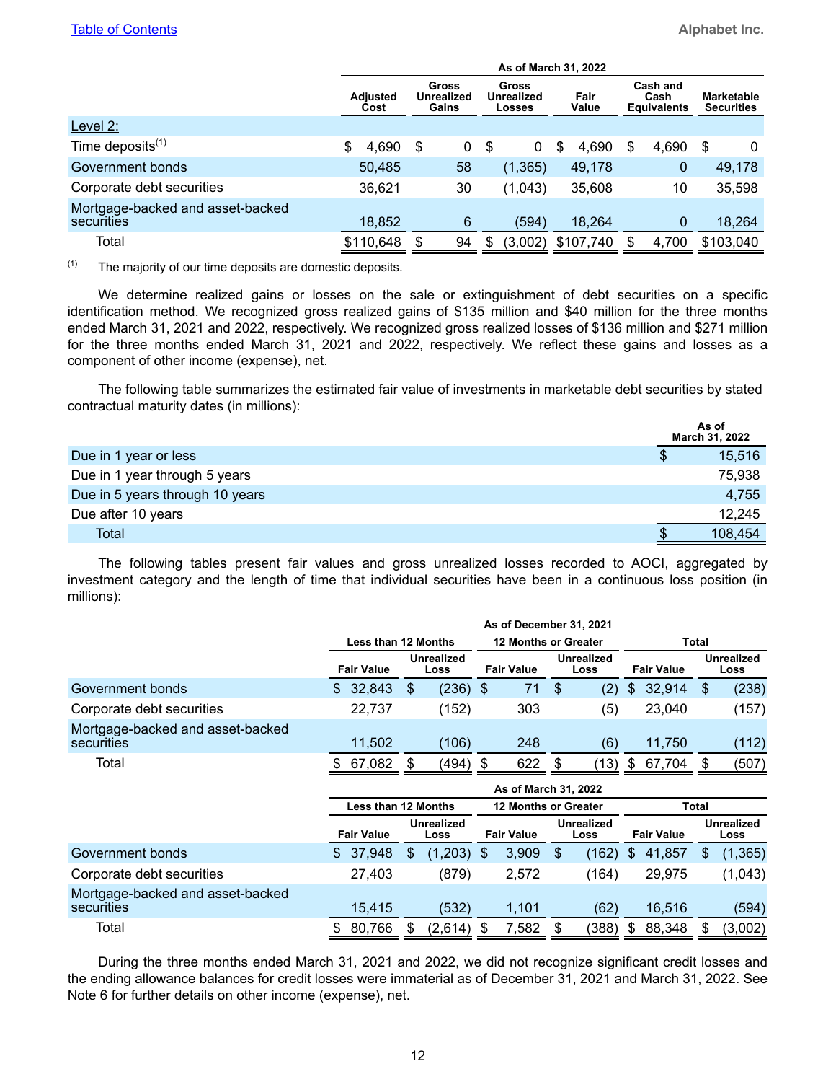|                                                |                         |                                     |    |    |                                             | As of March 31, 2022 |                                        |                                        |
|------------------------------------------------|-------------------------|-------------------------------------|----|----|---------------------------------------------|----------------------|----------------------------------------|----------------------------------------|
|                                                | <b>Adiusted</b><br>Cost | Gross<br><b>Unrealized</b><br>Gains |    |    | Gross<br><b>Unrealized</b><br><b>Losses</b> | Fair<br>Value        | Cash and<br>Cash<br><b>Equivalents</b> | <b>Marketable</b><br><b>Securities</b> |
| Level $2$ :                                    |                         |                                     |    |    |                                             |                      |                                        |                                        |
| Time deposits $(1)$                            | \$<br>4,690             | \$                                  | 0  | S  | 0                                           | 4,690<br>\$          | \$<br>4,690                            | S<br>0                                 |
| Government bonds                               | 50,485                  |                                     | 58 |    | (1, 365)                                    | 49,178               | $\mathbf 0$                            | 49,178                                 |
| Corporate debt securities                      | 36,621                  |                                     | 30 |    | (1,043)                                     | 35,608               | 10                                     | 35,598                                 |
| Mortgage-backed and asset-backed<br>securities | 18,852                  |                                     | 6  |    | (594)                                       | 18,264               | 0                                      | 18,264                                 |
| Total                                          | \$110,648               |                                     | 94 | \$ | (3,002)                                     | \$107,740            | \$<br>4,700                            | \$103,040                              |

 $(1)$  The majority of our time deposits are domestic deposits.

We determine realized gains or losses on the sale or extinguishment of debt securities on a specific identification method. We recognized gross realized gains of \$135 million and \$40 million for the three months ended March 31, 2021 and 2022, respectively. We recognized gross realized losses of \$136 million and \$271 million for the three months ended March 31, 2021 and 2022, respectively. We reflect these gains and losses as a component of other income (expense), net.

The following table summarizes the estimated fair value of investments in marketable debt securities by stated contractual maturity dates (in millions):

|                                 |   | As of<br>March 31, 2022 |
|---------------------------------|---|-------------------------|
| Due in 1 year or less           | S | 15,516                  |
| Due in 1 year through 5 years   |   | 75,938                  |
| Due in 5 years through 10 years |   | 4,755                   |
| Due after 10 years              |   | 12,245                  |
| Total                           |   | 108,454                 |

The following tables present fair values and gross unrealized losses recorded to AOCI, aggregated by investment category and the length of time that individual securities have been in a continuous loss position (in millions):

|                                                |                     |   |                           |    | As of December 31, 2021     |   |                           |                |                   |              |                    |
|------------------------------------------------|---------------------|---|---------------------------|----|-----------------------------|---|---------------------------|----------------|-------------------|--------------|--------------------|
|                                                | Less than 12 Months |   |                           |    | <b>12 Months or Greater</b> |   |                           |                |                   | <b>Total</b> |                    |
|                                                | <b>Fair Value</b>   |   | <b>Unrealized</b><br>Loss |    | <b>Fair Value</b>           |   | <b>Unrealized</b><br>Loss |                | <b>Fair Value</b> |              | Unrealized<br>Loss |
| Government bonds                               | 32,843<br>\$.       | S | $(236)$ \$                |    | 71                          | S | (2)                       | $\mathfrak{S}$ | 32,914            | \$           | (238)              |
| Corporate debt securities                      | 22,737              |   | (152)                     |    | 303                         |   | (5)                       |                | 23,040            |              | (157)              |
| Mortgage-backed and asset-backed<br>securities | 11,502              |   | (106)                     |    | 248                         |   | (6)                       |                | 11.750            |              | (112)              |
| Total                                          | 67,082              |   | (494)                     | -S | 622                         | S | 13)                       | S              | 67,704            | S            | (507)              |

|                                                |                   |                            |                   | As of March 31, 2022        |                   |                           |
|------------------------------------------------|-------------------|----------------------------|-------------------|-----------------------------|-------------------|---------------------------|
|                                                |                   | <b>Less than 12 Months</b> |                   | <b>12 Months or Greater</b> |                   | <b>Total</b>              |
|                                                | <b>Fair Value</b> | <b>Unrealized</b><br>Loss  | <b>Fair Value</b> | <b>Unrealized</b><br>Loss   | <b>Fair Value</b> | <b>Unrealized</b><br>Loss |
| Government bonds                               | 37,948<br>S.      | (1,203)<br>S               | 3,909<br>\$.      | \$<br>(162)                 | 41,857<br>\$      | (1, 365)                  |
| Corporate debt securities                      | 27,403            | (879)                      | 2.572             | (164)                       | 29.975            | (1,043)                   |
| Mortgage-backed and asset-backed<br>securities | 15.415            | (532)                      | 1,101             | (62)                        | 16.516            | (594)                     |
| Total                                          | 80,766            | (2,614)                    | 7,582             | (388)<br>S                  | 88,348<br>S       | (3,002)                   |

During the three months ended March 31, 2021 and 2022, we did not recognize significant credit losses and the ending allowance balances for credit losses were immaterial as of December 31, 2021 and March 31, 2022. See Note 6 for further details on other income (expense), net.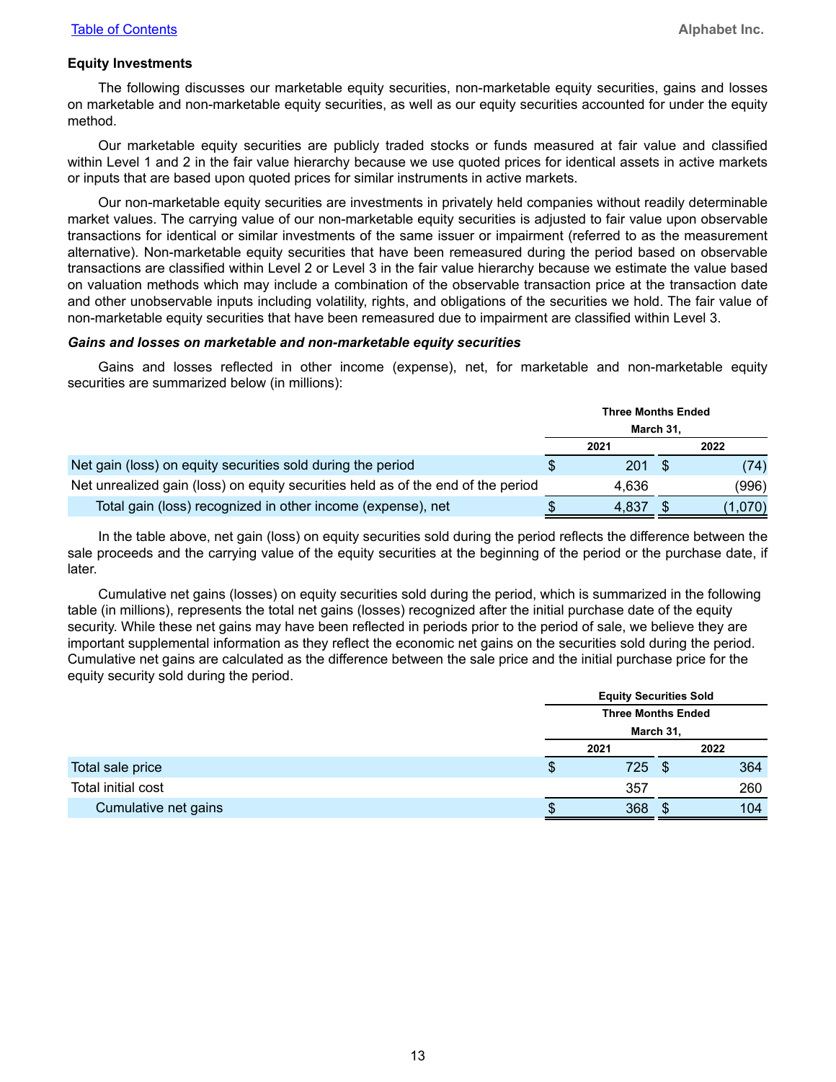#### **Equity Investments**

The following discusses our marketable equity securities, non-marketable equity securities, gains and losses on marketable and non-marketable equity securities, as well as our equity securities accounted for under the equity method.

Our marketable equity securities are publicly traded stocks or funds measured at fair value and classified within Level 1 and 2 in the fair value hierarchy because we use quoted prices for identical assets in active markets or inputs that are based upon quoted prices for similar instruments in active markets.

Our non-marketable equity securities are investments in privately held companies without readily determinable market values. The carrying value of our non-marketable equity securities is adjusted to fair value upon observable transactions for identical or similar investments of the same issuer or impairment (referred to as the measurement alternative). Non-marketable equity securities that have been remeasured during the period based on observable transactions are classified within Level 2 or Level 3 in the fair value hierarchy because we estimate the value based on valuation methods which may include a combination of the observable transaction price at the transaction date and other unobservable inputs including volatility, rights, and obligations of the securities we hold. The fair value of non-marketable equity securities that have been remeasured due to impairment are classified within Level 3.

#### *Gains and losses on marketable and non-marketable equity securities*

Gains and losses reflected in other income (expense), net, for marketable and non-marketable equity securities are summarized below (in millions):

|                                                                                  | <b>Three Months Ended</b> |      |         |
|----------------------------------------------------------------------------------|---------------------------|------|---------|
|                                                                                  | March 31,                 |      |         |
|                                                                                  | 2021                      |      | 2022    |
| Net gain (loss) on equity securities sold during the period                      | 201                       | - \$ | (74)    |
| Net unrealized gain (loss) on equity securities held as of the end of the period | 4.636                     |      | (996)   |
| Total gain (loss) recognized in other income (expense), net                      | 4.837                     |      | (1,070) |

In the table above, net gain (loss) on equity securities sold during the period reflects the difference between the sale proceeds and the carrying value of the equity securities at the beginning of the period or the purchase date, if later.

Cumulative net gains (losses) on equity securities sold during the period, which is summarized in the following table (in millions), represents the total net gains (losses) recognized after the initial purchase date of the equity security. While these net gains may have been reflected in periods prior to the period of sale, we believe they are important supplemental information as they reflect the economic net gains on the securities sold during the period. Cumulative net gains are calculated as the difference between the sale price and the initial purchase price for the equity security sold during the period.

|                      |   | <b>Equity Securities Sold</b> |      |     |
|----------------------|---|-------------------------------|------|-----|
|                      |   | <b>Three Months Ended</b>     |      |     |
|                      |   | March 31,                     |      |     |
|                      |   | 2021                          | 2022 |     |
| Total sale price     | P | 725                           |      | 364 |
| Total initial cost   |   | 357                           |      | 260 |
| Cumulative net gains |   | 368                           |      | 104 |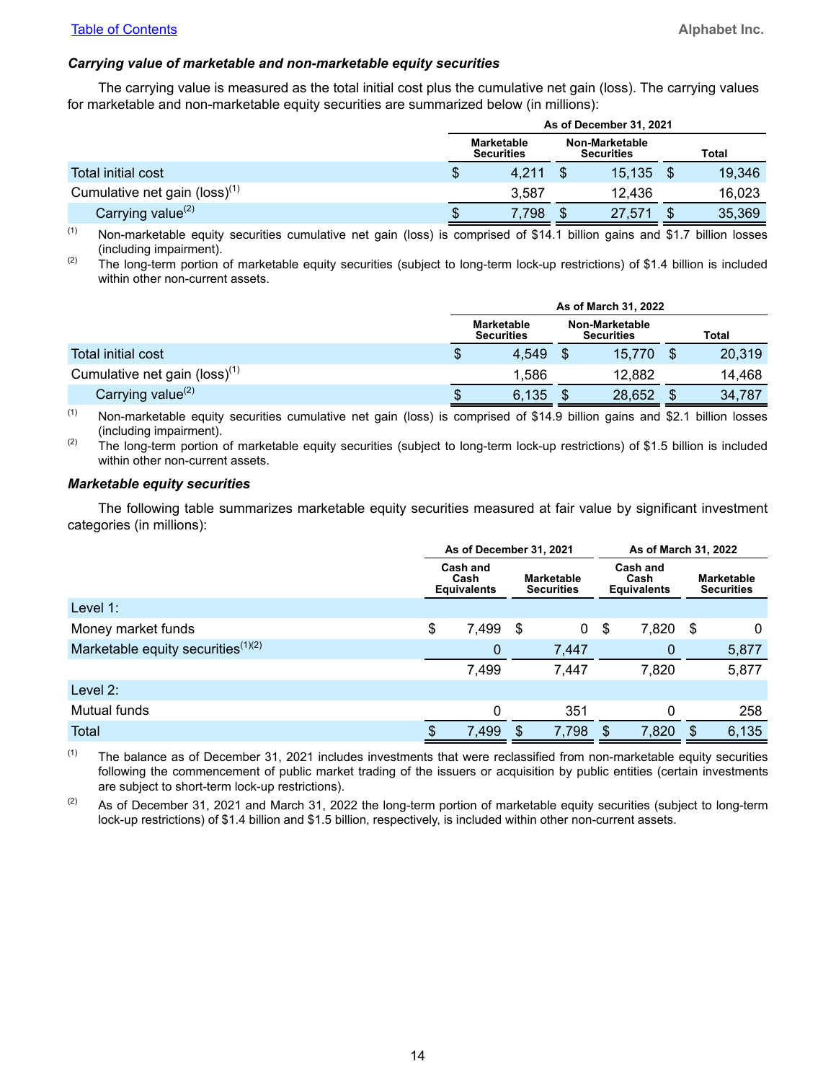#### *Carrying value of marketable and non-marketable equity securities*

The carrying value is measured as the total initial cost plus the cumulative net gain (loss). The carrying values for marketable and non-marketable equity securities are summarized below (in millions):

|                                  |                                        | As of December 31, 2021             |        |
|----------------------------------|----------------------------------------|-------------------------------------|--------|
|                                  | <b>Marketable</b><br><b>Securities</b> | Non-Marketable<br><b>Securities</b> | Total  |
| Total initial cost               | \$<br>4.211                            | 15,135                              | 19,346 |
| Cumulative net gain (loss) $(1)$ | 3.587                                  | 12.436                              | 16,023 |
| Carrying value <sup>(2)</sup>    | 7,798                                  | 27,571                              | 35,369 |

 $(1)$  Non-marketable equity securities cumulative net gain (loss) is comprised of \$14.1 billion gains and \$1.7 billion losses (including impairment).

(2) The long-term portion of marketable equity securities (subject to long-term lock-up restrictions) of \$1.4 billion is included within other non-current assets.

|                                           |                                        | As of March 31, 2022                |              |
|-------------------------------------------|----------------------------------------|-------------------------------------|--------------|
|                                           | <b>Marketable</b><br><b>Securities</b> | Non-Marketable<br><b>Securities</b> | <b>Total</b> |
| <b>Total initial cost</b>                 | \$<br>4,549                            | 15,770                              | 20,319       |
| Cumulative net gain (loss) <sup>(1)</sup> | 1.586                                  | 12.882                              | 14,468       |
| Carrying value $(2)$                      | \$<br>6,135                            | 28,652                              | 34,787       |

(1) Non-marketable equity securities cumulative net gain (loss) is comprised of \$14.9 billion gains and \$2.1 billion losses (including impairment).

 $(2)$  The long-term portion of marketable equity securities (subject to long-term lock-up restrictions) of \$1.5 billion is included within other non-current assets.

#### *Marketable equity securities*

The following table summarizes marketable equity securities measured at fair value by significant investment categories (in millions):

|                                                | As of December 31, 2021                |                |                                        |    | As of March 31, 2022                   |      |                                        |
|------------------------------------------------|----------------------------------------|----------------|----------------------------------------|----|----------------------------------------|------|----------------------------------------|
|                                                | Cash and<br>Cash<br><b>Equivalents</b> |                | <b>Marketable</b><br><b>Securities</b> |    | Cash and<br>Cash<br><b>Equivalents</b> |      | <b>Marketable</b><br><b>Securities</b> |
| Level $1$ :                                    |                                        |                |                                        |    |                                        |      |                                        |
| Money market funds                             | \$<br>7,499                            | \$             | 0                                      | \$ | 7,820                                  | - \$ | 0                                      |
| Marketable equity securities <sup>(1)(2)</sup> | 0                                      |                | 7,447                                  |    | 0                                      |      | 5,877                                  |
|                                                | 7,499                                  |                | 7,447                                  |    | 7,820                                  |      | 5,877                                  |
| Level $2:$                                     |                                        |                |                                        |    |                                        |      |                                        |
| Mutual funds                                   | $\Omega$                               |                | 351                                    |    | 0                                      |      | 258                                    |
| Total                                          | \$<br>7,499                            | $\mathfrak{s}$ | 7,798                                  | S  | 7,820                                  | S    | 6,135                                  |

 $(1)$  The balance as of December 31, 2021 includes investments that were reclassified from non-marketable equity securities following the commencement of public market trading of the issuers or acquisition by public entities (certain investments are subject to short-term lock-up restrictions).

 $(2)$  As of December 31, 2021 and March 31, 2022 the long-term portion of marketable equity securities (subject to long-term lock-up restrictions) of \$1.4 billion and \$1.5 billion, respectively, is included within other non-current assets.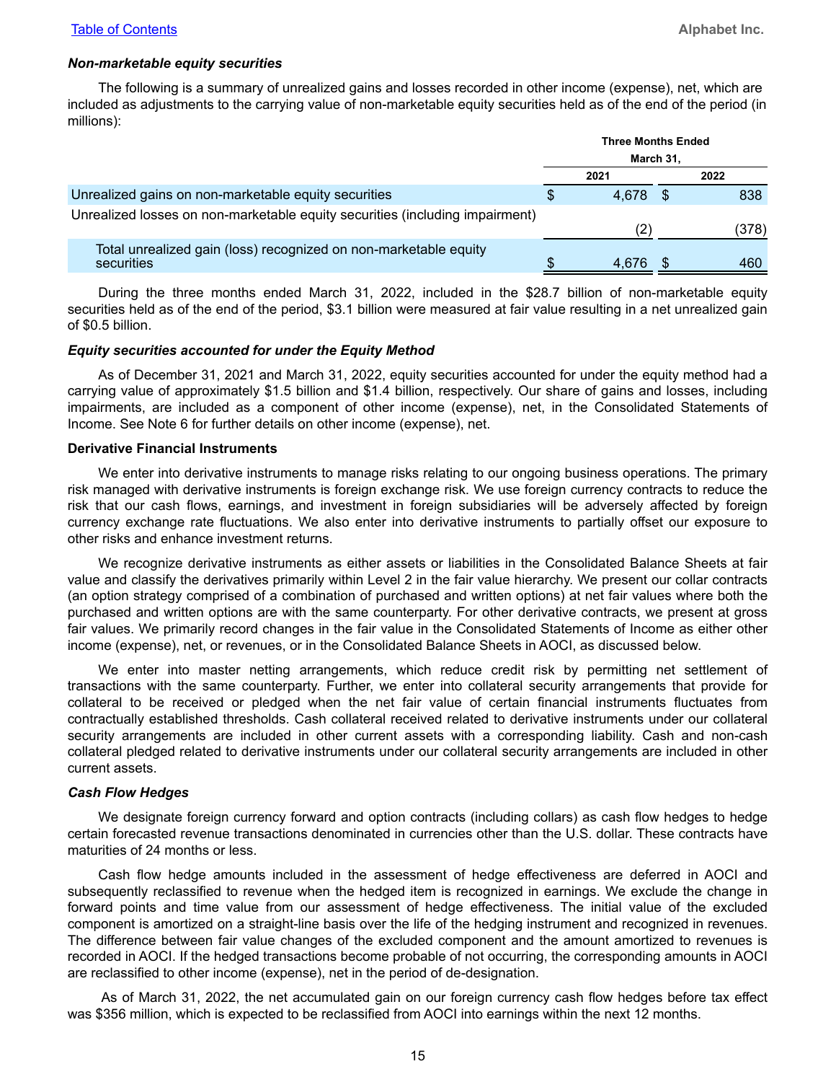#### *Non-marketable equity securities*

The following is a summary of unrealized gains and losses recorded in other income (expense), net, which are included as adjustments to the carrying value of non-marketable equity securities held as of the end of the period (in millions):

|                                                                                | <b>Three Months Ended</b> |       |
|--------------------------------------------------------------------------------|---------------------------|-------|
|                                                                                | March 31,                 |       |
|                                                                                | 2021                      | 2022  |
| Unrealized gains on non-marketable equity securities                           | 4.678                     | 838   |
| Unrealized losses on non-marketable equity securities (including impairment)   | (2)                       | (378) |
| Total unrealized gain (loss) recognized on non-marketable equity<br>securities | 4.676                     | 460   |

During the three months ended March 31, 2022, included in the \$28.7 billion of non-marketable equity securities held as of the end of the period, \$3.1 billion were measured at fair value resulting in a net unrealized gain of \$0.5 billion.

#### *Equity securities accounted for under the Equity Method*

As of December 31, 2021 and March 31, 2022, equity securities accounted for under the equity method had a carrying value of approximately \$1.5 billion and \$1.4 billion, respectively. Our share of gains and losses, including impairments, are included as a component of other income (expense), net, in the Consolidated Statements of Income. See Note 6 for further details on other income (expense), net.

#### **Derivative Financial Instruments**

We enter into derivative instruments to manage risks relating to our ongoing business operations. The primary risk managed with derivative instruments is foreign exchange risk. We use foreign currency contracts to reduce the risk that our cash flows, earnings, and investment in foreign subsidiaries will be adversely affected by foreign currency exchange rate fluctuations. We also enter into derivative instruments to partially offset our exposure to other risks and enhance investment returns.

We recognize derivative instruments as either assets or liabilities in the Consolidated Balance Sheets at fair value and classify the derivatives primarily within Level 2 in the fair value hierarchy. We present our collar contracts (an option strategy comprised of a combination of purchased and written options) at net fair values where both the purchased and written options are with the same counterparty. For other derivative contracts, we present at gross fair values. We primarily record changes in the fair value in the Consolidated Statements of Income as either other income (expense), net, or revenues, or in the Consolidated Balance Sheets in AOCI, as discussed below.

We enter into master netting arrangements, which reduce credit risk by permitting net settlement of transactions with the same counterparty. Further, we enter into collateral security arrangements that provide for collateral to be received or pledged when the net fair value of certain financial instruments fluctuates from contractually established thresholds. Cash collateral received related to derivative instruments under our collateral security arrangements are included in other current assets with a corresponding liability. Cash and non-cash collateral pledged related to derivative instruments under our collateral security arrangements are included in other current assets.

#### *Cash Flow Hedges*

We designate foreign currency forward and option contracts (including collars) as cash flow hedges to hedge certain forecasted revenue transactions denominated in currencies other than the U.S. dollar. These contracts have maturities of 24 months or less.

Cash flow hedge amounts included in the assessment of hedge effectiveness are deferred in AOCI and subsequently reclassified to revenue when the hedged item is recognized in earnings. We exclude the change in forward points and time value from our assessment of hedge effectiveness. The initial value of the excluded component is amortized on a straight-line basis over the life of the hedging instrument and recognized in revenues. The difference between fair value changes of the excluded component and the amount amortized to revenues is recorded in AOCI. If the hedged transactions become probable of not occurring, the corresponding amounts in AOCI are reclassified to other income (expense), net in the period of de-designation.

As of March 31, 2022, the net accumulated gain on our foreign currency cash flow hedges before tax effect was \$356 million, which is expected to be reclassified from AOCI into earnings within the next 12 months.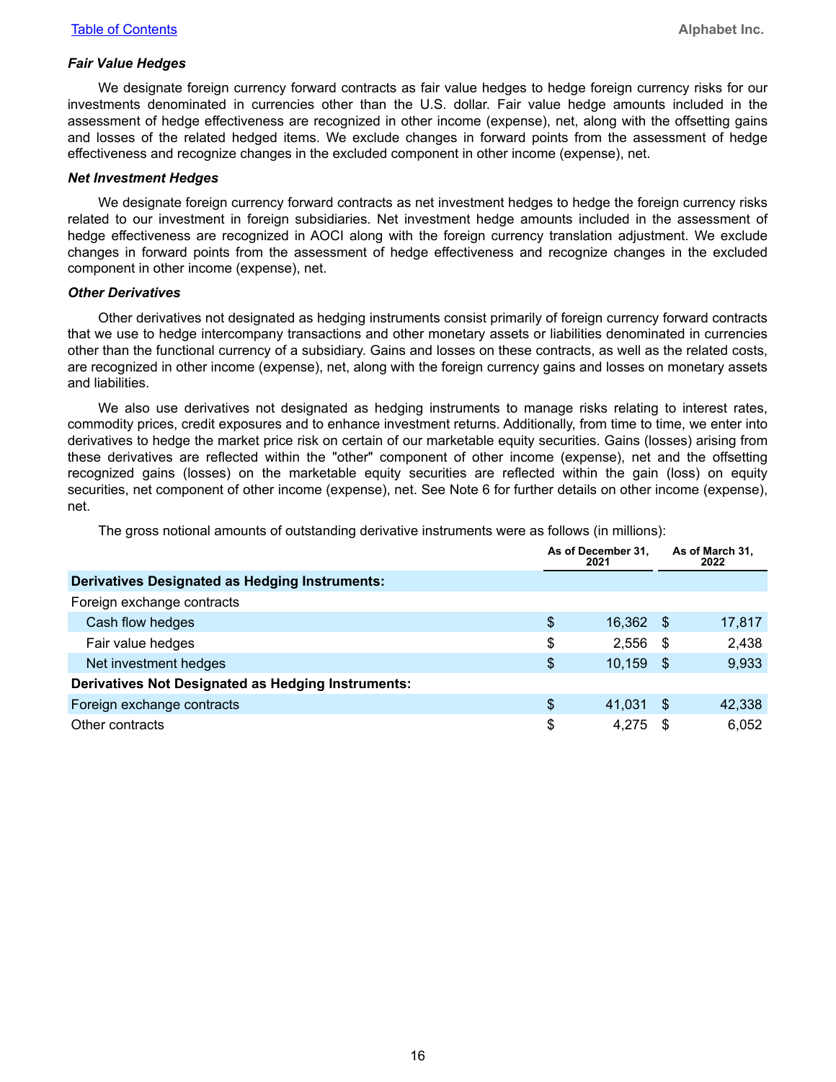#### *Fair Value Hedges*

We designate foreign currency forward contracts as fair value hedges to hedge foreign currency risks for our investments denominated in currencies other than the U.S. dollar. Fair value hedge amounts included in the assessment of hedge effectiveness are recognized in other income (expense), net, along with the offsetting gains and losses of the related hedged items. We exclude changes in forward points from the assessment of hedge effectiveness and recognize changes in the excluded component in other income (expense), net.

#### *Net Investment Hedges*

We designate foreign currency forward contracts as net investment hedges to hedge the foreign currency risks related to our investment in foreign subsidiaries. Net investment hedge amounts included in the assessment of hedge effectiveness are recognized in AOCI along with the foreign currency translation adjustment. We exclude changes in forward points from the assessment of hedge effectiveness and recognize changes in the excluded component in other income (expense), net.

#### *Other Derivatives*

Other derivatives not designated as hedging instruments consist primarily of foreign currency forward contracts that we use to hedge intercompany transactions and other monetary assets or liabilities denominated in currencies other than the functional currency of a subsidiary. Gains and losses on these contracts, as well as the related costs, are recognized in other income (expense), net, along with the foreign currency gains and losses on monetary assets and liabilities.

We also use derivatives not designated as hedging instruments to manage risks relating to interest rates, commodity prices, credit exposures and to enhance investment returns. Additionally, from time to time, we enter into derivatives to hedge the market price risk on certain of our marketable equity securities. Gains (losses) arising from these derivatives are reflected within the "other" component of other income (expense), net and the offsetting recognized gains (losses) on the marketable equity securities are reflected within the gain (loss) on equity securities, net component of other income (expense), net. See Note 6 for further details on other income (expense), net.

|                                                           | As of December 31.<br>2021 |      | As of March 31,<br>2022 |
|-----------------------------------------------------------|----------------------------|------|-------------------------|
| <b>Derivatives Designated as Hedging Instruments:</b>     |                            |      |                         |
| Foreign exchange contracts                                |                            |      |                         |
| Cash flow hedges                                          | \$<br>16,362               | - \$ | 17,817                  |
| Fair value hedges                                         | \$<br>2.556                | - \$ | 2,438                   |
| Net investment hedges                                     | \$<br>10.159               | - \$ | 9,933                   |
| <b>Derivatives Not Designated as Hedging Instruments:</b> |                            |      |                         |
| Foreign exchange contracts                                | \$<br>41.031               | - \$ | 42,338                  |
| Other contracts                                           | \$<br>4.275                |      | 6,052                   |

The gross notional amounts of outstanding derivative instruments were as follows (in millions):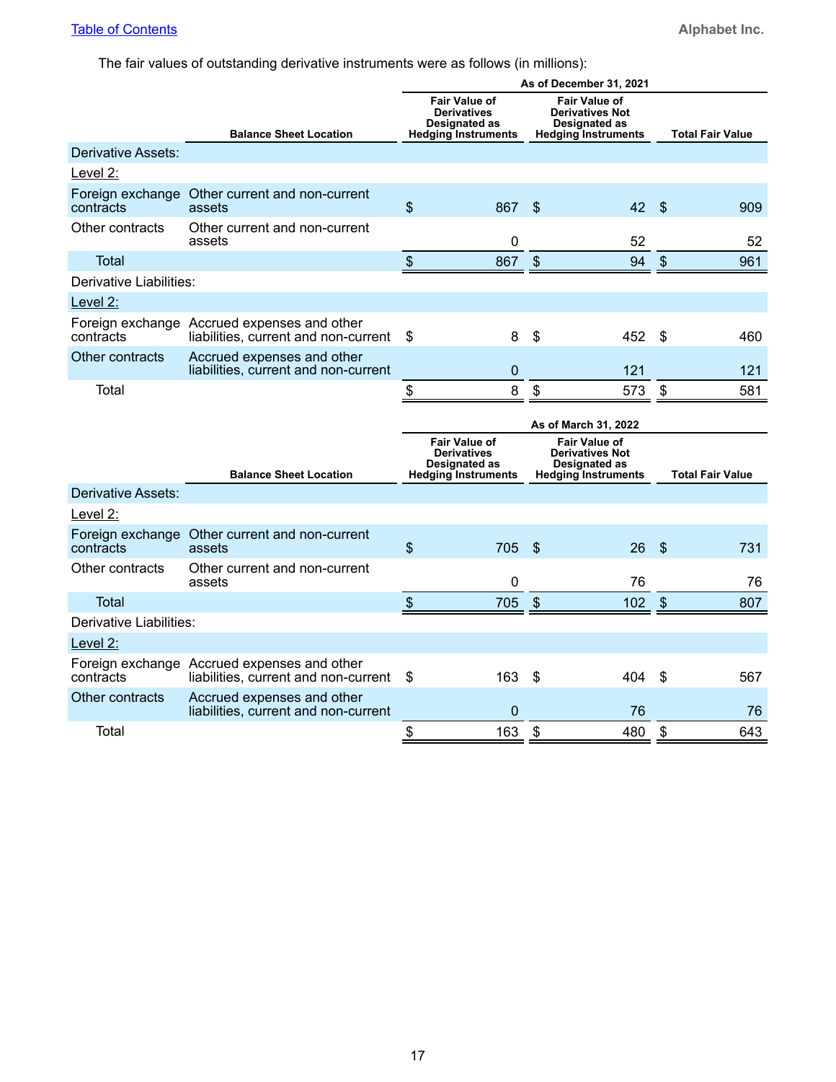The fair values of outstanding derivative instruments were as follows (in millions):

|                                |                                                                                     |                                                                                           | As of December 31, 2021                                                                       |                                  |
|--------------------------------|-------------------------------------------------------------------------------------|-------------------------------------------------------------------------------------------|-----------------------------------------------------------------------------------------------|----------------------------------|
|                                | <b>Balance Sheet Location</b>                                                       | <b>Fair Value of</b><br><b>Derivatives</b><br>Designated as<br><b>Hedging Instruments</b> | <b>Fair Value of</b><br><b>Derivatives Not</b><br>Designated as<br><b>Hedging Instruments</b> | <b>Total Fair Value</b>          |
| Derivative Assets:             |                                                                                     |                                                                                           |                                                                                               |                                  |
| Level 2:                       |                                                                                     |                                                                                           |                                                                                               |                                  |
| Foreign exchange<br>contracts  | Other current and non-current<br>assets                                             | \$<br>867                                                                                 | \$<br>42                                                                                      | $\mathcal{S}$<br>909             |
| Other contracts                | Other current and non-current<br>assets                                             | 0                                                                                         | 52                                                                                            | 52                               |
| <b>Total</b>                   |                                                                                     | $\boldsymbol{\mathsf{S}}$<br>867                                                          | $\boldsymbol{\mathsf{S}}$<br>94                                                               | $\boldsymbol{\mathsf{S}}$<br>961 |
| <b>Derivative Liabilities:</b> |                                                                                     |                                                                                           |                                                                                               |                                  |
| Level 2:                       |                                                                                     |                                                                                           |                                                                                               |                                  |
| contracts                      | Foreign exchange Accrued expenses and other<br>liabilities, current and non-current | \$<br>8                                                                                   | \$<br>452                                                                                     | \$<br>460                        |
| Other contracts                | Accrued expenses and other<br>liabilities, current and non-current                  | $\mathbf 0$                                                                               | 121                                                                                           | 121                              |
| Total                          |                                                                                     | 8<br>\$                                                                                   | \$<br>573                                                                                     | $\boldsymbol{\mathsf{S}}$<br>581 |
|                                |                                                                                     |                                                                                           |                                                                                               |                                  |
|                                |                                                                                     |                                                                                           | As of March 31, 2022                                                                          |                                  |
|                                |                                                                                     | <b>Fair Value of</b><br><b>Derivatives</b><br>Designated as                               | <b>Fair Value of</b><br><b>Derivatives Not</b><br><b>Designated as</b>                        |                                  |
| Derivative Assets:             | <b>Balance Sheet Location</b>                                                       | <b>Hedging Instruments</b>                                                                | <b>Hedging Instruments</b>                                                                    | <b>Total Fair Value</b>          |
| Level 2:                       |                                                                                     |                                                                                           |                                                                                               |                                  |
| contracts                      | Foreign exchange Other current and non-current<br>assets                            | \$<br>705                                                                                 | \$<br>26                                                                                      | \$<br>731                        |
| Other contracts                | Other current and non-current<br>assets                                             | 0                                                                                         | 76                                                                                            | 76                               |
| Total                          |                                                                                     | \$<br>705                                                                                 | \$<br>102                                                                                     | $\frac{1}{2}$<br>807             |
| Derivative Liabilities:        |                                                                                     |                                                                                           |                                                                                               |                                  |
| Level 2:                       |                                                                                     |                                                                                           |                                                                                               |                                  |
| contracts                      | Foreign exchange Accrued expenses and other<br>liabilities, current and non-current | \$<br>163                                                                                 | \$<br>404                                                                                     | \$<br>567                        |
| Other contracts                | Accrued expenses and other<br>liabilities, current and non-current                  | 0                                                                                         | 76                                                                                            | 76                               |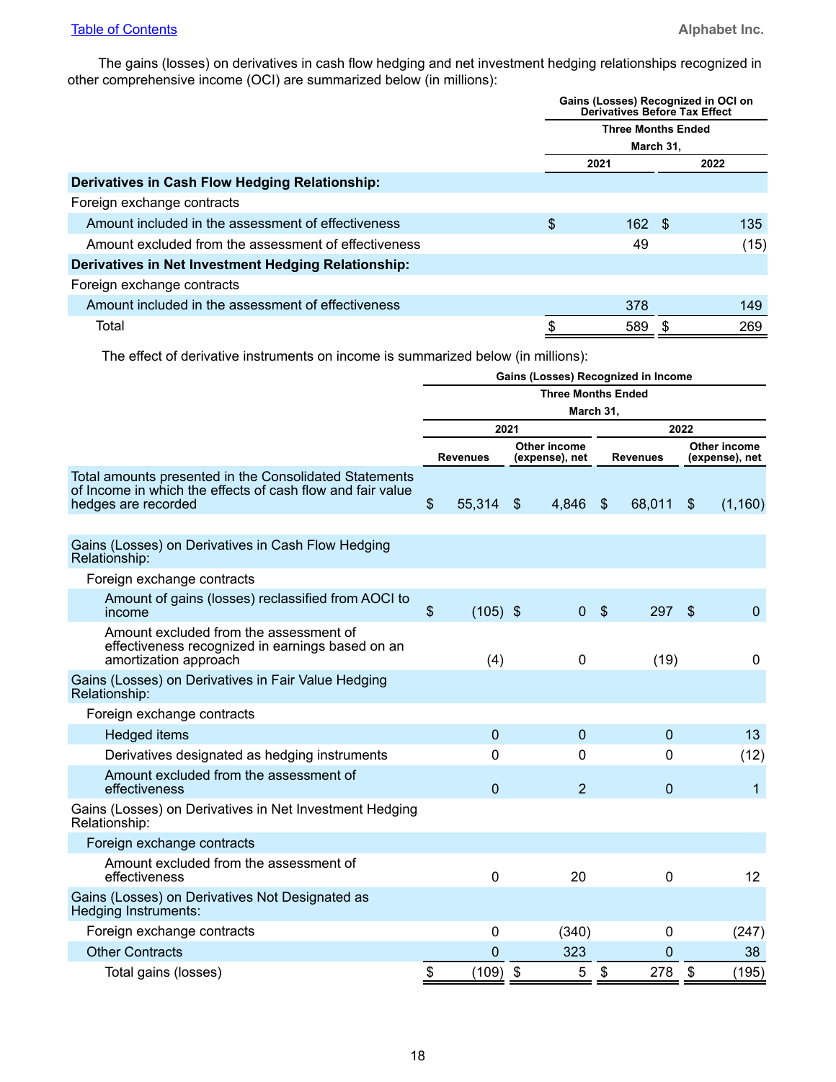The gains (losses) on derivatives in cash flow hedging and net investment hedging relationships recognized in other comprehensive income (OCI) are summarized below (in millions):

|                                                      | Gains (Losses) Recognized in OCI on<br><b>Derivatives Before Tax Effect</b> |                           |  |      |  |  |  |  |  |
|------------------------------------------------------|-----------------------------------------------------------------------------|---------------------------|--|------|--|--|--|--|--|
|                                                      |                                                                             | <b>Three Months Ended</b> |  |      |  |  |  |  |  |
|                                                      |                                                                             | March 31,                 |  |      |  |  |  |  |  |
|                                                      |                                                                             | 2021                      |  | 2022 |  |  |  |  |  |
| Derivatives in Cash Flow Hedging Relationship:       |                                                                             |                           |  |      |  |  |  |  |  |
| Foreign exchange contracts                           |                                                                             |                           |  |      |  |  |  |  |  |
| Amount included in the assessment of effectiveness   | \$                                                                          | $162 \quad $$             |  | 135  |  |  |  |  |  |
| Amount excluded from the assessment of effectiveness |                                                                             | 49                        |  | (15) |  |  |  |  |  |
| Derivatives in Net Investment Hedging Relationship:  |                                                                             |                           |  |      |  |  |  |  |  |
| Foreign exchange contracts                           |                                                                             |                           |  |      |  |  |  |  |  |
| Amount included in the assessment of effectiveness   |                                                                             | 378                       |  | 149  |  |  |  |  |  |
| Total                                                | \$                                                                          | 589                       |  | 269  |  |  |  |  |  |

The effect of derivative instruments on income is summarized below (in millions):

|                                                                                                                                             | Gains (Losses) Recognized in Income |                 |                           |                                |                           |                 |                |                                |  |
|---------------------------------------------------------------------------------------------------------------------------------------------|-------------------------------------|-----------------|---------------------------|--------------------------------|---------------------------|-----------------|----------------|--------------------------------|--|
|                                                                                                                                             |                                     |                 |                           | <b>Three Months Ended</b>      |                           |                 |                |                                |  |
|                                                                                                                                             |                                     |                 |                           | March 31,                      |                           |                 |                |                                |  |
|                                                                                                                                             |                                     | 2021            |                           |                                | 2022                      |                 |                |                                |  |
|                                                                                                                                             |                                     | <b>Revenues</b> |                           | Other income<br>(expense), net |                           | <b>Revenues</b> |                | Other income<br>(expense), net |  |
| Total amounts presented in the Consolidated Statements<br>of Income in which the effects of cash flow and fair value<br>hedges are recorded | \$                                  | 55,314          | $\boldsymbol{\mathsf{S}}$ | 4,846                          | $\boldsymbol{\mathsf{S}}$ | 68,011          | $\mathfrak{L}$ | (1, 160)                       |  |
| Gains (Losses) on Derivatives in Cash Flow Hedging<br>Relationship:                                                                         |                                     |                 |                           |                                |                           |                 |                |                                |  |
| Foreign exchange contracts                                                                                                                  |                                     |                 |                           |                                |                           |                 |                |                                |  |
| Amount of gains (losses) reclassified from AOCI to<br>income                                                                                | $\boldsymbol{\mathsf{S}}$           | $(105)$ \$      |                           | $\mathbf{0}$                   | $\sqrt[6]{\frac{1}{2}}$   | 297             | \$             | $\mathbf 0$                    |  |
| Amount excluded from the assessment of<br>effectiveness recognized in earnings based on an<br>amortization approach                         |                                     | (4)             |                           | 0                              |                           | (19)            |                | 0                              |  |
| Gains (Losses) on Derivatives in Fair Value Hedging<br>Relationship:                                                                        |                                     |                 |                           |                                |                           |                 |                |                                |  |
| Foreign exchange contracts                                                                                                                  |                                     |                 |                           |                                |                           |                 |                |                                |  |
| <b>Hedged items</b>                                                                                                                         |                                     | $\mathbf{0}$    |                           | $\overline{0}$                 |                           | $\mathbf 0$     |                | 13                             |  |
| Derivatives designated as hedging instruments                                                                                               |                                     | 0               |                           | $\Omega$                       |                           | 0               |                | (12)                           |  |
| Amount excluded from the assessment of<br>effectiveness                                                                                     |                                     | $\overline{0}$  |                           | $\overline{2}$                 |                           | 0               |                | $\mathbf{1}$                   |  |
| Gains (Losses) on Derivatives in Net Investment Hedging<br>Relationship:                                                                    |                                     |                 |                           |                                |                           |                 |                |                                |  |
| Foreign exchange contracts                                                                                                                  |                                     |                 |                           |                                |                           |                 |                |                                |  |
| Amount excluded from the assessment of<br>effectiveness                                                                                     |                                     | 0               |                           | 20                             |                           | 0               |                | 12                             |  |
| Gains (Losses) on Derivatives Not Designated as<br><b>Hedging Instruments:</b>                                                              |                                     |                 |                           |                                |                           |                 |                |                                |  |
| Foreign exchange contracts                                                                                                                  |                                     | 0               |                           | (340)                          |                           | 0               |                | (247)                          |  |
| <b>Other Contracts</b>                                                                                                                      |                                     | 0               |                           | 323                            |                           | 0               |                | 38                             |  |
| Total gains (losses)                                                                                                                        | \$                                  | $(109)$ \$      |                           | 5                              | \$                        | 278             | \$             | (195)                          |  |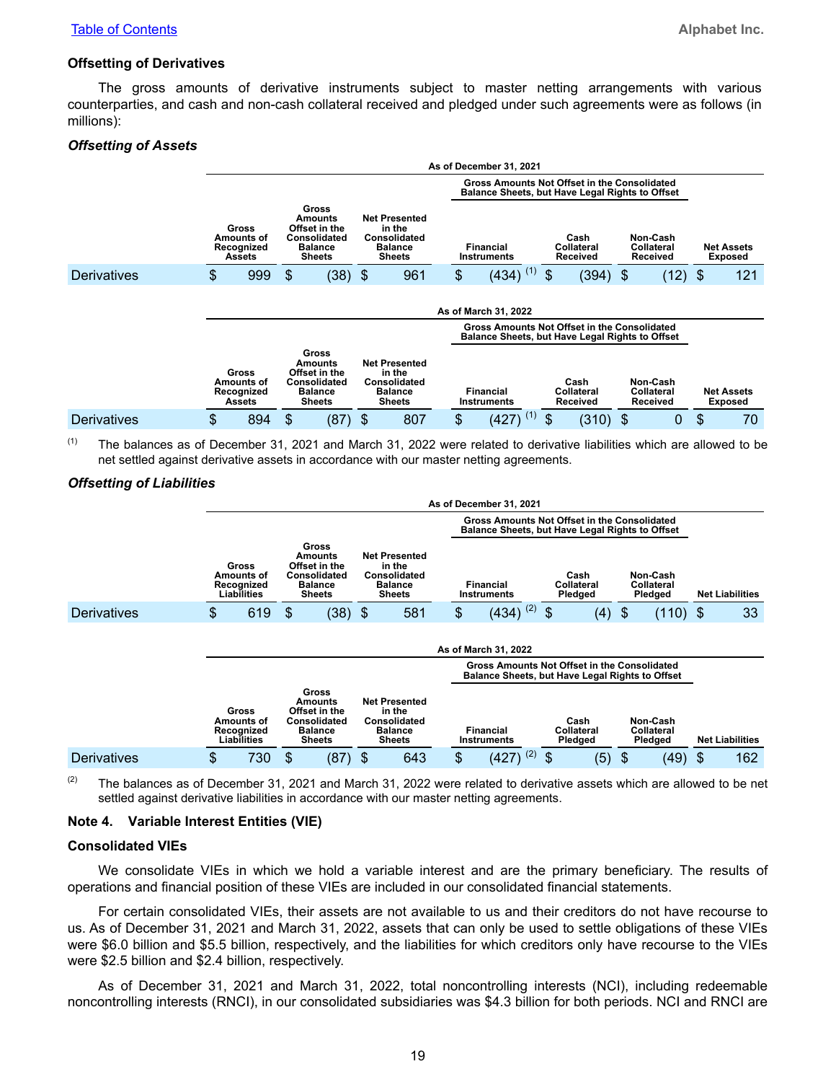#### **Offsetting of Derivatives**

The gross amounts of derivative instruments subject to master netting arrangements with various counterparties, and cash and non-cash collateral received and pledged under such agreements were as follows (in millions):

#### *Offsetting of Assets*

|                    | As of December 31, 2021 |                                                           |                                                                                             |           |    |                                                                                          |  |                          |                                                                                                 |    |                                                                                           |     |                                    |    |                                     |
|--------------------|-------------------------|-----------------------------------------------------------|---------------------------------------------------------------------------------------------|-----------|----|------------------------------------------------------------------------------------------|--|--------------------------|-------------------------------------------------------------------------------------------------|----|-------------------------------------------------------------------------------------------|-----|------------------------------------|----|-------------------------------------|
|                    |                         |                                                           |                                                                                             |           |    |                                                                                          |  |                          | Gross Amounts Not Offset in the Consolidated<br>Balance Sheets, but Have Legal Rights to Offset |    |                                                                                           |     |                                    |    |                                     |
|                    |                         | <b>Gross</b><br>Amounts of<br>Recognized<br><b>Assets</b> | Gross<br>Amounts<br>Offset in the<br>Consolidated<br><b>Balance</b><br><b>Sheets</b>        |           |    | <b>Net Presented</b><br>in the<br><b>Consolidated</b><br><b>Balance</b><br><b>Sheets</b> |  | Financial<br>Instruments |                                                                                                 |    | Non-Cash<br>Cash<br><b>Collateral</b><br><b>Collateral</b><br>Received<br><b>Received</b> |     |                                    |    | <b>Net Assets</b><br><b>Exposed</b> |
| <b>Derivatives</b> | \$                      | 999                                                       | \$.                                                                                         | $(38)$ \$ |    | 961                                                                                      |  | \$                       | $(434)$ <sup>(1)</sup>                                                                          | \$ | (394)                                                                                     | -\$ | $(12)$ \$                          |    | 121                                 |
|                    |                         |                                                           |                                                                                             |           |    |                                                                                          |  |                          | As of March 31, 2022<br><b>Gross Amounts Not Offset in the Consolidated</b>                     |    |                                                                                           |     |                                    |    |                                     |
|                    |                         |                                                           |                                                                                             |           |    |                                                                                          |  |                          | Balance Sheets, but Have Legal Rights to Offset                                                 |    |                                                                                           |     |                                    |    |                                     |
|                    |                         | <b>Gross</b><br>Amounts of<br>Recognized<br><b>Assets</b> | Gross<br>Amounts<br>Offset in the<br><b>Consolidated</b><br><b>Balance</b><br><b>Sheets</b> |           |    | <b>Net Presented</b><br>in the<br>Consolidated<br><b>Balance</b><br><b>Sheets</b>        |  |                          | <b>Financial</b><br>Instruments                                                                 |    | Cash<br>Collateral<br>Received                                                            |     | Non-Cash<br>Collateral<br>Received |    | <b>Net Assets</b><br><b>Exposed</b> |
| <b>Derivatives</b> | \$                      | 894                                                       | \$                                                                                          | (87)      | \$ | 807                                                                                      |  | \$                       | (1)<br>(427)                                                                                    | \$ | $(310)$ \$                                                                                |     | 0                                  | \$ | 70                                  |

 $(1)$  The balances as of December 31, 2021 and March 31, 2022 were related to derivative liabilities which are allowed to be net settled against derivative assets in accordance with our master netting agreements.

#### *Offsetting of Liabilities*

|                    |                                                         |                                                                                      |           |                                                                                   |                      |  |                                                                                                 | As of December 31, 2021                                                                                |    |     |               |                               |                                          |  |                        |
|--------------------|---------------------------------------------------------|--------------------------------------------------------------------------------------|-----------|-----------------------------------------------------------------------------------|----------------------|--|-------------------------------------------------------------------------------------------------|--------------------------------------------------------------------------------------------------------|----|-----|---------------|-------------------------------|------------------------------------------|--|------------------------|
|                    |                                                         |                                                                                      |           |                                                                                   |                      |  | Gross Amounts Not Offset in the Consolidated<br>Balance Sheets, but Have Legal Rights to Offset |                                                                                                        |    |     |               |                               |                                          |  |                        |
|                    | Gross<br>Amounts of<br>Recognized<br><b>Liabilities</b> | Gross<br>Amounts<br>Offset in the<br>Consolidated<br><b>Balance</b><br><b>Sheets</b> |           | <b>Net Presented</b><br>in the<br>Consolidated<br><b>Balance</b><br><b>Sheets</b> |                      |  |                                                                                                 | Financial<br>Instruments                                                                               |    |     |               | Cash<br>Collateral<br>Pledged | Non-Cash<br><b>Collateral</b><br>Pledged |  | <b>Net Liabilities</b> |
| <b>Derivatives</b> | \$<br>619                                               | \$                                                                                   | $(38)$ \$ |                                                                                   | 581                  |  | \$                                                                                              | $(434)$ <sup>(2)</sup>                                                                                 | \$ | (4) | $\frac{1}{2}$ | $(110)$ \$                    | 33                                       |  |                        |
|                    |                                                         |                                                                                      |           |                                                                                   |                      |  |                                                                                                 | As of March 31, 2022                                                                                   |    |     |               |                               |                                          |  |                        |
|                    |                                                         |                                                                                      |           |                                                                                   |                      |  |                                                                                                 | Gross Amounts Not Offset in the Consolidated<br><b>Balance Sheets, but Have Legal Rights to Offset</b> |    |     |               |                               |                                          |  |                        |
|                    |                                                         | Gross<br>Amounts                                                                     |           |                                                                                   | <b>Net Presented</b> |  |                                                                                                 |                                                                                                        |    |     |               |                               |                                          |  |                        |

|                    | Gross<br>Amounts of<br>Recoanized<br>Liabilities |                  | Consolidated<br><b>Balance</b> | Offset in the<br>Sheets |   | in the<br>Consolidated<br>Balance<br>Sheets | Financial<br>Instruments |   | Cash<br>Collateral<br>Pledaed | Non-Cash<br>Collateral<br>Pledaed | <b>Net Liabilities</b> |
|--------------------|--------------------------------------------------|------------------|--------------------------------|-------------------------|---|---------------------------------------------|--------------------------|---|-------------------------------|-----------------------------------|------------------------|
| <b>Derivatives</b> |                                                  | 730 <sub>2</sub> |                                | (87)                    | D | 643                                         | (2)<br>(427)             | ¢ | (5)                           | (49)                              | 162                    |

 $(2)$  The balances as of December 31, 2021 and March 31, 2022 were related to derivative assets which are allowed to be net settled against derivative liabilities in accordance with our master netting agreements.

#### **Note 4. Variable Interest Entities (VIE)**

#### **Consolidated VIEs**

We consolidate VIEs in which we hold a variable interest and are the primary beneficiary. The results of operations and financial position of these VIEs are included in our consolidated financial statements.

For certain consolidated VIEs, their assets are not available to us and their creditors do not have recourse to us. As of December 31, 2021 and March 31, 2022, assets that can only be used to settle obligations of these VIEs were \$6.0 billion and \$5.5 billion, respectively, and the liabilities for which creditors only have recourse to the VIEs were \$2.5 billion and \$2.4 billion, respectively.

As of December 31, 2021 and March 31, 2022, total noncontrolling interests (NCI), including redeemable noncontrolling interests (RNCI), in our consolidated subsidiaries was \$4.3 billion for both periods. NCI and RNCI are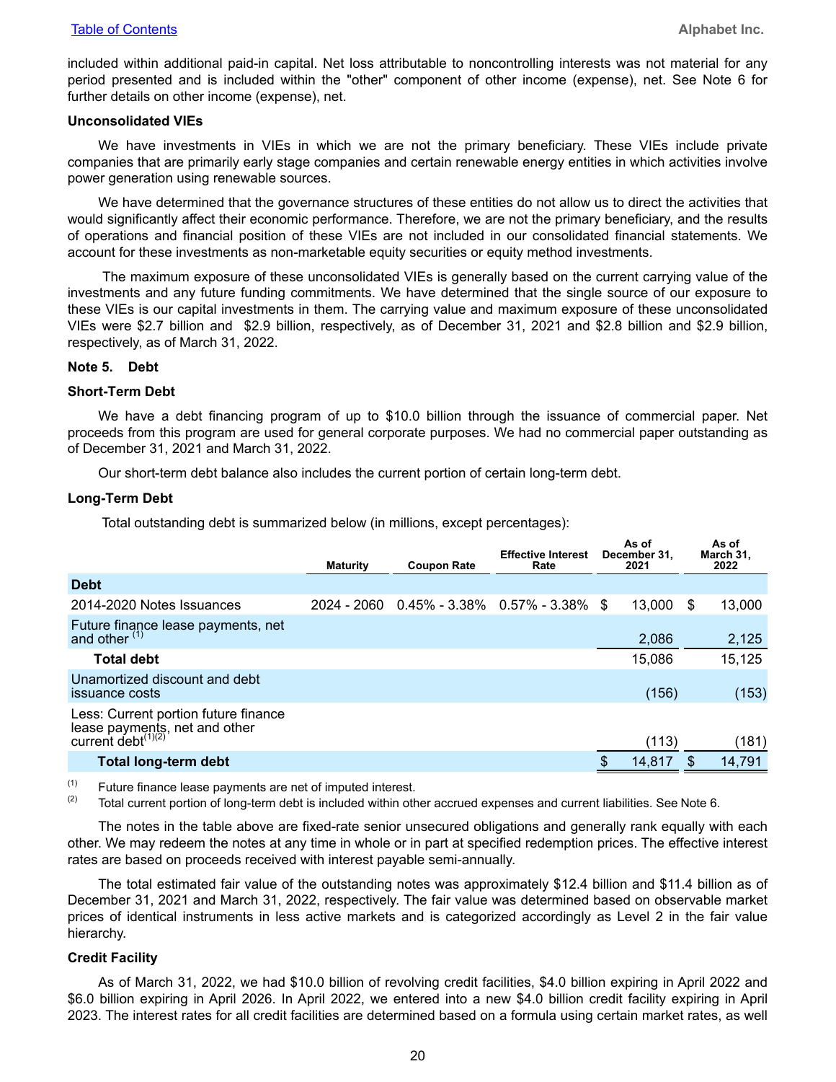included within additional paid-in capital. Net loss attributable to noncontrolling interests was not material for any period presented and is included within the "other" component of other income (expense), net. See Note 6 for further details on other income (expense), net.

#### **Unconsolidated VIEs**

We have investments in VIEs in which we are not the primary beneficiary. These VIEs include private companies that are primarily early stage companies and certain renewable energy entities in which activities involve power generation using renewable sources.

We have determined that the governance structures of these entities do not allow us to direct the activities that would significantly affect their economic performance. Therefore, we are not the primary beneficiary, and the results of operations and financial position of these VIEs are not included in our consolidated financial statements. We account for these investments as non-marketable equity securities or equity method investments.

 The maximum exposure of these unconsolidated VIEs is generally based on the current carrying value of the investments and any future funding commitments. We have determined that the single source of our exposure to these VIEs is our capital investments in them. The carrying value and maximum exposure of these unconsolidated VIEs were \$2.7 billion and \$2.9 billion, respectively, as of December 31, 2021 and \$2.8 billion and \$2.9 billion, respectively, as of March 31, 2022.

#### **Note 5. Debt**

#### **Short-Term Debt**

We have a debt financing program of up to \$10.0 billion through the issuance of commercial paper. Net proceeds from this program are used for general corporate purposes. We had no commercial paper outstanding as of December 31, 2021 and March 31, 2022.

Our short-term debt balance also includes the current portion of certain long-term debt.

#### **Long-Term Debt**

Total outstanding debt is summarized below (in millions, except percentages):

|                                                                                                | <b>Maturity</b> | <b>Coupon Rate</b>                           | <b>Effective Interest</b><br>Rate | As of<br>December 31,<br>2021 | As of<br>March 31,<br>2022 |
|------------------------------------------------------------------------------------------------|-----------------|----------------------------------------------|-----------------------------------|-------------------------------|----------------------------|
| <b>Debt</b>                                                                                    |                 |                                              |                                   |                               |                            |
| 2014-2020 Notes Issuances                                                                      |                 | $2024 - 2060$ 0.45% - 3.38% 0.57% - 3.38% \$ |                                   | 13.000                        | \$<br>13,000               |
| Future finance lease payments, net<br>and other (1)                                            |                 |                                              |                                   | 2,086                         | 2,125                      |
| <b>Total debt</b>                                                                              |                 |                                              |                                   | 15,086                        | 15,125                     |
| Unamortized discount and debt<br>issuance costs                                                |                 |                                              |                                   | (156)                         | (153)                      |
| Less: Current portion future finance<br>lease payments, net and other<br>current debt $(1)(2)$ |                 |                                              |                                   | (113)                         | (181)                      |
| Total long-term debt                                                                           |                 |                                              |                                   | 14,817                        | 14,791                     |
|                                                                                                |                 |                                              |                                   |                               |                            |

 $(1)$  Future finance lease payments are net of imputed interest.

 $(2)$  Total current portion of long-term debt is included within other accrued expenses and current liabilities. See Note 6.

The notes in the table above are fixed-rate senior unsecured obligations and generally rank equally with each other. We may redeem the notes at any time in whole or in part at specified redemption prices. The effective interest rates are based on proceeds received with interest payable semi-annually.

The total estimated fair value of the outstanding notes was approximately \$12.4 billion and \$11.4 billion as of December 31, 2021 and March 31, 2022, respectively. The fair value was determined based on observable market prices of identical instruments in less active markets and is categorized accordingly as Level 2 in the fair value hierarchy.

#### **Credit Facility**

As of March 31, 2022, we had \$10.0 billion of revolving credit facilities, \$4.0 billion expiring in April 2022 and \$6.0 billion expiring in April 2026. In April 2022, we entered into a new \$4.0 billion credit facility expiring in April 2023. The interest rates for all credit facilities are determined based on a formula using certain market rates, as well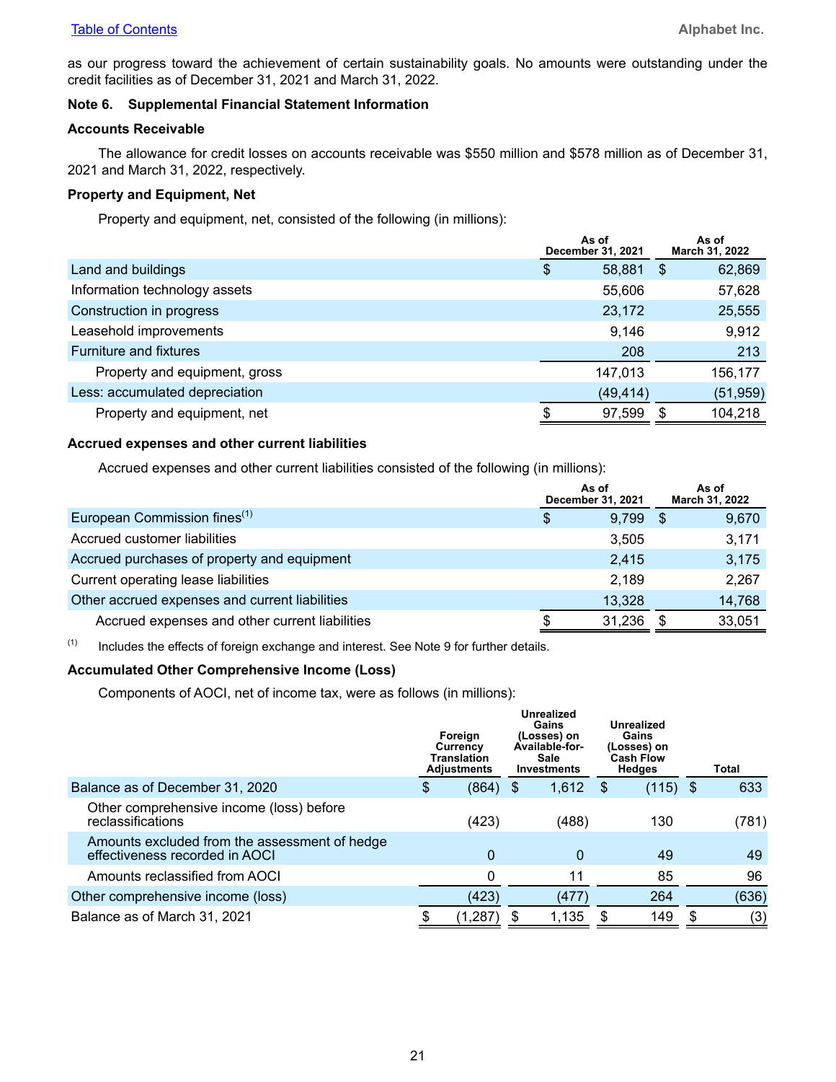as our progress toward the achievement of certain sustainability goals. No amounts were outstanding under the credit facilities as of December 31, 2021 and March 31, 2022.

#### **Note 6. Supplemental Financial Statement Information**

#### **Accounts Receivable**

The allowance for credit losses on accounts receivable was \$550 million and \$578 million as of December 31, 2021 and March 31, 2022, respectively.

#### **Property and Equipment, Net**

Property and equipment, net, consisted of the following (in millions):

|                                | As of<br>December 31, 2021 |     | As of<br>March 31, 2022 |
|--------------------------------|----------------------------|-----|-------------------------|
| Land and buildings             | \$<br>58,881               | -\$ | 62,869                  |
| Information technology assets  | 55,606                     |     | 57,628                  |
| Construction in progress       | 23,172                     |     | 25,555                  |
| Leasehold improvements         | 9,146                      |     | 9,912                   |
| Furniture and fixtures         | 208                        |     | 213                     |
| Property and equipment, gross  | 147.013                    |     | 156,177                 |
| Less: accumulated depreciation | (49, 414)                  |     | (51, 959)               |
| Property and equipment, net    | 97,599                     |     | 104,218                 |

#### **Accrued expenses and other current liabilities**

Accrued expenses and other current liabilities consisted of the following (in millions):

|                                                | As of<br>December 31, 2021 |        |      | As of<br>March 31, 2022 |
|------------------------------------------------|----------------------------|--------|------|-------------------------|
| European Commission fines <sup>(1)</sup>       | \$                         | 9,799  | - \$ | 9,670                   |
| Accrued customer liabilities                   |                            | 3.505  |      | 3,171                   |
| Accrued purchases of property and equipment    |                            | 2.415  |      | 3,175                   |
| Current operating lease liabilities            |                            | 2,189  |      | 2,267                   |
| Other accrued expenses and current liabilities |                            | 13,328 |      | 14,768                  |
| Accrued expenses and other current liabilities |                            | 31,236 |      | 33,051                  |

 $(1)$  Includes the effects of foreign exchange and interest. See Note 9 for further details.

#### **Accumulated Other Comprehensive Income (Loss)**

Components of AOCI, net of income tax, were as follows (in millions):

|                                                                                 | Foreign<br>Currency<br>Translation<br><b>Adjustments</b> |     | Unrealized<br>Gains<br>(Losses) on<br>Available for<br><b>Sale</b><br><b>Investments</b> |     | Unrealized<br>Gains<br>(Losses) on<br><b>Cash Flow</b><br><b>Hedges</b> | <b>Total</b> |
|---------------------------------------------------------------------------------|----------------------------------------------------------|-----|------------------------------------------------------------------------------------------|-----|-------------------------------------------------------------------------|--------------|
| Balance as of December 31, 2020                                                 | \$<br>(864)                                              | -\$ | 1,612                                                                                    | \$. | $(115)$ \$                                                              | 633          |
| Other comprehensive income (loss) before<br>reclassifications                   | (423)                                                    |     | (488)                                                                                    |     | 130                                                                     | (781)        |
| Amounts excluded from the assessment of hedge<br>effectiveness recorded in AOCI | 0                                                        |     | $\mathbf 0$                                                                              |     | 49                                                                      | 49           |
| Amounts reclassified from AOCI                                                  |                                                          |     | 11                                                                                       |     | 85                                                                      | 96           |
| Other comprehensive income (loss)                                               | (423)                                                    |     | (477)                                                                                    |     | 264                                                                     | (636)        |
| Balance as of March 31, 2021                                                    | (1, 287)                                                 |     | 1,135                                                                                    |     | 149                                                                     | (3)          |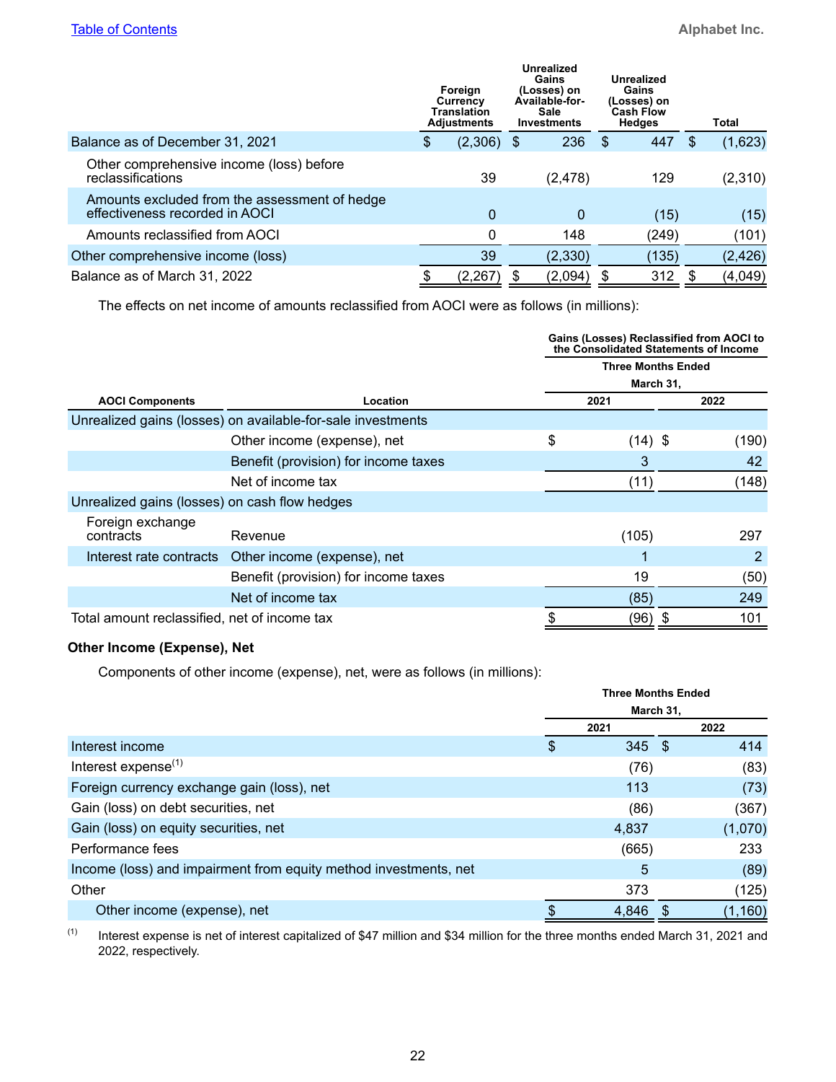|                                                                                 | Foreign<br>Currency<br><b>Translation</b><br><b>Adjustments</b> | Gains<br>Available-for-<br><b>Sale</b><br><b>Investments</b> | Unrealized<br>(Losses) on |      | Unrealized<br>Gains<br>(Losses) on<br><b>Cash Flow</b><br><b>Hedges</b> |     | Total    |
|---------------------------------------------------------------------------------|-----------------------------------------------------------------|--------------------------------------------------------------|---------------------------|------|-------------------------------------------------------------------------|-----|----------|
| Balance as of December 31, 2021                                                 | \$<br>$(2,306)$ \$                                              |                                                              | 236                       | - \$ | 447                                                                     | \$. | (1,623)  |
| Other comprehensive income (loss) before<br>reclassifications                   | 39                                                              |                                                              | (2, 478)                  |      | 129                                                                     |     | (2,310)  |
| Amounts excluded from the assessment of hedge<br>effectiveness recorded in AOCI | 0                                                               |                                                              | 0                         |      | (15)                                                                    |     | (15)     |
| Amounts reclassified from AOCI                                                  | 0                                                               |                                                              | 148                       |      | (249)                                                                   |     | (101)    |
| Other comprehensive income (loss)                                               | 39                                                              |                                                              | (2, 330)                  |      | (135)                                                                   |     | (2, 426) |
| Balance as of March 31, 2022                                                    | (2, 267)                                                        | \$                                                           | (2,094)                   | S    | 312                                                                     |     | (4,049)  |

The effects on net income of amounts reclassified from AOCI were as follows (in millions):

|                                               |                                                             | Gains (Losses) Reclassified from AOCI to<br>the Consolidated Statements of Income |  |       |  |  |
|-----------------------------------------------|-------------------------------------------------------------|-----------------------------------------------------------------------------------|--|-------|--|--|
|                                               |                                                             | <b>Three Months Ended</b>                                                         |  |       |  |  |
|                                               |                                                             | March 31,                                                                         |  |       |  |  |
| <b>AOCI Components</b>                        | Location                                                    | 2021                                                                              |  | 2022  |  |  |
|                                               | Unrealized gains (losses) on available-for-sale investments |                                                                                   |  |       |  |  |
|                                               | Other income (expense), net                                 | \$<br>$(14)$ \$                                                                   |  | (190) |  |  |
|                                               | Benefit (provision) for income taxes                        | 3                                                                                 |  | 42    |  |  |
|                                               | Net of income tax                                           | (11)                                                                              |  | (148) |  |  |
| Unrealized gains (losses) on cash flow hedges |                                                             |                                                                                   |  |       |  |  |
| Foreign exchange                              |                                                             |                                                                                   |  |       |  |  |
| contracts                                     | Revenue                                                     | (105)                                                                             |  | 297   |  |  |
| Interest rate contracts                       | Other income (expense), net                                 |                                                                                   |  | 2     |  |  |
|                                               | Benefit (provision) for income taxes                        | 19                                                                                |  | (50)  |  |  |
|                                               | Net of income tax                                           | (85)                                                                              |  | 249   |  |  |
| Total amount reclassified, net of income tax  |                                                             | \$<br>(96) \$                                                                     |  | 101   |  |  |

# **Other Income (Expense), Net**

Components of other income (expense), net, were as follows (in millions):

|                                                                  | <b>Three Months Ended</b> |           |  |          |  |  |  |
|------------------------------------------------------------------|---------------------------|-----------|--|----------|--|--|--|
|                                                                  |                           | March 31, |  |          |  |  |  |
|                                                                  |                           | 2021      |  | 2022     |  |  |  |
| Interest income                                                  | \$                        | $345$ \$  |  | 414      |  |  |  |
| Interest expense <sup>(1)</sup>                                  |                           | (76)      |  | (83)     |  |  |  |
| Foreign currency exchange gain (loss), net                       |                           | 113       |  | (73)     |  |  |  |
| Gain (loss) on debt securities, net                              |                           | (86)      |  | (367)    |  |  |  |
| Gain (loss) on equity securities, net                            |                           | 4,837     |  | (1,070)  |  |  |  |
| Performance fees                                                 |                           | (665)     |  | 233      |  |  |  |
| Income (loss) and impairment from equity method investments, net |                           | 5         |  | (89)     |  |  |  |
| Other                                                            |                           | 373       |  | (125)    |  |  |  |
| Other income (expense), net                                      |                           | 4.846     |  | (1, 160) |  |  |  |

 $(1)$  Interest expense is net of interest capitalized of \$47 million and \$34 million for the three months ended March 31, 2021 and 2022, respectively.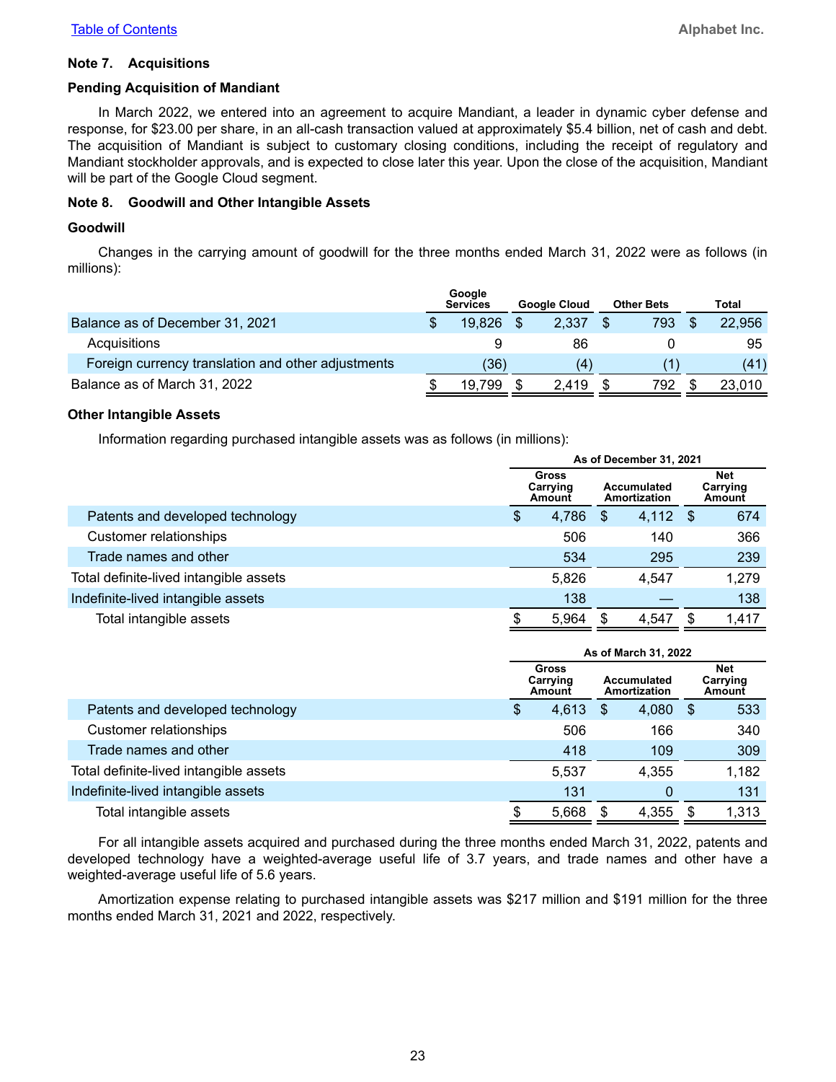#### **Note 7. Acquisitions**

#### **Pending Acquisition of Mandiant**

In March 2022, we entered into an agreement to acquire Mandiant, a leader in dynamic cyber defense and response, for \$23.00 per share, in an all-cash transaction valued at approximately \$5.4 billion, net of cash and debt. The acquisition of Mandiant is subject to customary closing conditions, including the receipt of regulatory and Mandiant stockholder approvals, and is expected to close later this year. Upon the close of the acquisition, Mandiant will be part of the Google Cloud segment.

#### **Note 8. Goodwill and Other Intangible Assets**

#### **Goodwill**

Changes in the carrying amount of goodwill for the three months ended March 31, 2022 were as follows (in millions):

|                                                    | Google<br><b>Services</b> |   | <b>Google Cloud</b> | <b>Other Bets</b> | Total  |
|----------------------------------------------------|---------------------------|---|---------------------|-------------------|--------|
| Balance as of December 31, 2021                    | 19.826                    | S | 2,337               | 793               | 22,956 |
| Acquisitions                                       |                           |   | 86                  |                   | 95     |
| Foreign currency translation and other adjustments | (36)                      |   |                     |                   | (41)   |
| Balance as of March 31, 2022                       | 19.799                    |   | 2.419               | 792               | 23,010 |

#### **Other Intangible Assets**

Information regarding purchased intangible assets was as follows (in millions):

|                                        | As of December 31, 2021 |                                    |    |                             |      |                           |  |
|----------------------------------------|-------------------------|------------------------------------|----|-----------------------------|------|---------------------------|--|
|                                        |                         | <b>Gross</b><br>Carrying<br>Amount |    | Accumulated<br>Amortization |      | Net<br>Carrying<br>Amount |  |
| Patents and developed technology       | \$                      | 4,786                              | \$ | 4,112                       | - \$ | 674                       |  |
| <b>Customer relationships</b>          |                         | 506                                |    | 140                         |      | 366                       |  |
| Trade names and other                  |                         | 534                                |    | 295                         |      | 239                       |  |
| Total definite-lived intangible assets |                         | 5,826                              |    | 4.547                       |      | 1,279                     |  |
| Indefinite-lived intangible assets     |                         | 138                                |    |                             |      | 138                       |  |
| Total intangible assets                |                         | 5,964                              |    | 4.547                       |      | 1,417                     |  |

|                                        | As of March 31, 2022        |       |   |                             |      |                                  |  |
|----------------------------------------|-----------------------------|-------|---|-----------------------------|------|----------------------------------|--|
|                                        | Gross<br>Carrying<br>Amount |       |   | Accumulated<br>Amortization |      | <b>Net</b><br>Carrying<br>Amount |  |
| Patents and developed technology       | \$                          | 4,613 | S | 4,080                       | - \$ | 533                              |  |
| <b>Customer relationships</b>          |                             | 506   |   | 166                         |      | 340                              |  |
| Trade names and other                  |                             | 418   |   | 109                         |      | 309                              |  |
| Total definite-lived intangible assets |                             | 5.537 |   | 4.355                       |      | 1,182                            |  |
| Indefinite-lived intangible assets     |                             | 131   |   | 0                           |      | 131                              |  |
| Total intangible assets                |                             | 5,668 |   | 4,355                       |      | 1,313                            |  |

For all intangible assets acquired and purchased during the three months ended March 31, 2022, patents and developed technology have a weighted-average useful life of 3.7 years, and trade names and other have a weighted-average useful life of 5.6 years.

Amortization expense relating to purchased intangible assets was \$217 million and \$191 million for the three months ended March 31, 2021 and 2022, respectively.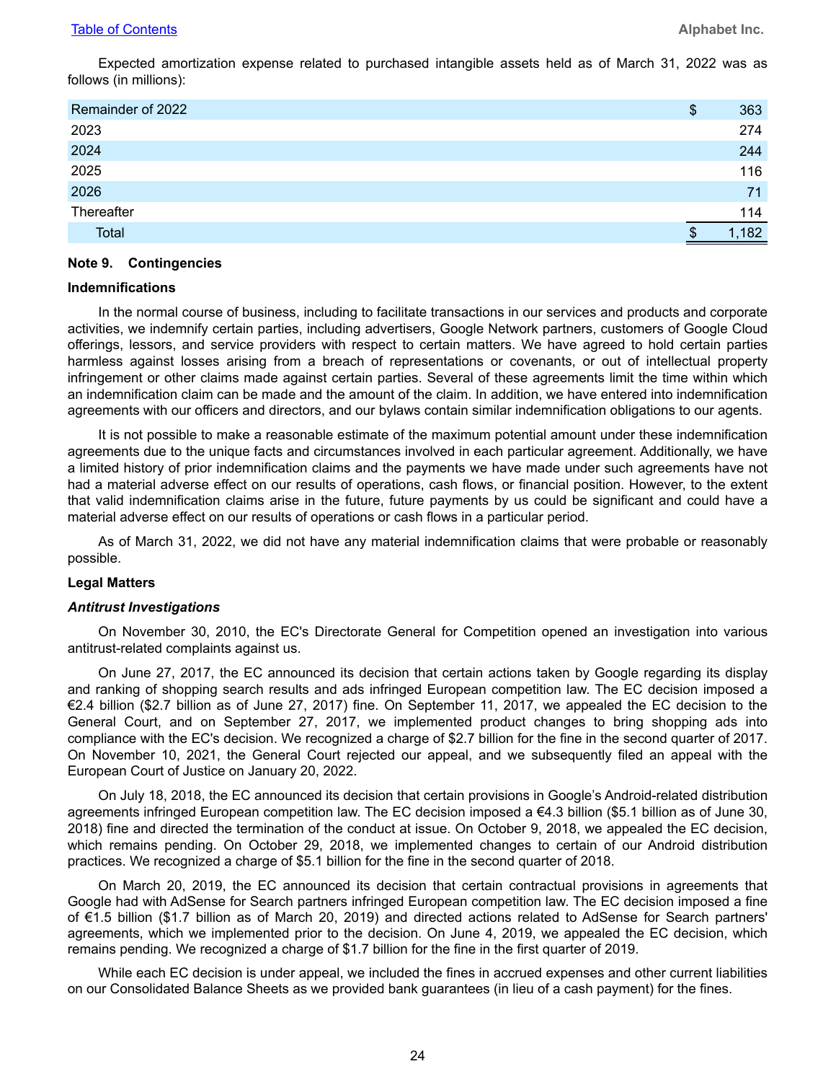Expected amortization expense related to purchased intangible assets held as of March 31, 2022 was as follows (in millions):

| Remainder of 2022 | \$<br>363 |
|-------------------|-----------|
| 2023              | 274       |
| 2024              | 244       |
| 2025              | 116       |
| 2026              | 71        |
| Thereafter        | 114       |
| Total             | 1,182     |

#### **Note 9. Contingencies**

#### **Indemnifications**

In the normal course of business, including to facilitate transactions in our services and products and corporate activities, we indemnify certain parties, including advertisers, Google Network partners, customers of Google Cloud offerings, lessors, and service providers with respect to certain matters. We have agreed to hold certain parties harmless against losses arising from a breach of representations or covenants, or out of intellectual property infringement or other claims made against certain parties. Several of these agreements limit the time within which an indemnification claim can be made and the amount of the claim. In addition, we have entered into indemnification agreements with our officers and directors, and our bylaws contain similar indemnification obligations to our agents.

It is not possible to make a reasonable estimate of the maximum potential amount under these indemnification agreements due to the unique facts and circumstances involved in each particular agreement. Additionally, we have a limited history of prior indemnification claims and the payments we have made under such agreements have not had a material adverse effect on our results of operations, cash flows, or financial position. However, to the extent that valid indemnification claims arise in the future, future payments by us could be significant and could have a material adverse effect on our results of operations or cash flows in a particular period.

As of March 31, 2022, we did not have any material indemnification claims that were probable or reasonably possible.

#### **Legal Matters**

#### *Antitrust Investigations*

On November 30, 2010, the EC's Directorate General for Competition opened an investigation into various antitrust-related complaints against us.

On June 27, 2017, the EC announced its decision that certain actions taken by Google regarding its display and ranking of shopping search results and ads infringed European competition law. The EC decision imposed a €2.4 billion (\$2.7 billion as of June 27, 2017) fine. On September 11, 2017, we appealed the EC decision to the General Court, and on September 27, 2017, we implemented product changes to bring shopping ads into compliance with the EC's decision. We recognized a charge of \$2.7 billion for the fine in the second quarter of 2017. On November 10, 2021, the General Court rejected our appeal, and we subsequently filed an appeal with the European Court of Justice on January 20, 2022.

On July 18, 2018, the EC announced its decision that certain provisions in Google's Android-related distribution agreements infringed European competition law. The EC decision imposed a €4.3 billion (\$5.1 billion as of June 30, 2018) fine and directed the termination of the conduct at issue. On October 9, 2018, we appealed the EC decision, which remains pending. On October 29, 2018, we implemented changes to certain of our Android distribution practices. We recognized a charge of \$5.1 billion for the fine in the second quarter of 2018.

On March 20, 2019, the EC announced its decision that certain contractual provisions in agreements that Google had with AdSense for Search partners infringed European competition law. The EC decision imposed a fine of €1.5 billion (\$1.7 billion as of March 20, 2019) and directed actions related to AdSense for Search partners' agreements, which we implemented prior to the decision. On June 4, 2019, we appealed the EC decision, which remains pending. We recognized a charge of \$1.7 billion for the fine in the first quarter of 2019.

While each EC decision is under appeal, we included the fines in accrued expenses and other current liabilities on our Consolidated Balance Sheets as we provided bank guarantees (in lieu of a cash payment) for the fines.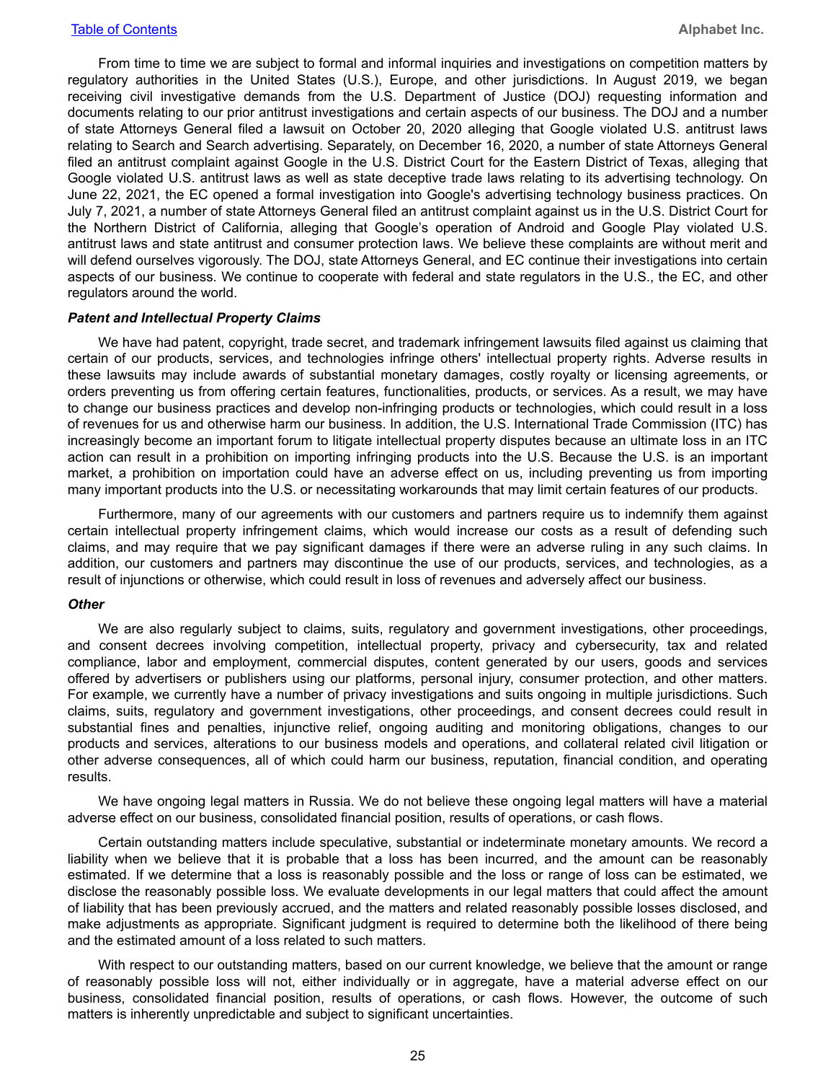From time to time we are subject to formal and informal inquiries and investigations on competition matters by regulatory authorities in the United States (U.S.), Europe, and other jurisdictions. In August 2019, we began receiving civil investigative demands from the U.S. Department of Justice (DOJ) requesting information and documents relating to our prior antitrust investigations and certain aspects of our business. The DOJ and a number of state Attorneys General filed a lawsuit on October 20, 2020 alleging that Google violated U.S. antitrust laws relating to Search and Search advertising. Separately, on December 16, 2020, a number of state Attorneys General filed an antitrust complaint against Google in the U.S. District Court for the Eastern District of Texas, alleging that Google violated U.S. antitrust laws as well as state deceptive trade laws relating to its advertising technology. On June 22, 2021, the EC opened a formal investigation into Google's advertising technology business practices. On July 7, 2021, a number of state Attorneys General filed an antitrust complaint against us in the U.S. District Court for the Northern District of California, alleging that Google's operation of Android and Google Play violated U.S. antitrust laws and state antitrust and consumer protection laws. We believe these complaints are without merit and will defend ourselves vigorously. The DOJ, state Attorneys General, and EC continue their investigations into certain aspects of our business. We continue to cooperate with federal and state regulators in the U.S., the EC, and other regulators around the world.

#### *Patent and Intellectual Property Claims*

We have had patent, copyright, trade secret, and trademark infringement lawsuits filed against us claiming that certain of our products, services, and technologies infringe others' intellectual property rights. Adverse results in these lawsuits may include awards of substantial monetary damages, costly royalty or licensing agreements, or orders preventing us from offering certain features, functionalities, products, or services. As a result, we may have to change our business practices and develop non-infringing products or technologies, which could result in a loss of revenues for us and otherwise harm our business. In addition, the U.S. International Trade Commission (ITC) has increasingly become an important forum to litigate intellectual property disputes because an ultimate loss in an ITC action can result in a prohibition on importing infringing products into the U.S. Because the U.S. is an important market, a prohibition on importation could have an adverse effect on us, including preventing us from importing many important products into the U.S. or necessitating workarounds that may limit certain features of our products.

Furthermore, many of our agreements with our customers and partners require us to indemnify them against certain intellectual property infringement claims, which would increase our costs as a result of defending such claims, and may require that we pay significant damages if there were an adverse ruling in any such claims. In addition, our customers and partners may discontinue the use of our products, services, and technologies, as a result of injunctions or otherwise, which could result in loss of revenues and adversely affect our business.

#### *Other*

We are also regularly subject to claims, suits, regulatory and government investigations, other proceedings, and consent decrees involving competition, intellectual property, privacy and cybersecurity, tax and related compliance, labor and employment, commercial disputes, content generated by our users, goods and services offered by advertisers or publishers using our platforms, personal injury, consumer protection, and other matters. For example, we currently have a number of privacy investigations and suits ongoing in multiple jurisdictions. Such claims, suits, regulatory and government investigations, other proceedings, and consent decrees could result in substantial fines and penalties, injunctive relief, ongoing auditing and monitoring obligations, changes to our products and services, alterations to our business models and operations, and collateral related civil litigation or other adverse consequences, all of which could harm our business, reputation, financial condition, and operating results.

We have ongoing legal matters in Russia. We do not believe these ongoing legal matters will have a material adverse effect on our business, consolidated financial position, results of operations, or cash flows.

Certain outstanding matters include speculative, substantial or indeterminate monetary amounts. We record a liability when we believe that it is probable that a loss has been incurred, and the amount can be reasonably estimated. If we determine that a loss is reasonably possible and the loss or range of loss can be estimated, we disclose the reasonably possible loss. We evaluate developments in our legal matters that could affect the amount of liability that has been previously accrued, and the matters and related reasonably possible losses disclosed, and make adjustments as appropriate. Significant judgment is required to determine both the likelihood of there being and the estimated amount of a loss related to such matters.

With respect to our outstanding matters, based on our current knowledge, we believe that the amount or range of reasonably possible loss will not, either individually or in aggregate, have a material adverse effect on our business, consolidated financial position, results of operations, or cash flows. However, the outcome of such matters is inherently unpredictable and subject to significant uncertainties.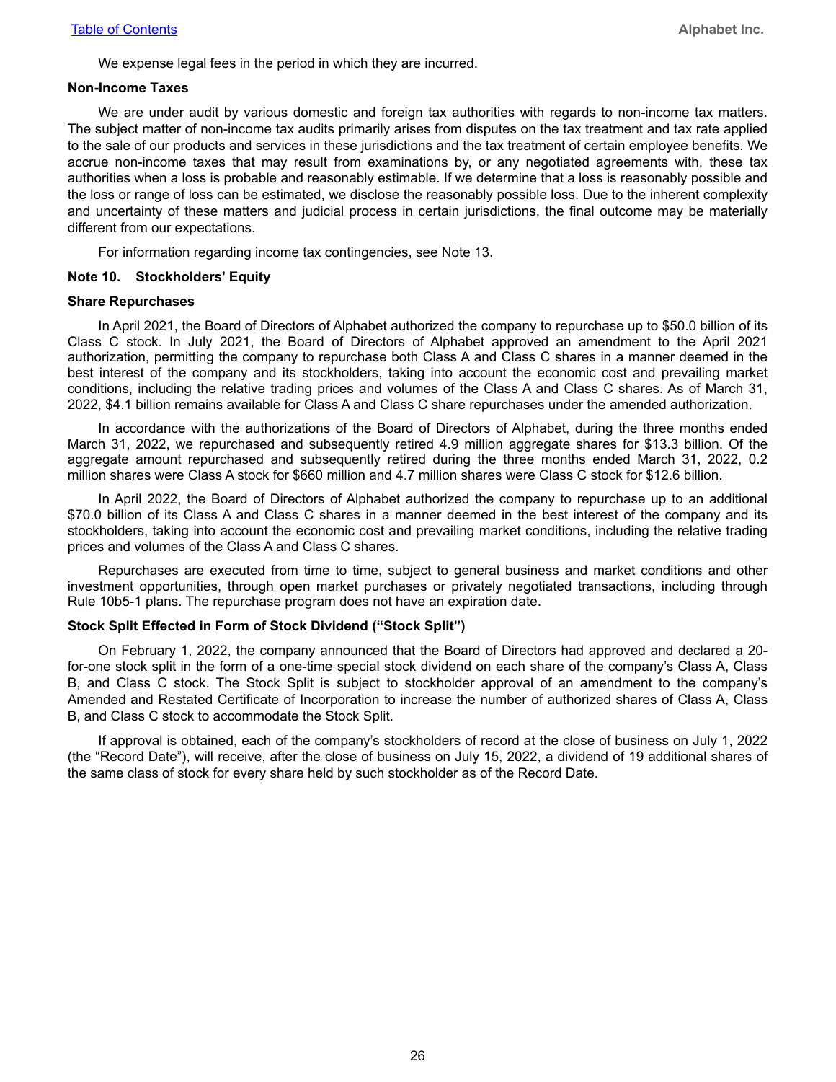We expense legal fees in the period in which they are incurred.

#### **Non-Income Taxes**

We are under audit by various domestic and foreign tax authorities with regards to non-income tax matters. The subject matter of non-income tax audits primarily arises from disputes on the tax treatment and tax rate applied to the sale of our products and services in these jurisdictions and the tax treatment of certain employee benefits. We accrue non-income taxes that may result from examinations by, or any negotiated agreements with, these tax authorities when a loss is probable and reasonably estimable. If we determine that a loss is reasonably possible and the loss or range of loss can be estimated, we disclose the reasonably possible loss. Due to the inherent complexity and uncertainty of these matters and judicial process in certain jurisdictions, the final outcome may be materially different from our expectations.

For information regarding income tax contingencies, see Note 13.

#### **Note 10. Stockholders' Equity**

#### **Share Repurchases**

In April 2021, the Board of Directors of Alphabet authorized the company to repurchase up to \$50.0 billion of its Class C stock. In July 2021, the Board of Directors of Alphabet approved an amendment to the April 2021 authorization, permitting the company to repurchase both Class A and Class C shares in a manner deemed in the best interest of the company and its stockholders, taking into account the economic cost and prevailing market conditions, including the relative trading prices and volumes of the Class A and Class C shares. As of March 31, 2022, \$4.1 billion remains available for Class A and Class C share repurchases under the amended authorization.

In accordance with the authorizations of the Board of Directors of Alphabet, during the three months ended March 31, 2022, we repurchased and subsequently retired 4.9 million aggregate shares for \$13.3 billion. Of the aggregate amount repurchased and subsequently retired during the three months ended March 31, 2022, 0.2 million shares were Class A stock for \$660 million and 4.7 million shares were Class C stock for \$12.6 billion.

In April 2022, the Board of Directors of Alphabet authorized the company to repurchase up to an additional \$70.0 billion of its Class A and Class C shares in a manner deemed in the best interest of the company and its stockholders, taking into account the economic cost and prevailing market conditions, including the relative trading prices and volumes of the Class A and Class C shares.

Repurchases are executed from time to time, subject to general business and market conditions and other investment opportunities, through open market purchases or privately negotiated transactions, including through Rule 10b5-1 plans. The repurchase program does not have an expiration date.

#### **Stock Split Effected in Form of Stock Dividend ("Stock Split")**

On February 1, 2022, the company announced that the Board of Directors had approved and declared a 20 for-one stock split in the form of a one-time special stock dividend on each share of the company's Class A, Class B, and Class C stock. The Stock Split is subject to stockholder approval of an amendment to the company's Amended and Restated Certificate of Incorporation to increase the number of authorized shares of Class A, Class B, and Class C stock to accommodate the Stock Split.

If approval is obtained, each of the company's stockholders of record at the close of business on July 1, 2022 (the "Record Date"), will receive, after the close of business on July 15, 2022, a dividend of 19 additional shares of the same class of stock for every share held by such stockholder as of the Record Date.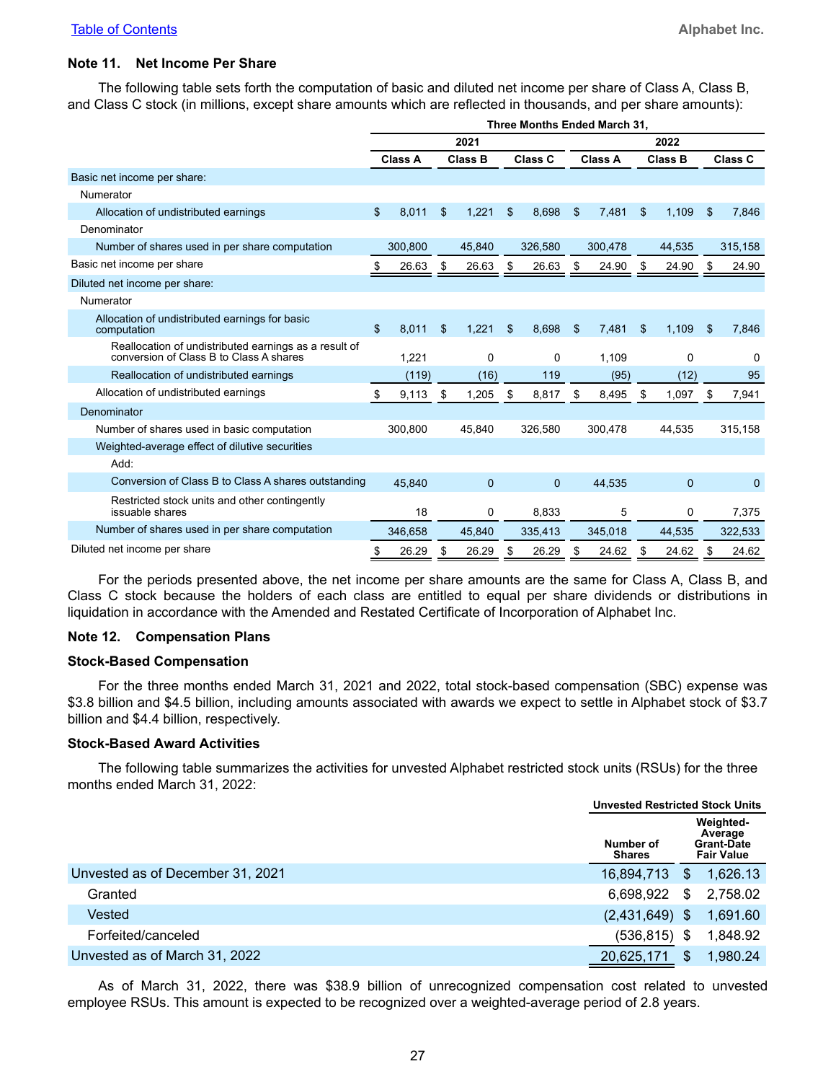#### **Note 11. Net Income Per Share**

The following table sets forth the computation of basic and diluted net income per share of Class A, Class B, and Class C stock (in millions, except share amounts which are reflected in thousands, and per share amounts):

|                                                                                                  | Three Months Ended March 31. |                |      |                |    |                |      |                |    |                |    |                |  |
|--------------------------------------------------------------------------------------------------|------------------------------|----------------|------|----------------|----|----------------|------|----------------|----|----------------|----|----------------|--|
|                                                                                                  | 2021                         |                |      |                |    |                | 2022 |                |    |                |    |                |  |
|                                                                                                  |                              | <b>Class A</b> |      | <b>Class B</b> |    | <b>Class C</b> |      | <b>Class A</b> |    | <b>Class B</b> |    | <b>Class C</b> |  |
| Basic net income per share:                                                                      |                              |                |      |                |    |                |      |                |    |                |    |                |  |
| Numerator                                                                                        |                              |                |      |                |    |                |      |                |    |                |    |                |  |
| Allocation of undistributed earnings                                                             | \$                           | 8,011          | \$   | 1,221          | \$ | 8,698          | \$   | 7,481          | \$ | 1,109          | \$ | 7,846          |  |
| Denominator                                                                                      |                              |                |      |                |    |                |      |                |    |                |    |                |  |
| Number of shares used in per share computation                                                   |                              | 300.800        |      | 45.840         |    | 326.580        |      | 300.478        |    | 44.535         |    | 315,158        |  |
| Basic net income per share                                                                       |                              | 26.63          | - \$ | 26.63          | \$ | 26.63          | \$   | 24.90          |    | 24.90          |    | 24.90          |  |
| Diluted net income per share:                                                                    |                              |                |      |                |    |                |      |                |    |                |    |                |  |
| Numerator                                                                                        |                              |                |      |                |    |                |      |                |    |                |    |                |  |
| Allocation of undistributed earnings for basic<br>computation                                    | \$                           | 8,011          | \$   | 1,221          | \$ | 8,698          | \$   | 7,481          | \$ | 1,109          | \$ | 7,846          |  |
| Reallocation of undistributed earnings as a result of<br>conversion of Class B to Class A shares |                              | 1,221          |      | $\Omega$       |    | 0              |      | 1,109          |    | $\Omega$       |    | 0              |  |
| Reallocation of undistributed earnings                                                           |                              | (119)          |      | (16)           |    | 119            |      | (95)           |    | (12)           |    | 95             |  |
| Allocation of undistributed earnings                                                             | \$                           | 9,113          | \$   | 1,205          | \$ | 8,817          | \$   | 8,495          | \$ | 1,097          | \$ | 7,941          |  |
| Denominator                                                                                      |                              |                |      |                |    |                |      |                |    |                |    |                |  |
| Number of shares used in basic computation                                                       |                              | 300,800        |      | 45,840         |    | 326,580        |      | 300,478        |    | 44,535         |    | 315,158        |  |
| Weighted-average effect of dilutive securities                                                   |                              |                |      |                |    |                |      |                |    |                |    |                |  |
| Add:                                                                                             |                              |                |      |                |    |                |      |                |    |                |    |                |  |
| Conversion of Class B to Class A shares outstanding                                              |                              | 45.840         |      | $\mathbf{0}$   |    | $\mathbf{0}$   |      | 44.535         |    | $\mathbf{0}$   |    | $\Omega$       |  |
| Restricted stock units and other contingently<br>issuable shares                                 |                              | 18             |      | 0              |    | 8,833          |      | 5              |    | 0              |    | 7,375          |  |
| Number of shares used in per share computation                                                   |                              | 346.658        |      | 45.840         |    | 335,413        |      | 345.018        |    | 44,535         |    | 322,533        |  |
| Diluted net income per share                                                                     | \$                           | 26.29          | \$   | 26.29          | \$ | 26.29          | \$   | 24.62          | \$ | 24.62          | \$ | 24.62          |  |

For the periods presented above, the net income per share amounts are the same for Class A, Class B, and Class C stock because the holders of each class are entitled to equal per share dividends or distributions in liquidation in accordance with the Amended and Restated Certificate of Incorporation of Alphabet Inc.

#### **Note 12. Compensation Plans**

#### **Stock-Based Compensation**

For the three months ended March 31, 2021 and 2022, total stock-based compensation (SBC) expense was \$3.8 billion and \$4.5 billion, including amounts associated with awards we expect to settle in Alphabet stock of \$3.7 billion and \$4.4 billion, respectively.

#### **Stock-Based Award Activities**

The following table summarizes the activities for unvested Alphabet restricted stock units (RSUs) for the three months ended March 31, 2022:

|                                  |                            | <b>Unvested Restricted Stock Units</b> |                                                                |  |  |
|----------------------------------|----------------------------|----------------------------------------|----------------------------------------------------------------|--|--|
|                                  | Number of<br><b>Shares</b> |                                        | Weighted-<br>Average<br><b>Grant-Date</b><br><b>Fair Value</b> |  |  |
| Unvested as of December 31, 2021 | 16,894,713                 | \$.                                    | 1,626.13                                                       |  |  |
| Granted                          | 6,698,922                  | \$                                     | 2,758.02                                                       |  |  |
| Vested                           | (2,431,649)                | - \$                                   | 1.691.60                                                       |  |  |
| Forfeited/canceled               | (536, 815)                 | S                                      | 1,848.92                                                       |  |  |
| Unvested as of March 31, 2022    | 20,625,171                 | \$.                                    | 1,980.24                                                       |  |  |

As of March 31, 2022, there was \$38.9 billion of unrecognized compensation cost related to unvested employee RSUs. This amount is expected to be recognized over a weighted-average period of 2.8 years.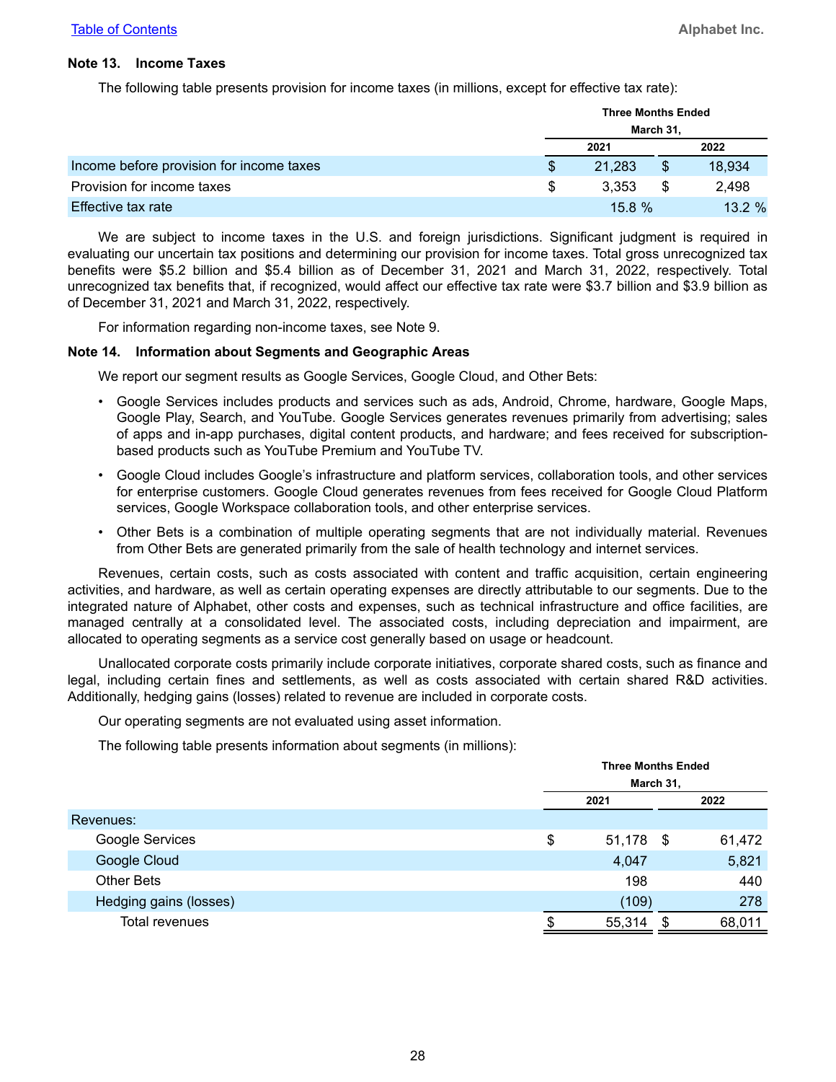#### **Note 13. Income Taxes**

The following table presents provision for income taxes (in millions, except for effective tax rate):

|                                          |   | <b>Three Months Ended</b> |  |        |  |  |  |
|------------------------------------------|---|---------------------------|--|--------|--|--|--|
|                                          |   | March 31,                 |  |        |  |  |  |
|                                          |   | 2021                      |  | 2022   |  |  |  |
| Income before provision for income taxes |   | 21,283                    |  | 18,934 |  |  |  |
| Provision for income taxes               | S | 3.353                     |  | 2.498  |  |  |  |
| Effective tax rate                       |   | 15.8%                     |  | 13.2%  |  |  |  |

We are subject to income taxes in the U.S. and foreign jurisdictions. Significant judgment is required in evaluating our uncertain tax positions and determining our provision for income taxes. Total gross unrecognized tax benefits were \$5.2 billion and \$5.4 billion as of December 31, 2021 and March 31, 2022, respectively. Total unrecognized tax benefits that, if recognized, would affect our effective tax rate were \$3.7 billion and \$3.9 billion as of December 31, 2021 and March 31, 2022, respectively.

For information regarding non-income taxes, see Note 9.

#### **Note 14. Information about Segments and Geographic Areas**

We report our segment results as Google Services, Google Cloud, and Other Bets:

- Google Services includes products and services such as ads, Android, Chrome, hardware, Google Maps, Google Play, Search, and YouTube. Google Services generates revenues primarily from advertising; sales of apps and in-app purchases, digital content products, and hardware; and fees received for subscriptionbased products such as YouTube Premium and YouTube TV.
- Google Cloud includes Google's infrastructure and platform services, collaboration tools, and other services for enterprise customers. Google Cloud generates revenues from fees received for Google Cloud Platform services, Google Workspace collaboration tools, and other enterprise services.
- Other Bets is a combination of multiple operating segments that are not individually material. Revenues from Other Bets are generated primarily from the sale of health technology and internet services.

Revenues, certain costs, such as costs associated with content and traffic acquisition, certain engineering activities, and hardware, as well as certain operating expenses are directly attributable to our segments. Due to the integrated nature of Alphabet, other costs and expenses, such as technical infrastructure and office facilities, are managed centrally at a consolidated level. The associated costs, including depreciation and impairment, are allocated to operating segments as a service cost generally based on usage or headcount.

Unallocated corporate costs primarily include corporate initiatives, corporate shared costs, such as finance and legal, including certain fines and settlements, as well as costs associated with certain shared R&D activities. Additionally, hedging gains (losses) related to revenue are included in corporate costs.

Our operating segments are not evaluated using asset information.

The following table presents information about segments (in millions):

|                        | <b>Three Months Ended</b> |      |        |  |  |  |
|------------------------|---------------------------|------|--------|--|--|--|
|                        | March 31,                 |      |        |  |  |  |
|                        | 2021                      |      | 2022   |  |  |  |
| Revenues:              |                           |      |        |  |  |  |
| Google Services        | \$<br>51,178              | - \$ | 61,472 |  |  |  |
| Google Cloud           | 4,047                     |      | 5,821  |  |  |  |
| <b>Other Bets</b>      | 198                       |      | 440    |  |  |  |
| Hedging gains (losses) | (109)                     |      | 278    |  |  |  |
| Total revenues         | 55,314                    |      | 68,011 |  |  |  |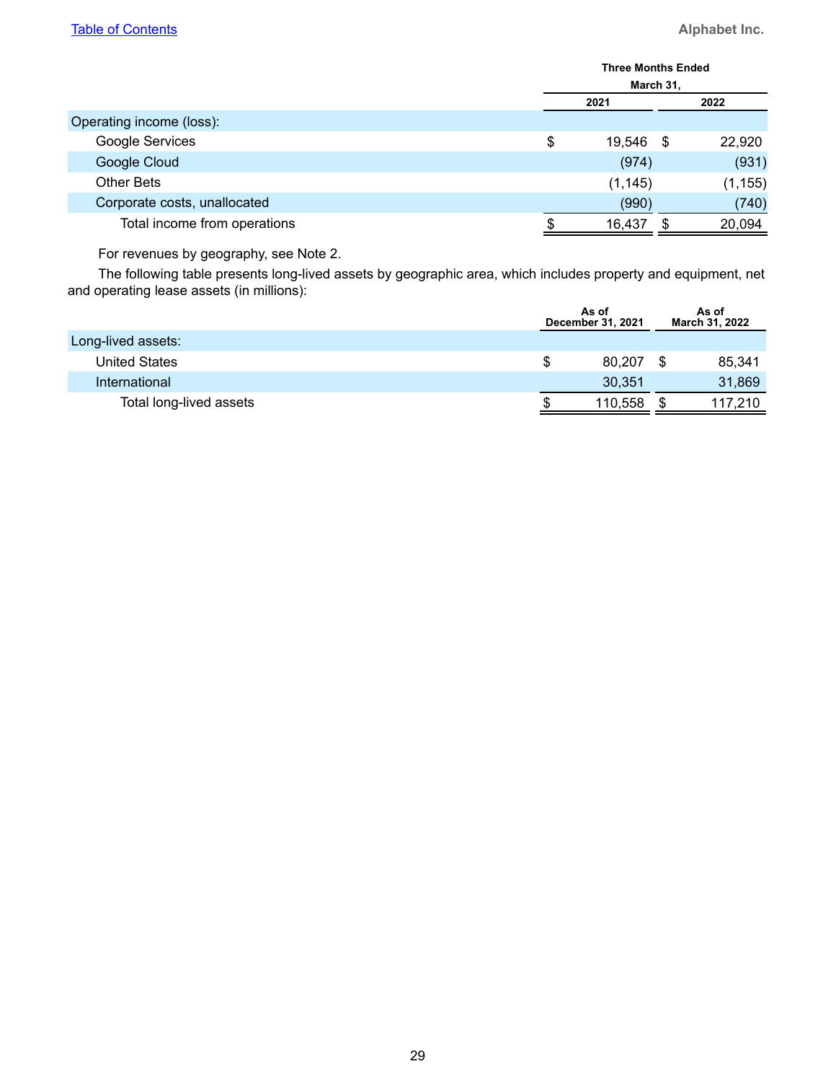|      | <b>Three Months Ended</b> |      |          |  |  |  |  |
|------|---------------------------|------|----------|--|--|--|--|
|      | March 31,                 |      |          |  |  |  |  |
| 2021 |                           |      | 2022     |  |  |  |  |
|      |                           |      |          |  |  |  |  |
| \$   | 19,546                    | - \$ | 22,920   |  |  |  |  |
|      | (974)                     |      | (931)    |  |  |  |  |
|      | (1, 145)                  |      | (1, 155) |  |  |  |  |
|      | (990)                     |      | (740)    |  |  |  |  |
|      | 16,437                    |      | 20,094   |  |  |  |  |
|      |                           |      |          |  |  |  |  |

For revenues by geography, see Note 2.

The following table presents long-lived assets by geographic area, which includes property and equipment, net and operating lease assets (in millions):

|                         |   | As of<br>December 31, 2021 |    | As of<br>March 31, 2022 |
|-------------------------|---|----------------------------|----|-------------------------|
| Long-lived assets:      |   |                            |    |                         |
| <b>United States</b>    | S | 80.207                     | -S | 85,341                  |
| International           |   | 30,351                     |    | 31,869                  |
| Total long-lived assets |   | 110,558                    |    | 117.210                 |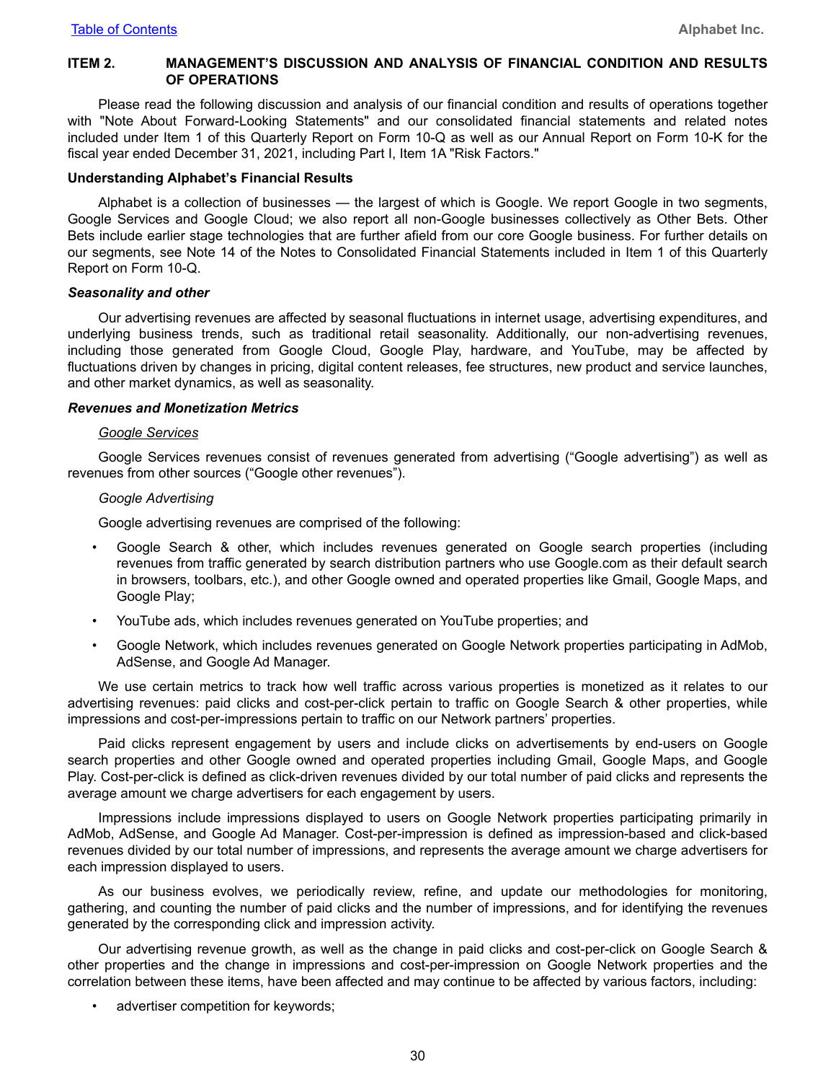#### <span id="page-29-0"></span>**ITEM 2. MANAGEMENT'S DISCUSSION AND ANALYSIS OF FINANCIAL CONDITION AND RESULTS OF OPERATIONS**

Please read the following discussion and analysis of our financial condition and results of operations together with "Note About Forward-Looking Statements" and our consolidated financial statements and related notes included under Item 1 of this Quarterly Report on Form 10-Q as well as our Annual Report on Form 10-K for the fiscal year ended December 31, 2021, including Part I, Item 1A "Risk Factors."

#### **Understanding Alphabet's Financial Results**

Alphabet is a collection of businesses — the largest of which is Google. We report Google in two segments, Google Services and Google Cloud; we also report all non-Google businesses collectively as Other Bets. Other Bets include earlier stage technologies that are further afield from our core Google business. For further details on our segments, see Note 14 of the Notes to Consolidated Financial Statements included in Item 1 of this Quarterly Report on Form 10-Q.

#### *Seasonality and other*

Our advertising revenues are affected by seasonal fluctuations in internet usage, advertising expenditures, and underlying business trends, such as traditional retail seasonality. Additionally, our non-advertising revenues, including those generated from Google Cloud, Google Play, hardware, and YouTube, may be affected by fluctuations driven by changes in pricing, digital content releases, fee structures, new product and service launches, and other market dynamics, as well as seasonality.

#### *Revenues and Monetization Metrics*

#### *Google Services*

Google Services revenues consist of revenues generated from advertising ("Google advertising") as well as revenues from other sources ("Google other revenues").

#### *Google Advertising*

Google advertising revenues are comprised of the following:

- Google Search & other, which includes revenues generated on Google search properties (including revenues from traffic generated by search distribution partners who use Google.com as their default search in browsers, toolbars, etc.), and other Google owned and operated properties like Gmail, Google Maps, and Google Play;
- YouTube ads, which includes revenues generated on YouTube properties; and
- Google Network, which includes revenues generated on Google Network properties participating in AdMob, AdSense, and Google Ad Manager.

We use certain metrics to track how well traffic across various properties is monetized as it relates to our advertising revenues: paid clicks and cost-per-click pertain to traffic on Google Search & other properties, while impressions and cost-per-impressions pertain to traffic on our Network partners' properties.

Paid clicks represent engagement by users and include clicks on advertisements by end-users on Google search properties and other Google owned and operated properties including Gmail, Google Maps, and Google Play. Cost-per-click is defined as click-driven revenues divided by our total number of paid clicks and represents the average amount we charge advertisers for each engagement by users.

Impressions include impressions displayed to users on Google Network properties participating primarily in AdMob, AdSense, and Google Ad Manager. Cost-per-impression is defined as impression-based and click-based revenues divided by our total number of impressions, and represents the average amount we charge advertisers for each impression displayed to users.

As our business evolves, we periodically review, refine, and update our methodologies for monitoring, gathering, and counting the number of paid clicks and the number of impressions, and for identifying the revenues generated by the corresponding click and impression activity.

Our advertising revenue growth, as well as the change in paid clicks and cost-per-click on Google Search & other properties and the change in impressions and cost-per-impression on Google Network properties and the correlation between these items, have been affected and may continue to be affected by various factors, including:

advertiser competition for keywords;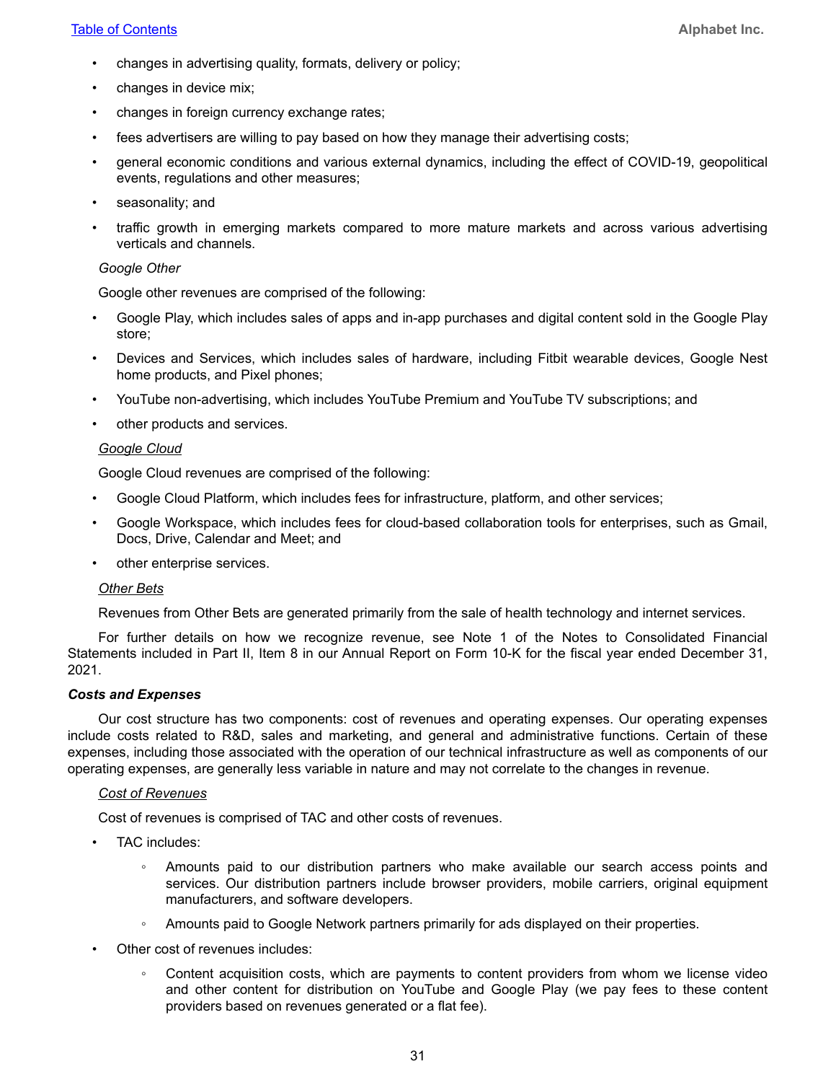#### **[Table of Contents](#page-1-0) <b>Alphabet Inc. Alphabet Inc.**

- changes in advertising quality, formats, delivery or policy;
- changes in device mix;
- changes in foreign currency exchange rates;
- fees advertisers are willing to pay based on how they manage their advertising costs;
- general economic conditions and various external dynamics, including the effect of COVID-19, geopolitical events, regulations and other measures;
- seasonality; and
- traffic growth in emerging markets compared to more mature markets and across various advertising verticals and channels.

#### *Google Other*

Google other revenues are comprised of the following:

- Google Play, which includes sales of apps and in-app purchases and digital content sold in the Google Play store;
- Devices and Services, which includes sales of hardware, including Fitbit wearable devices, Google Nest home products, and Pixel phones;
- YouTube non-advertising, which includes YouTube Premium and YouTube TV subscriptions; and
- other products and services.

#### *Google Cloud*

Google Cloud revenues are comprised of the following:

- Google Cloud Platform, which includes fees for infrastructure, platform, and other services;
- Google Workspace, which includes fees for cloud-based collaboration tools for enterprises, such as Gmail, Docs, Drive, Calendar and Meet; and
- other enterprise services.

#### *Other Bets*

Revenues from Other Bets are generated primarily from the sale of health technology and internet services.

For further details on how we recognize revenue, see Note 1 of the Notes to Consolidated Financial Statements included in Part II, Item 8 in our Annual Report on Form 10-K for the fiscal year ended December 31, 2021.

#### *Costs and Expenses*

Our cost structure has two components: cost of revenues and operating expenses. Our operating expenses include costs related to R&D, sales and marketing, and general and administrative functions. Certain of these expenses, including those associated with the operation of our technical infrastructure as well as components of our operating expenses, are generally less variable in nature and may not correlate to the changes in revenue.

#### *Cost of Revenues*

Cost of revenues is comprised of TAC and other costs of revenues.

- TAC includes:
	- Amounts paid to our distribution partners who make available our search access points and services. Our distribution partners include browser providers, mobile carriers, original equipment manufacturers, and software developers.
	- Amounts paid to Google Network partners primarily for ads displayed on their properties.
- Other cost of revenues includes:
	- Content acquisition costs, which are payments to content providers from whom we license video and other content for distribution on YouTube and Google Play (we pay fees to these content providers based on revenues generated or a flat fee).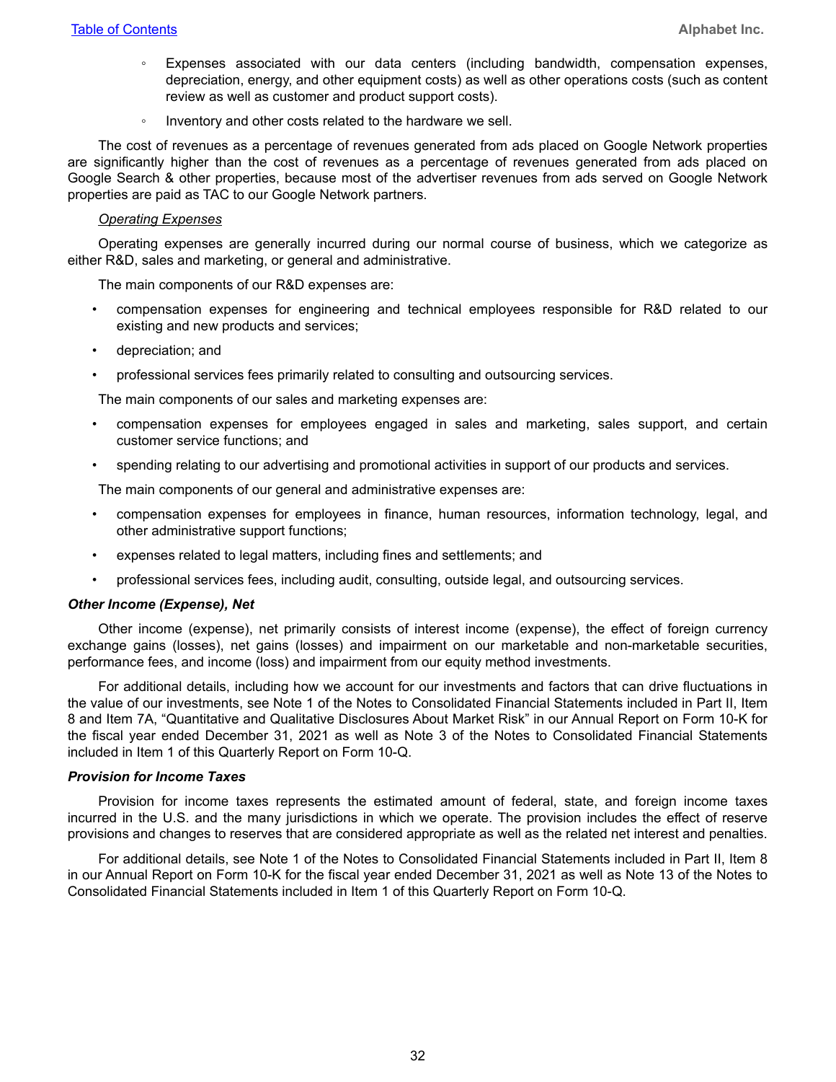- Expenses associated with our data centers (including bandwidth, compensation expenses, depreciation, energy, and other equipment costs) as well as other operations costs (such as content review as well as customer and product support costs).
- Inventory and other costs related to the hardware we sell.

The cost of revenues as a percentage of revenues generated from ads placed on Google Network properties are significantly higher than the cost of revenues as a percentage of revenues generated from ads placed on Google Search & other properties, because most of the advertiser revenues from ads served on Google Network properties are paid as TAC to our Google Network partners.

#### *Operating Expenses*

Operating expenses are generally incurred during our normal course of business, which we categorize as either R&D, sales and marketing, or general and administrative.

The main components of our R&D expenses are:

- compensation expenses for engineering and technical employees responsible for R&D related to our existing and new products and services;
- depreciation; and
- professional services fees primarily related to consulting and outsourcing services.

The main components of our sales and marketing expenses are:

- compensation expenses for employees engaged in sales and marketing, sales support, and certain customer service functions; and
- spending relating to our advertising and promotional activities in support of our products and services.

The main components of our general and administrative expenses are:

- compensation expenses for employees in finance, human resources, information technology, legal, and other administrative support functions;
- expenses related to legal matters, including fines and settlements; and
- professional services fees, including audit, consulting, outside legal, and outsourcing services.

#### *Other Income (Expense), Net*

Other income (expense), net primarily consists of interest income (expense), the effect of foreign currency exchange gains (losses), net gains (losses) and impairment on our marketable and non-marketable securities, performance fees, and income (loss) and impairment from our equity method investments.

For additional details, including how we account for our investments and factors that can drive fluctuations in the value of our investments, see Note 1 of the Notes to Consolidated Financial Statements included in Part II, Item 8 and Item 7A, "Quantitative and Qualitative Disclosures About Market Risk" in our Annual Report on Form 10-K for the fiscal year ended December 31, 2021 as well as Note 3 of the Notes to Consolidated Financial Statements included in Item 1 of this Quarterly Report on Form 10-Q.

#### *Provision for Income Taxes*

Provision for income taxes represents the estimated amount of federal, state, and foreign income taxes incurred in the U.S. and the many jurisdictions in which we operate. The provision includes the effect of reserve provisions and changes to reserves that are considered appropriate as well as the related net interest and penalties.

For additional details, see Note 1 of the Notes to Consolidated Financial Statements included in Part II, Item 8 in our Annual Report on Form 10-K for the fiscal year ended December 31, 2021 as well as Note 13 of the Notes to Consolidated Financial Statements included in Item 1 of this Quarterly Report on Form 10-Q.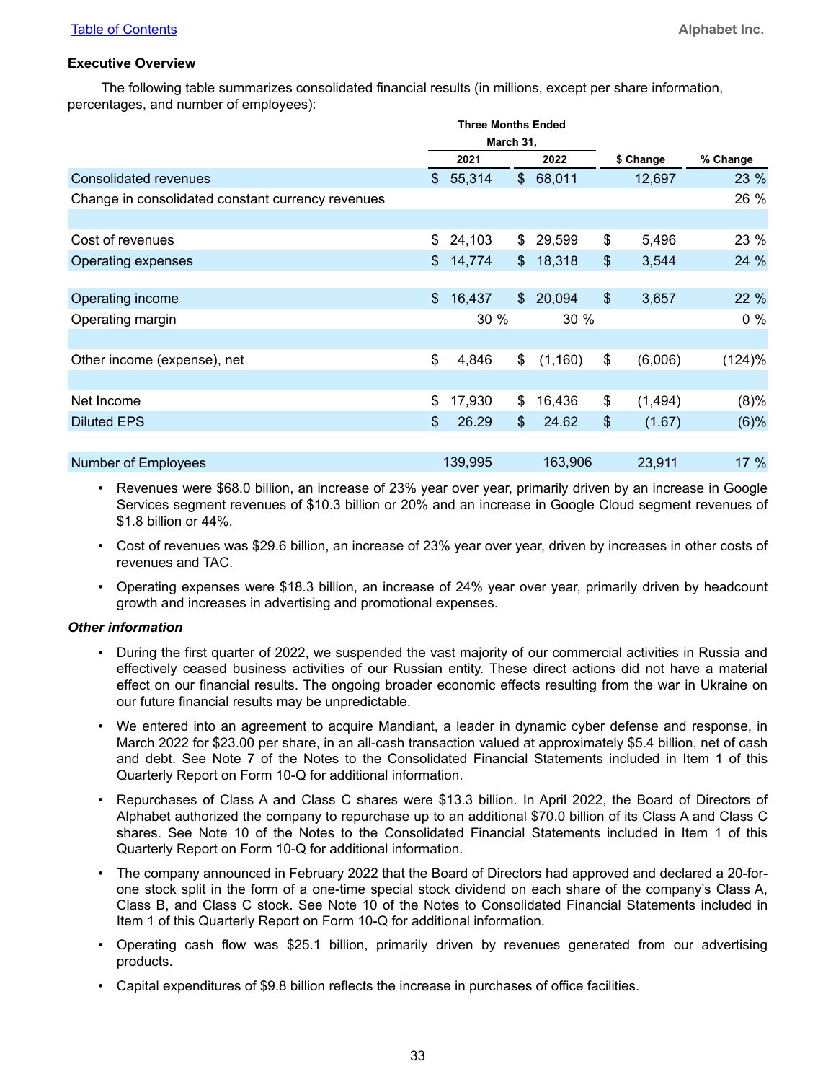#### **Executive Overview**

The following table summarizes consolidated financial results (in millions, except per share information, percentages, and number of employees):

|                                                   |               | <b>Three Months Ended</b> |               |          |                |           |          |
|---------------------------------------------------|---------------|---------------------------|---------------|----------|----------------|-----------|----------|
|                                                   | March 31,     |                           |               |          |                |           |          |
|                                                   |               | 2021                      |               | 2022     |                | \$ Change | % Change |
| <b>Consolidated revenues</b>                      |               | \$55,314                  |               | \$68,011 |                | 12,697    | 23 %     |
| Change in consolidated constant currency revenues |               |                           |               |          |                |           | 26 %     |
|                                                   |               |                           |               |          |                |           |          |
| Cost of revenues                                  |               | \$24,103                  |               | \$29,599 | \$             | 5,496     | 23 %     |
| Operating expenses                                | $\frac{1}{2}$ | 14,774                    | $\mathcal{L}$ | 18,318   | $\$\$          | 3,544     | 24 %     |
|                                                   |               |                           |               |          |                |           |          |
| Operating income                                  | \$            | 16,437                    | $\mathbb{S}$  | 20,094   | $\mathfrak{S}$ | 3,657     | 22 %     |
| Operating margin                                  |               | 30%                       |               | 30 %     |                |           | $0\%$    |
|                                                   |               |                           |               |          |                |           |          |
| Other income (expense), net                       | \$            | 4,846                     | \$            | (1,160)  | \$             | (6,006)   | (124)%   |
|                                                   |               |                           |               |          |                |           |          |
| Net Income                                        | \$            | 17,930                    | \$            | 16,436   | \$             | (1, 494)  | (8)%     |
| <b>Diluted EPS</b>                                | \$            | 26.29                     | $\$\$         | 24.62    | \$             | (1.67)    | $(6)$ %  |
|                                                   |               |                           |               |          |                |           |          |
| <b>Number of Employees</b>                        |               | 139,995                   |               | 163,906  |                | 23,911    | 17 %     |

- Revenues were \$68.0 billion, an increase of 23% year over year, primarily driven by an increase in Google Services segment revenues of \$10.3 billion or 20% and an increase in Google Cloud segment revenues of \$1.8 billion or 44%.
- Cost of revenues was \$29.6 billion, an increase of 23% year over year, driven by increases in other costs of revenues and TAC.
- Operating expenses were \$18.3 billion, an increase of 24% year over year, primarily driven by headcount growth and increases in advertising and promotional expenses.

#### *Other information*

- During the first quarter of 2022, we suspended the vast majority of our commercial activities in Russia and effectively ceased business activities of our Russian entity. These direct actions did not have a material effect on our financial results. The ongoing broader economic effects resulting from the war in Ukraine on our future financial results may be unpredictable.
- We entered into an agreement to acquire Mandiant, a leader in dynamic cyber defense and response, in March 2022 for \$23.00 per share, in an all-cash transaction valued at approximately \$5.4 billion, net of cash and debt. See Note 7 of the Notes to the Consolidated Financial Statements included in Item 1 of this Quarterly Report on Form 10-Q for additional information.
- Repurchases of Class A and Class C shares were \$13.3 billion. In April 2022, the Board of Directors of Alphabet authorized the company to repurchase up to an additional \$70.0 billion of its Class A and Class C shares. See Note 10 of the Notes to the Consolidated Financial Statements included in Item 1 of this Quarterly Report on Form 10-Q for additional information.
- The company announced in February 2022 that the Board of Directors had approved and declared a 20-forone stock split in the form of a one-time special stock dividend on each share of the company's Class A, Class B, and Class C stock. See Note 10 of the Notes to Consolidated Financial Statements included in Item 1 of this Quarterly Report on Form 10-Q for additional information.
- Operating cash flow was \$25.1 billion, primarily driven by revenues generated from our advertising products.
- Capital expenditures of \$9.8 billion reflects the increase in purchases of office facilities.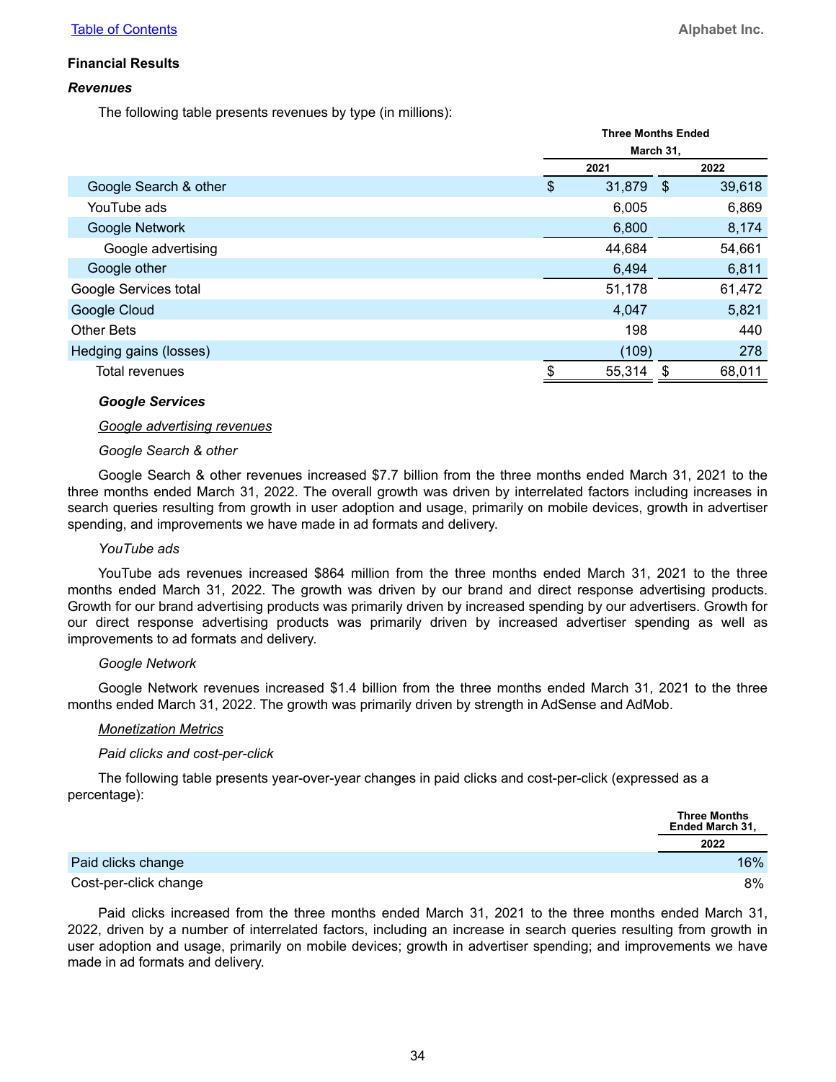#### **Financial Results**

#### *Revenues*

The following table presents revenues by type (in millions):

|                        | <b>Three Months Ended</b> |        |      |        |  |  |
|------------------------|---------------------------|--------|------|--------|--|--|
|                        | March 31,                 |        |      |        |  |  |
|                        |                           | 2021   |      | 2022   |  |  |
| Google Search & other  | \$                        | 31,879 | - \$ | 39,618 |  |  |
| YouTube ads            |                           | 6,005  |      | 6,869  |  |  |
| Google Network         |                           | 6,800  |      | 8,174  |  |  |
| Google advertising     |                           | 44,684 |      | 54,661 |  |  |
| Google other           |                           | 6,494  |      | 6,811  |  |  |
| Google Services total  |                           | 51,178 |      | 61,472 |  |  |
| Google Cloud           |                           | 4,047  |      | 5,821  |  |  |
| <b>Other Bets</b>      |                           | 198    |      | 440    |  |  |
| Hedging gains (losses) |                           | (109)  |      | 278    |  |  |
| Total revenues         | \$.                       | 55,314 | S    | 68,011 |  |  |

#### *Google Services*

#### *Google advertising revenues*

#### *Google Search & other*

Google Search & other revenues increased \$7.7 billion from the three months ended March 31, 2021 to the three months ended March 31, 2022. The overall growth was driven by interrelated factors including increases in search queries resulting from growth in user adoption and usage, primarily on mobile devices, growth in advertiser spending, and improvements we have made in ad formats and delivery.

#### *YouTube ads*

YouTube ads revenues increased \$864 million from the three months ended March 31, 2021 to the three months ended March 31, 2022. The growth was driven by our brand and direct response advertising products. Growth for our brand advertising products was primarily driven by increased spending by our advertisers. Growth for our direct response advertising products was primarily driven by increased advertiser spending as well as improvements to ad formats and delivery.

#### *Google Network*

Google Network revenues increased \$1.4 billion from the three months ended March 31, 2021 to the three months ended March 31, 2022. The growth was primarily driven by strength in AdSense and AdMob.

#### *Monetization Metrics*

#### *Paid clicks and cost-per-click*

The following table presents year-over-year changes in paid clicks and cost-per-click (expressed as a percentage):

|                       | <b>Three Months</b><br>Ended March 31, |
|-----------------------|----------------------------------------|
|                       | 2022                                   |
| Paid clicks change    | 16%                                    |
| Cost-per-click change | 8%                                     |

Paid clicks increased from the three months ended March 31, 2021 to the three months ended March 31, 2022, driven by a number of interrelated factors, including an increase in search queries resulting from growth in user adoption and usage, primarily on mobile devices; growth in advertiser spending; and improvements we have made in ad formats and delivery.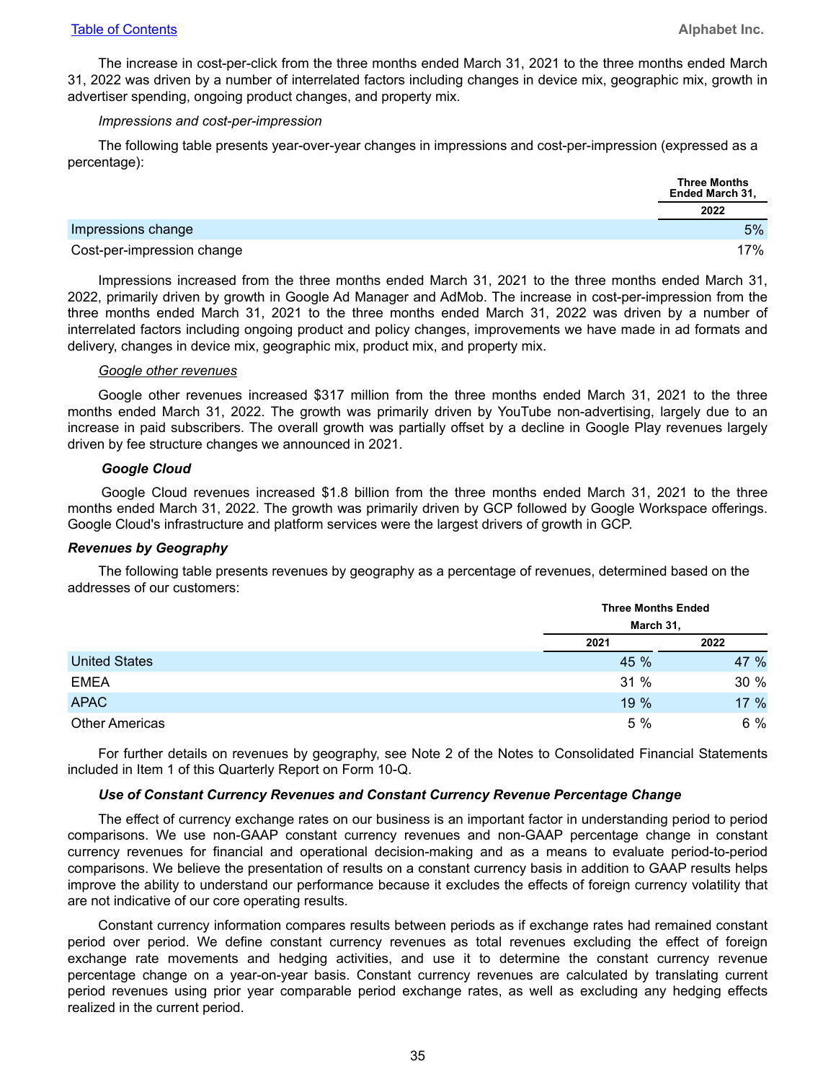The increase in cost-per-click from the three months ended March 31, 2021 to the three months ended March 31, 2022 was driven by a number of interrelated factors including changes in device mix, geographic mix, growth in advertiser spending, ongoing product changes, and property mix.

#### *Impressions and cost-per-impression*

The following table presents year-over-year changes in impressions and cost-per-impression (expressed as a percentage):

|                            | <b>Three Months</b><br>Ended March 31, |
|----------------------------|----------------------------------------|
|                            | 2022                                   |
| Impressions change         | 5%                                     |
| Cost-per-impression change | 17%                                    |

Impressions increased from the three months ended March 31, 2021 to the three months ended March 31, 2022, primarily driven by growth in Google Ad Manager and AdMob. The increase in cost-per-impression from the three months ended March 31, 2021 to the three months ended March 31, 2022 was driven by a number of interrelated factors including ongoing product and policy changes, improvements we have made in ad formats and delivery, changes in device mix, geographic mix, product mix, and property mix.

#### *Google other revenues*

Google other revenues increased \$317 million from the three months ended March 31, 2021 to the three months ended March 31, 2022. The growth was primarily driven by YouTube non-advertising, largely due to an increase in paid subscribers. The overall growth was partially offset by a decline in Google Play revenues largely driven by fee structure changes we announced in 2021.

#### *Google Cloud*

Google Cloud revenues increased \$1.8 billion from the three months ended March 31, 2021 to the three months ended March 31, 2022. The growth was primarily driven by GCP followed by Google Workspace offerings. Google Cloud's infrastructure and platform services were the largest drivers of growth in GCP.

#### *Revenues by Geography*

The following table presents revenues by geography as a percentage of revenues, determined based on the addresses of our customers:

|                       |           | <b>Three Months Ended</b> |  |  |
|-----------------------|-----------|---------------------------|--|--|
|                       | March 31, |                           |  |  |
|                       | 2021      | 2022                      |  |  |
| <b>United States</b>  | 45 %      | 47 %                      |  |  |
| <b>EMEA</b>           | 31%       | 30 %                      |  |  |
| <b>APAC</b>           | 19 %      | 17 %                      |  |  |
| <b>Other Americas</b> | 5 %       | 6 %                       |  |  |

For further details on revenues by geography, see Note 2 of the Notes to Consolidated Financial Statements included in Item 1 of this Quarterly Report on Form 10-Q.

#### *Use of Constant Currency Revenues and Constant Currency Revenue Percentage Change*

The effect of currency exchange rates on our business is an important factor in understanding period to period comparisons. We use non-GAAP constant currency revenues and non-GAAP percentage change in constant currency revenues for financial and operational decision-making and as a means to evaluate period-to-period comparisons. We believe the presentation of results on a constant currency basis in addition to GAAP results helps improve the ability to understand our performance because it excludes the effects of foreign currency volatility that are not indicative of our core operating results.

Constant currency information compares results between periods as if exchange rates had remained constant period over period. We define constant currency revenues as total revenues excluding the effect of foreign exchange rate movements and hedging activities, and use it to determine the constant currency revenue percentage change on a year-on-year basis. Constant currency revenues are calculated by translating current period revenues using prior year comparable period exchange rates, as well as excluding any hedging effects realized in the current period.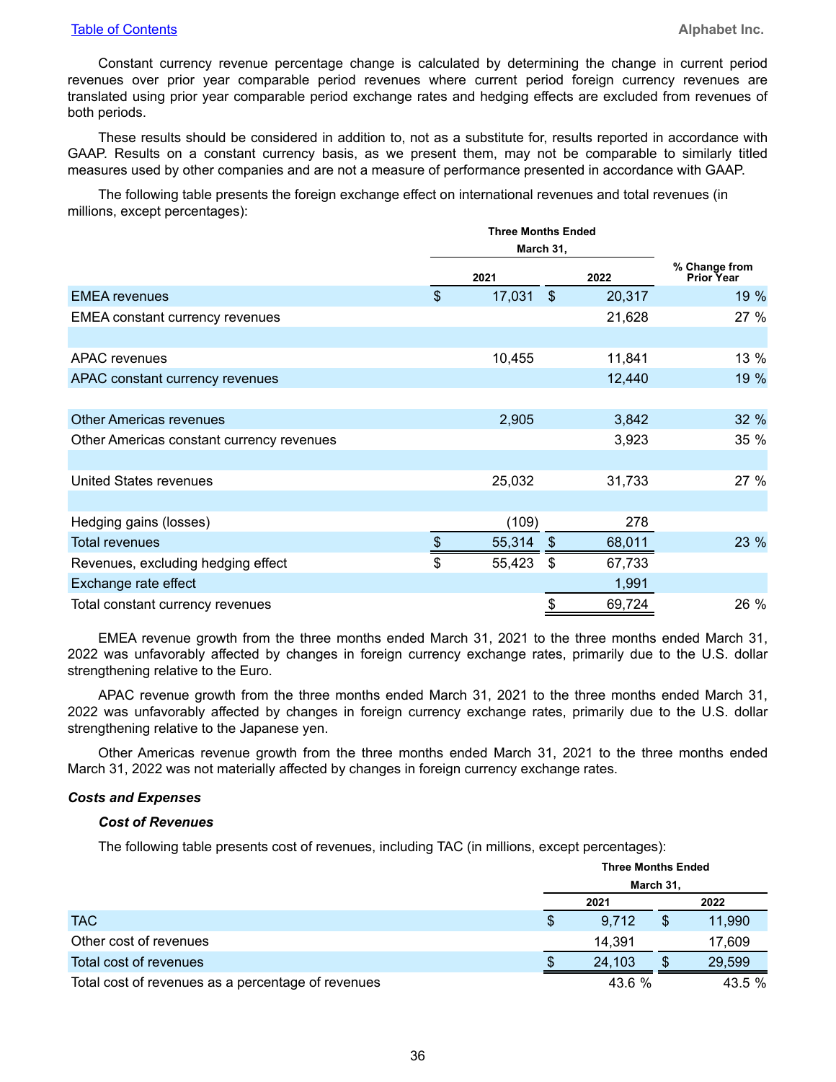Constant currency revenue percentage change is calculated by determining the change in current period revenues over prior year comparable period revenues where current period foreign currency revenues are translated using prior year comparable period exchange rates and hedging effects are excluded from revenues of both periods.

These results should be considered in addition to, not as a substitute for, results reported in accordance with GAAP. Results on a constant currency basis, as we present them, may not be comparable to similarly titled measures used by other companies and are not a measure of performance presented in accordance with GAAP.

The following table presents the foreign exchange effect on international revenues and total revenues (in millions, except percentages):

|                                           |               | <b>Three Months Ended</b> |                |        |                                    |
|-------------------------------------------|---------------|---------------------------|----------------|--------|------------------------------------|
|                                           |               | March 31,                 |                |        |                                    |
|                                           |               | 2021                      |                | 2022   | % Change from<br><b>Prior Year</b> |
| <b>EMEA</b> revenues                      | $\frac{1}{2}$ | 17,031                    | $\mathfrak{S}$ | 20,317 | 19 %                               |
| <b>EMEA</b> constant currency revenues    |               |                           |                | 21,628 | 27 %                               |
|                                           |               |                           |                |        |                                    |
| <b>APAC</b> revenues                      |               | 10,455                    |                | 11,841 | 13 %                               |
| APAC constant currency revenues           |               |                           |                | 12,440 | 19 %                               |
|                                           |               |                           |                |        |                                    |
| <b>Other Americas revenues</b>            |               | 2,905                     |                | 3,842  | 32 %                               |
| Other Americas constant currency revenues |               |                           |                | 3,923  | 35 %                               |
|                                           |               |                           |                |        |                                    |
| <b>United States revenues</b>             |               | 25,032                    |                | 31,733 | 27 %                               |
|                                           |               |                           |                |        |                                    |
| Hedging gains (losses)                    |               | (109)                     |                | 278    |                                    |
| <b>Total revenues</b>                     | \$            | 55,314                    | $\mathfrak{S}$ | 68,011 | 23 %                               |
| Revenues, excluding hedging effect        | \$            | 55,423                    | $\mathbb{S}$   | 67,733 |                                    |
| Exchange rate effect                      |               |                           |                | 1,991  |                                    |
| Total constant currency revenues          |               |                           | \$             | 69,724 | 26 %                               |

EMEA revenue growth from the three months ended March 31, 2021 to the three months ended March 31, 2022 was unfavorably affected by changes in foreign currency exchange rates, primarily due to the U.S. dollar strengthening relative to the Euro.

APAC revenue growth from the three months ended March 31, 2021 to the three months ended March 31, 2022 was unfavorably affected by changes in foreign currency exchange rates, primarily due to the U.S. dollar strengthening relative to the Japanese yen.

Other Americas revenue growth from the three months ended March 31, 2021 to the three months ended March 31, 2022 was not materially affected by changes in foreign currency exchange rates.

#### *Costs and Expenses*

#### *Cost of Revenues*

The following table presents cost of revenues, including TAC (in millions, except percentages):

|                                                    | <b>Three Months Ended</b><br>March 31, |        |  |        |
|----------------------------------------------------|----------------------------------------|--------|--|--------|
|                                                    |                                        | 2021   |  | 2022   |
| <b>TAC</b>                                         | \$                                     | 9,712  |  | 11,990 |
| Other cost of revenues                             |                                        | 14.391 |  | 17,609 |
| Total cost of revenues                             |                                        | 24.103 |  | 29,599 |
| Total cost of revenues as a percentage of revenues |                                        | 43.6 % |  | 43.5 % |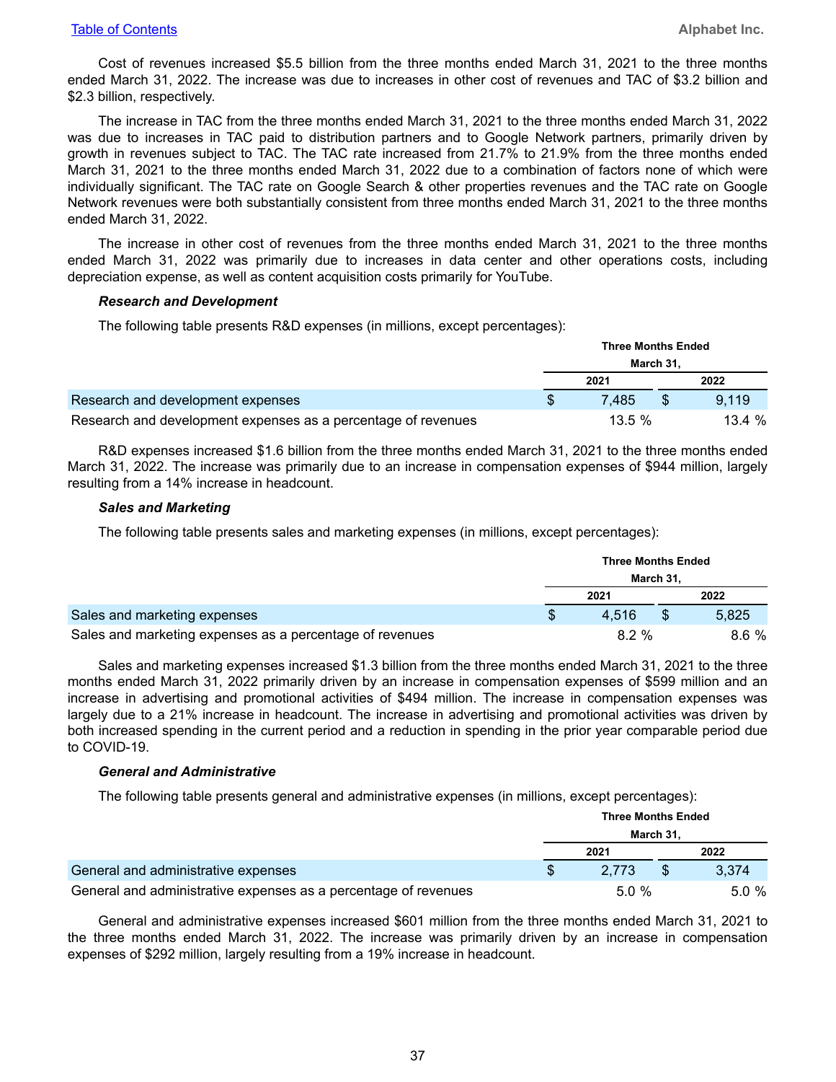Cost of revenues increased \$5.5 billion from the three months ended March 31, 2021 to the three months ended March 31, 2022. The increase was due to increases in other cost of revenues and TAC of \$3.2 billion and \$2.3 billion, respectively.

The increase in TAC from the three months ended March 31, 2021 to the three months ended March 31, 2022 was due to increases in TAC paid to distribution partners and to Google Network partners, primarily driven by growth in revenues subject to TAC. The TAC rate increased from 21.7% to 21.9% from the three months ended March 31, 2021 to the three months ended March 31, 2022 due to a combination of factors none of which were individually significant. The TAC rate on Google Search & other properties revenues and the TAC rate on Google Network revenues were both substantially consistent from three months ended March 31, 2021 to the three months ended March 31, 2022.

The increase in other cost of revenues from the three months ended March 31, 2021 to the three months ended March 31, 2022 was primarily due to increases in data center and other operations costs, including depreciation expense, as well as content acquisition costs primarily for YouTube.

#### *Research and Development*

The following table presents R&D expenses (in millions, except percentages):

|                                                               | <b>Three Months Ended</b> |           |  |        |
|---------------------------------------------------------------|---------------------------|-----------|--|--------|
|                                                               | March 31,                 |           |  |        |
|                                                               |                           | 2021      |  | 2022   |
| Research and development expenses                             |                           | 7.485     |  | 9.119  |
| Research and development expenses as a percentage of revenues |                           | $13.5 \%$ |  | 13.4 % |

R&D expenses increased \$1.6 billion from the three months ended March 31, 2021 to the three months ended March 31, 2022. The increase was primarily due to an increase in compensation expenses of \$944 million, largely resulting from a 14% increase in headcount.

#### *Sales and Marketing*

The following table presents sales and marketing expenses (in millions, except percentages):

|                                                          | <b>Three Months Ended</b> |          |  |       |
|----------------------------------------------------------|---------------------------|----------|--|-------|
|                                                          | March 31.                 |          |  |       |
|                                                          |                           | 2021     |  | 2022  |
| Sales and marketing expenses                             |                           | 4.516    |  | 5.825 |
| Sales and marketing expenses as a percentage of revenues |                           | $8.2 \%$ |  | 8.6%  |

Sales and marketing expenses increased \$1.3 billion from the three months ended March 31, 2021 to the three months ended March 31, 2022 primarily driven by an increase in compensation expenses of \$599 million and an increase in advertising and promotional activities of \$494 million. The increase in compensation expenses was largely due to a 21% increase in headcount. The increase in advertising and promotional activities was driven by both increased spending in the current period and a reduction in spending in the prior year comparable period due to COVID-19.

#### *General and Administrative*

The following table presents general and administrative expenses (in millions, except percentages):

|                                                                 | <b>Three Months Ended</b> |          |     |       |
|-----------------------------------------------------------------|---------------------------|----------|-----|-------|
|                                                                 | March 31,                 |          |     |       |
|                                                                 |                           | 2021     |     | 2022  |
| General and administrative expenses                             |                           | 2.773    | \$. | 3.374 |
| General and administrative expenses as a percentage of revenues |                           | $5.0 \%$ |     | 5.0%  |

General and administrative expenses increased \$601 million from the three months ended March 31, 2021 to the three months ended March 31, 2022. The increase was primarily driven by an increase in compensation expenses of \$292 million, largely resulting from a 19% increase in headcount.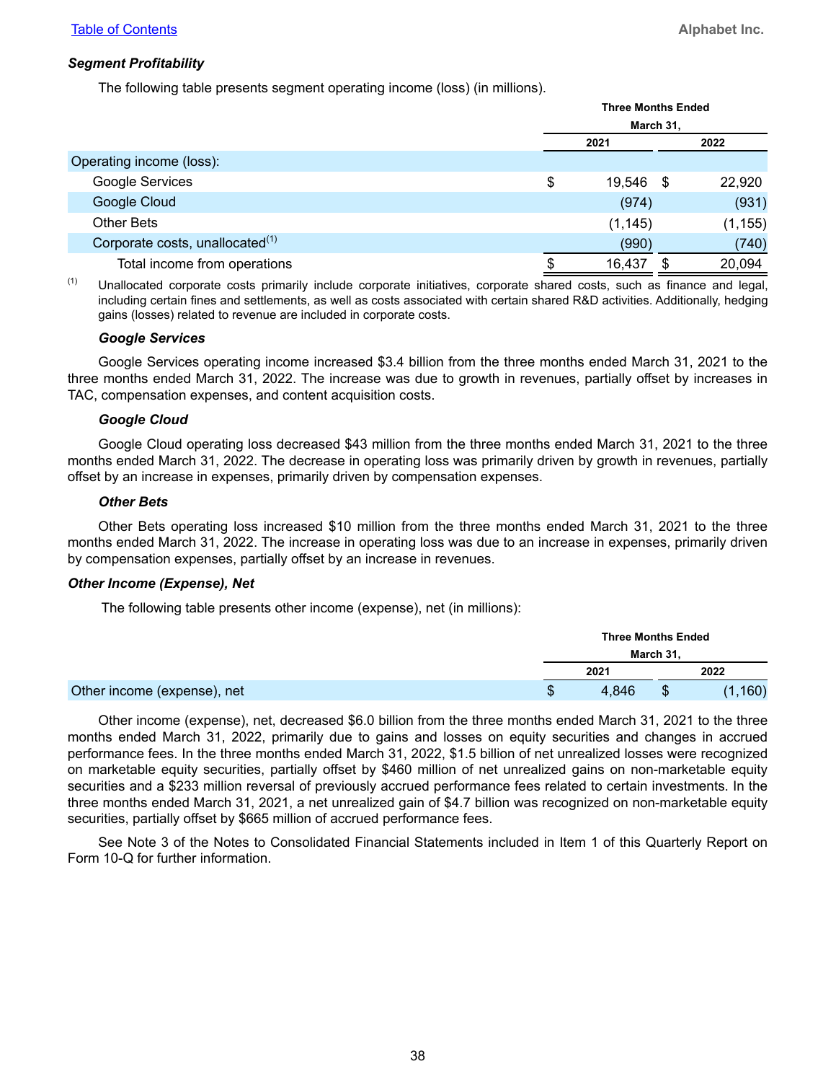#### *Segment Profitability*

The following table presents segment operating income (loss) (in millions).

|                                             | <b>Three Months Ended</b> |          |      |          |
|---------------------------------------------|---------------------------|----------|------|----------|
|                                             | March 31,                 |          |      |          |
|                                             |                           | 2021     |      | 2022     |
| Operating income (loss):                    |                           |          |      |          |
| Google Services                             | \$                        | 19,546   | - \$ | 22,920   |
| Google Cloud                                |                           | (974)    |      | (931)    |
| Other Bets                                  |                           | (1, 145) |      | (1, 155) |
| Corporate costs, unallocated <sup>(1)</sup> |                           | (990)    |      | (740)    |
| Total income from operations                |                           | 16,437   |      | 20,094   |

(1) Unallocated corporate costs primarily include corporate initiatives, corporate shared costs, such as finance and legal, including certain fines and settlements, as well as costs associated with certain shared R&D activities. Additionally, hedging gains (losses) related to revenue are included in corporate costs.

#### *Google Services*

Google Services operating income increased \$3.4 billion from the three months ended March 31, 2021 to the three months ended March 31, 2022. The increase was due to growth in revenues, partially offset by increases in TAC, compensation expenses, and content acquisition costs.

#### *Google Cloud*

Google Cloud operating loss decreased \$43 million from the three months ended March 31, 2021 to the three months ended March 31, 2022. The decrease in operating loss was primarily driven by growth in revenues, partially offset by an increase in expenses, primarily driven by compensation expenses.

#### *Other Bets*

Other Bets operating loss increased \$10 million from the three months ended March 31, 2021 to the three months ended March 31, 2022. The increase in operating loss was due to an increase in expenses, primarily driven by compensation expenses, partially offset by an increase in revenues.

#### *Other Income (Expense), Net*

The following table presents other income (expense), net (in millions):

|                             | <b>Three Months Ended</b> |           |       |  |
|-----------------------------|---------------------------|-----------|-------|--|
|                             |                           | March 31, |       |  |
|                             | 2021                      |           | 2022  |  |
| Other income (expense), net | 4.846                     |           | ,160) |  |

Other income (expense), net, decreased \$6.0 billion from the three months ended March 31, 2021 to the three months ended March 31, 2022, primarily due to gains and losses on equity securities and changes in accrued performance fees. In the three months ended March 31, 2022, \$1.5 billion of net unrealized losses were recognized on marketable equity securities, partially offset by \$460 million of net unrealized gains on non-marketable equity securities and a \$233 million reversal of previously accrued performance fees related to certain investments. In the three months ended March 31, 2021, a net unrealized gain of \$4.7 billion was recognized on non-marketable equity securities, partially offset by \$665 million of accrued performance fees.

See Note 3 of the Notes to Consolidated Financial Statements included in Item 1 of this Quarterly Report on Form 10-Q for further information.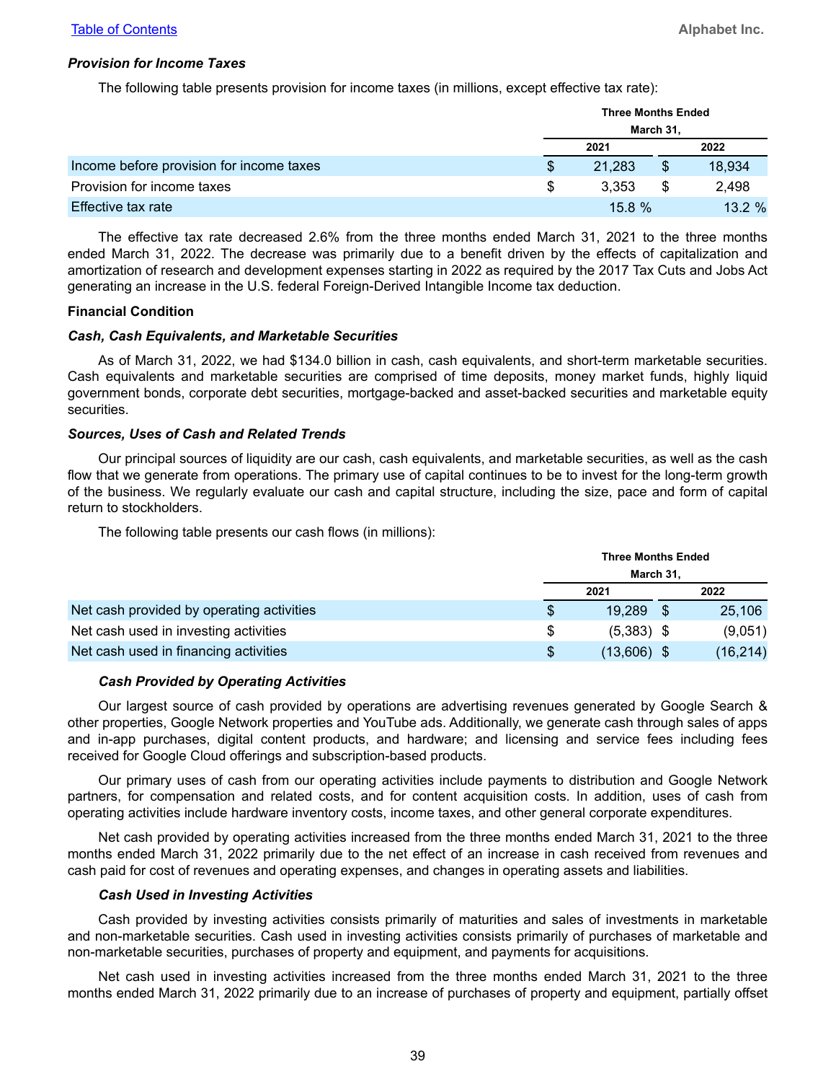#### *Provision for Income Taxes*

The following table presents provision for income taxes (in millions, except effective tax rate):

|                                          |   | <b>Three Months Ended</b> |    |           |  |
|------------------------------------------|---|---------------------------|----|-----------|--|
|                                          |   | March 31,                 |    |           |  |
|                                          |   | 2021                      |    | 2022      |  |
| Income before provision for income taxes | S | 21,283                    |    | 18,934    |  |
| Provision for income taxes               | S | 3.353                     | \$ | 2,498     |  |
| Effective tax rate                       |   | $15.8 \%$                 |    | $13.2 \%$ |  |

The effective tax rate decreased 2.6% from the three months ended March 31, 2021 to the three months ended March 31, 2022. The decrease was primarily due to a benefit driven by the effects of capitalization and amortization of research and development expenses starting in 2022 as required by the 2017 Tax Cuts and Jobs Act generating an increase in the U.S. federal Foreign-Derived Intangible Income tax deduction.

#### **Financial Condition**

#### *Cash, Cash Equivalents, and Marketable Securities*

As of March 31, 2022, we had \$134.0 billion in cash, cash equivalents, and short-term marketable securities. Cash equivalents and marketable securities are comprised of time deposits, money market funds, highly liquid government bonds, corporate debt securities, mortgage-backed and asset-backed securities and marketable equity securities.

#### *Sources, Uses of Cash and Related Trends*

Our principal sources of liquidity are our cash, cash equivalents, and marketable securities, as well as the cash flow that we generate from operations. The primary use of capital continues to be to invest for the long-term growth of the business. We regularly evaluate our cash and capital structure, including the size, pace and form of capital return to stockholders.

The following table presents our cash flows (in millions):

|                                           |   | <b>Three Months Ended</b> |  |          |  |
|-------------------------------------------|---|---------------------------|--|----------|--|
|                                           |   | March 31,                 |  |          |  |
|                                           |   | 2021                      |  | 2022     |  |
| Net cash provided by operating activities |   | 19.289                    |  | 25,106   |  |
| Net cash used in investing activities     | S | $(5,383)$ \$              |  | (9,051)  |  |
| Net cash used in financing activities     | S | $(13,606)$ \$             |  | (16,214) |  |

#### *Cash Provided by Operating Activities*

Our largest source of cash provided by operations are advertising revenues generated by Google Search & other properties, Google Network properties and YouTube ads. Additionally, we generate cash through sales of apps and in-app purchases, digital content products, and hardware; and licensing and service fees including fees received for Google Cloud offerings and subscription-based products.

Our primary uses of cash from our operating activities include payments to distribution and Google Network partners, for compensation and related costs, and for content acquisition costs. In addition, uses of cash from operating activities include hardware inventory costs, income taxes, and other general corporate expenditures.

Net cash provided by operating activities increased from the three months ended March 31, 2021 to the three months ended March 31, 2022 primarily due to the net effect of an increase in cash received from revenues and cash paid for cost of revenues and operating expenses, and changes in operating assets and liabilities.

#### *Cash Used in Investing Activities*

Cash provided by investing activities consists primarily of maturities and sales of investments in marketable and non-marketable securities. Cash used in investing activities consists primarily of purchases of marketable and non-marketable securities, purchases of property and equipment, and payments for acquisitions.

Net cash used in investing activities increased from the three months ended March 31, 2021 to the three months ended March 31, 2022 primarily due to an increase of purchases of property and equipment, partially offset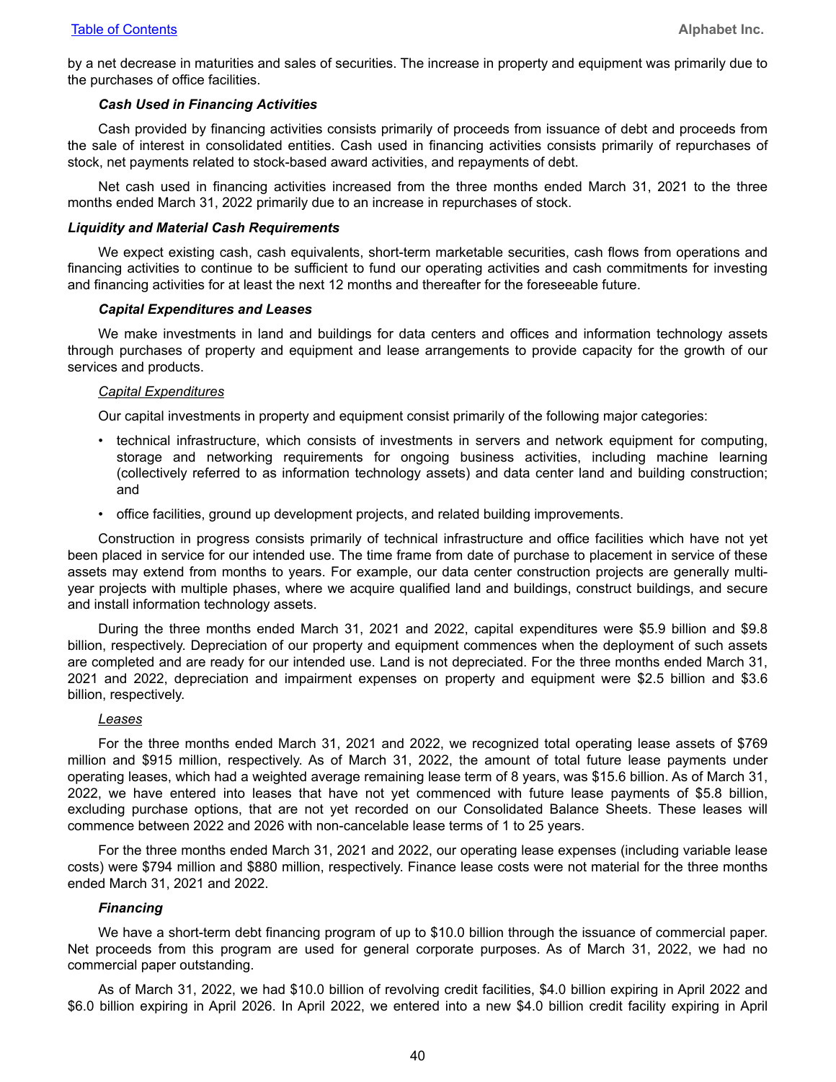by a net decrease in maturities and sales of securities. The increase in property and equipment was primarily due to the purchases of office facilities.

#### *Cash Used in Financing Activities*

Cash provided by financing activities consists primarily of proceeds from issuance of debt and proceeds from the sale of interest in consolidated entities. Cash used in financing activities consists primarily of repurchases of stock, net payments related to stock-based award activities, and repayments of debt.

Net cash used in financing activities increased from the three months ended March 31, 2021 to the three months ended March 31, 2022 primarily due to an increase in repurchases of stock.

#### *Liquidity and Material Cash Requirements*

We expect existing cash, cash equivalents, short-term marketable securities, cash flows from operations and financing activities to continue to be sufficient to fund our operating activities and cash commitments for investing and financing activities for at least the next 12 months and thereafter for the foreseeable future.

#### *Capital Expenditures and Leases*

We make investments in land and buildings for data centers and offices and information technology assets through purchases of property and equipment and lease arrangements to provide capacity for the growth of our services and products.

#### *Capital Expenditures*

Our capital investments in property and equipment consist primarily of the following major categories:

- technical infrastructure, which consists of investments in servers and network equipment for computing, storage and networking requirements for ongoing business activities, including machine learning (collectively referred to as information technology assets) and data center land and building construction; and
- office facilities, ground up development projects, and related building improvements.

Construction in progress consists primarily of technical infrastructure and office facilities which have not yet been placed in service for our intended use. The time frame from date of purchase to placement in service of these assets may extend from months to years. For example, our data center construction projects are generally multiyear projects with multiple phases, where we acquire qualified land and buildings, construct buildings, and secure and install information technology assets.

During the three months ended March 31, 2021 and 2022, capital expenditures were \$5.9 billion and \$9.8 billion, respectively. Depreciation of our property and equipment commences when the deployment of such assets are completed and are ready for our intended use. Land is not depreciated. For the three months ended March 31, 2021 and 2022, depreciation and impairment expenses on property and equipment were \$2.5 billion and \$3.6 billion, respectively.

#### *Leases*

For the three months ended March 31, 2021 and 2022, we recognized total operating lease assets of \$769 million and \$915 million, respectively. As of March 31, 2022, the amount of total future lease payments under operating leases, which had a weighted average remaining lease term of 8 years, was \$15.6 billion. As of March 31, 2022, we have entered into leases that have not yet commenced with future lease payments of \$5.8 billion, excluding purchase options, that are not yet recorded on our Consolidated Balance Sheets. These leases will commence between 2022 and 2026 with non-cancelable lease terms of 1 to 25 years.

For the three months ended March 31, 2021 and 2022, our operating lease expenses (including variable lease costs) were \$794 million and \$880 million, respectively. Finance lease costs were not material for the three months ended March 31, 2021 and 2022.

#### *Financing*

We have a short-term debt financing program of up to \$10.0 billion through the issuance of commercial paper. Net proceeds from this program are used for general corporate purposes. As of March 31, 2022, we had no commercial paper outstanding.

As of March 31, 2022, we had \$10.0 billion of revolving credit facilities, \$4.0 billion expiring in April 2022 and \$6.0 billion expiring in April 2026. In April 2022, we entered into a new \$4.0 billion credit facility expiring in April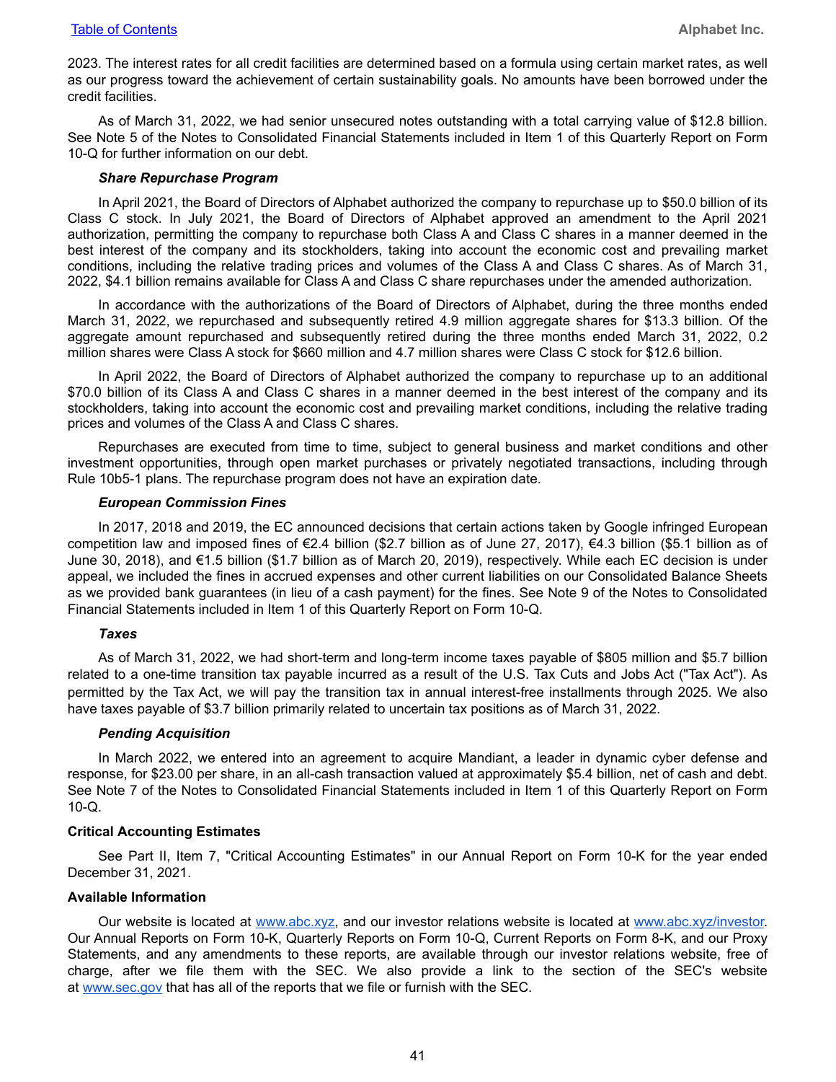2023. The interest rates for all credit facilities are determined based on a formula using certain market rates, as well as our progress toward the achievement of certain sustainability goals. No amounts have been borrowed under the credit facilities.

As of March 31, 2022, we had senior unsecured notes outstanding with a total carrying value of \$12.8 billion. See Note 5 of the Notes to Consolidated Financial Statements included in Item 1 of this Quarterly Report on Form 10-Q for further information on our debt.

#### *Share Repurchase Program*

In April 2021, the Board of Directors of Alphabet authorized the company to repurchase up to \$50.0 billion of its Class C stock. In July 2021, the Board of Directors of Alphabet approved an amendment to the April 2021 authorization, permitting the company to repurchase both Class A and Class C shares in a manner deemed in the best interest of the company and its stockholders, taking into account the economic cost and prevailing market conditions, including the relative trading prices and volumes of the Class A and Class C shares. As of March 31, 2022, \$4.1 billion remains available for Class A and Class C share repurchases under the amended authorization.

In accordance with the authorizations of the Board of Directors of Alphabet, during the three months ended March 31, 2022, we repurchased and subsequently retired 4.9 million aggregate shares for \$13.3 billion. Of the aggregate amount repurchased and subsequently retired during the three months ended March 31, 2022, 0.2 million shares were Class A stock for \$660 million and 4.7 million shares were Class C stock for \$12.6 billion.

In April 2022, the Board of Directors of Alphabet authorized the company to repurchase up to an additional \$70.0 billion of its Class A and Class C shares in a manner deemed in the best interest of the company and its stockholders, taking into account the economic cost and prevailing market conditions, including the relative trading prices and volumes of the Class A and Class C shares.

Repurchases are executed from time to time, subject to general business and market conditions and other investment opportunities, through open market purchases or privately negotiated transactions, including through Rule 10b5-1 plans. The repurchase program does not have an expiration date.

#### *European Commission Fines*

In 2017, 2018 and 2019, the EC announced decisions that certain actions taken by Google infringed European competition law and imposed fines of €2.4 billion (\$2.7 billion as of June 27, 2017), €4.3 billion (\$5.1 billion as of June 30, 2018), and €1.5 billion (\$1.7 billion as of March 20, 2019), respectively. While each EC decision is under appeal, we included the fines in accrued expenses and other current liabilities on our Consolidated Balance Sheets as we provided bank guarantees (in lieu of a cash payment) for the fines. See Note 9 of the Notes to Consolidated Financial Statements included in Item 1 of this Quarterly Report on Form 10-Q.

#### *Taxes*

As of March 31, 2022, we had short-term and long-term income taxes payable of \$805 million and \$5.7 billion related to a one-time transition tax payable incurred as a result of the U.S. Tax Cuts and Jobs Act ("Tax Act"). As permitted by the Tax Act, we will pay the transition tax in annual interest-free installments through 2025. We also have taxes payable of \$3.7 billion primarily related to uncertain tax positions as of March 31, 2022.

#### *Pending Acquisition*

In March 2022, we entered into an agreement to acquire Mandiant, a leader in dynamic cyber defense and response, for \$23.00 per share, in an all-cash transaction valued at approximately \$5.4 billion, net of cash and debt. See Note 7 of the Notes to Consolidated Financial Statements included in Item 1 of this Quarterly Report on Form 10-Q.

#### **Critical Accounting Estimates**

See Part II, Item 7, "Critical Accounting Estimates" in our Annual Report on Form 10-K for the year ended December 31, 2021.

#### **Available Information**

Our website is located at www.abc.xyz, and our investor relations website is located at www.abc.xyz/investor. Our Annual Reports on Form 10-K, Quarterly Reports on Form 10-Q, Current Reports on Form 8-K, and our Proxy Statements, and any amendments to these reports, are available through our investor relations website, free of charge, after we file them with the SEC. We also provide a link to the section of the SEC's website at www.sec.gov that has all of the reports that we file or furnish with the SEC.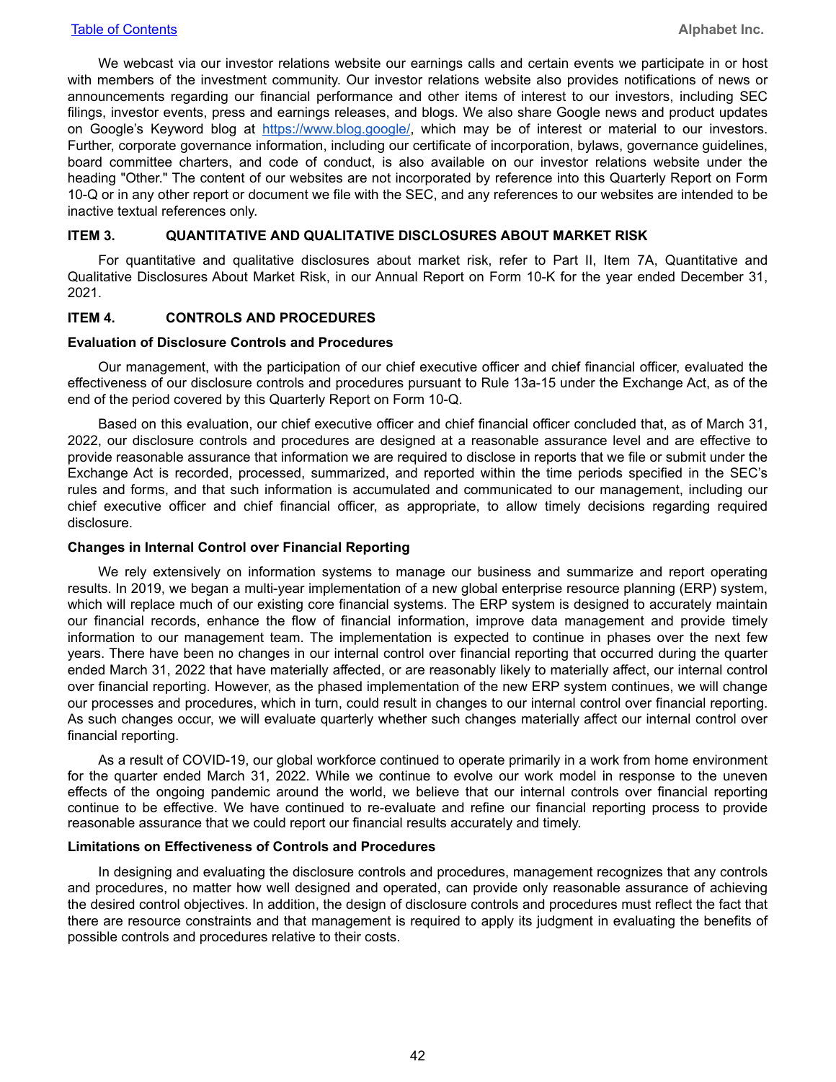<span id="page-41-0"></span>We webcast via our investor relations website our earnings calls and certain events we participate in or host with members of the investment community. Our investor relations website also provides notifications of news or announcements regarding our financial performance and other items of interest to our investors, including SEC filings, investor events, press and earnings releases, and blogs. We also share Google news and product updates on Google's Keyword blog at https://www.blog.google/, which may be of interest or material to our investors. Further, corporate governance information, including our certificate of incorporation, bylaws, governance guidelines, board committee charters, and code of conduct, is also available on our investor relations website under the heading "Other." The content of our websites are not incorporated by reference into this Quarterly Report on Form 10-Q or in any other report or document we file with the SEC, and any references to our websites are intended to be inactive textual references only.

#### **ITEM 3. QUANTITATIVE AND QUALITATIVE DISCLOSURES ABOUT MARKET RISK**

For quantitative and qualitative disclosures about market risk, refer to Part II, Item 7A, Quantitative and Qualitative Disclosures About Market Risk, in our Annual Report on Form 10-K for the year ended December 31, 2021.

#### **ITEM 4. CONTROLS AND PROCEDURES**

#### **Evaluation of Disclosure Controls and Procedures**

Our management, with the participation of our chief executive officer and chief financial officer, evaluated the effectiveness of our disclosure controls and procedures pursuant to Rule 13a-15 under the Exchange Act, as of the end of the period covered by this Quarterly Report on Form 10-Q.

Based on this evaluation, our chief executive officer and chief financial officer concluded that, as of March 31, 2022, our disclosure controls and procedures are designed at a reasonable assurance level and are effective to provide reasonable assurance that information we are required to disclose in reports that we file or submit under the Exchange Act is recorded, processed, summarized, and reported within the time periods specified in the SEC's rules and forms, and that such information is accumulated and communicated to our management, including our chief executive officer and chief financial officer, as appropriate, to allow timely decisions regarding required disclosure.

#### **Changes in Internal Control over Financial Reporting**

We rely extensively on information systems to manage our business and summarize and report operating results. In 2019, we began a multi-year implementation of a new global enterprise resource planning (ERP) system, which will replace much of our existing core financial systems. The ERP system is designed to accurately maintain our financial records, enhance the flow of financial information, improve data management and provide timely information to our management team. The implementation is expected to continue in phases over the next few years. There have been no changes in our internal control over financial reporting that occurred during the quarter ended March 31, 2022 that have materially affected, or are reasonably likely to materially affect, our internal control over financial reporting. However, as the phased implementation of the new ERP system continues, we will change our processes and procedures, which in turn, could result in changes to our internal control over financial reporting. As such changes occur, we will evaluate quarterly whether such changes materially affect our internal control over financial reporting.

As a result of COVID-19, our global workforce continued to operate primarily in a work from home environment for the quarter ended March 31, 2022. While we continue to evolve our work model in response to the uneven effects of the ongoing pandemic around the world, we believe that our internal controls over financial reporting continue to be effective. We have continued to re-evaluate and refine our financial reporting process to provide reasonable assurance that we could report our financial results accurately and timely.

#### **Limitations on Effectiveness of Controls and Procedures**

In designing and evaluating the disclosure controls and procedures, management recognizes that any controls and procedures, no matter how well designed and operated, can provide only reasonable assurance of achieving the desired control objectives. In addition, the design of disclosure controls and procedures must reflect the fact that there are resource constraints and that management is required to apply its judgment in evaluating the benefits of possible controls and procedures relative to their costs.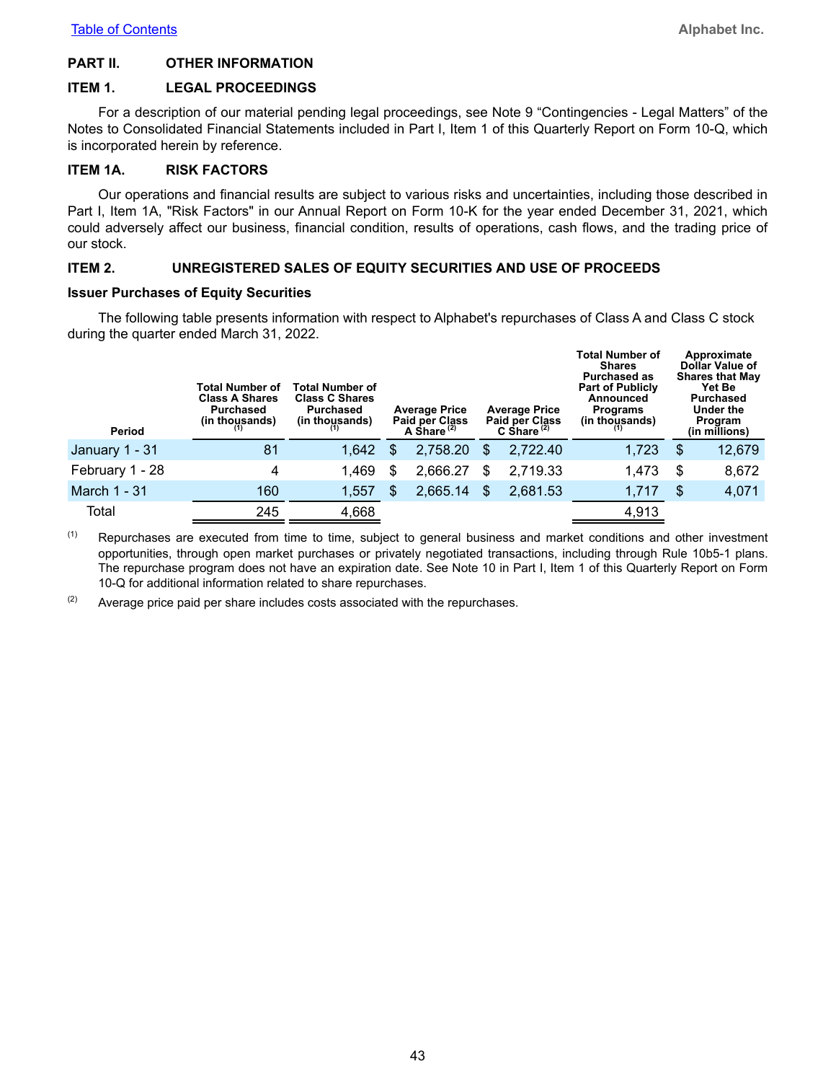#### <span id="page-42-0"></span>**PART II. OTHER INFORMATION**

#### **ITEM 1. LEGAL PROCEEDINGS**

For a description of our material pending legal proceedings, see Note 9 "Contingencies - Legal Matters" of the Notes to Consolidated Financial Statements included in Part I, Item 1 of this Quarterly Report on Form 10-Q, which is incorporated herein by reference.

#### **ITEM 1A. RISK FACTORS**

Our operations and financial results are subject to various risks and uncertainties, including those described in Part I, Item 1A, "Risk Factors" in our Annual Report on Form 10-K for the year ended December 31, 2021, which could adversely affect our business, financial condition, results of operations, cash flows, and the trading price of our stock.

#### **ITEM 2. UNREGISTERED SALES OF EQUITY SECURITIES AND USE OF PROCEEDS**

#### **Issuer Purchases of Equity Securities**

The following table presents information with respect to Alphabet's repurchases of Class A and Class C stock during the quarter ended March 31, 2022.

| Period          | Total Number of<br><b>Class A Shares</b><br>Purchased<br>(in thousands) | Total Number of<br><b>Class C Shares</b><br>Purchased<br>(in thousands) |     | <b>Average Price</b><br><b>Paid per Class</b><br>A Share $(2)$ |     | <b>Average Price</b><br><b>Paid per Class</b><br>C Share $(2)$ | <b>Total Number of</b><br>Shares<br><b>Purchased as</b><br><b>Part of Publicly</b><br>Announced<br><b>Programs</b><br>(in thousands) | Approximate<br><b>Dollar Value of</b><br><b>Shares that May</b><br><b>Yet Be</b><br><b>Purchased</b><br>Under the<br>Program<br>(in millions) |
|-----------------|-------------------------------------------------------------------------|-------------------------------------------------------------------------|-----|----------------------------------------------------------------|-----|----------------------------------------------------------------|--------------------------------------------------------------------------------------------------------------------------------------|-----------------------------------------------------------------------------------------------------------------------------------------------|
| January 1 - 31  | 81                                                                      | 1,642                                                                   | \$. | 2,758.20                                                       | \$. | 2,722.40                                                       | 1,723                                                                                                                                | \$<br>12,679                                                                                                                                  |
| February 1 - 28 | 4                                                                       | 1,469                                                                   |     | 2,666.27                                                       | S   | 2,719.33                                                       | 1,473                                                                                                                                | \$<br>8,672                                                                                                                                   |
| March 1 - 31    | 160                                                                     | 1,557                                                                   | \$. | 2,665.14                                                       | \$. | 2,681.53                                                       | 1,717                                                                                                                                | \$<br>4,071                                                                                                                                   |
| Total           | 245                                                                     | 4,668                                                                   |     |                                                                |     |                                                                | 4,913                                                                                                                                |                                                                                                                                               |

 $(1)$  Repurchases are executed from time to time, subject to general business and market conditions and other investment opportunities, through open market purchases or privately negotiated transactions, including through Rule 10b5-1 plans. The repurchase program does not have an expiration date. See Note 10 in Part I, Item 1 of this Quarterly Report on Form 10-Q for additional information related to share repurchases.

 $(2)$  Average price paid per share includes costs associated with the repurchases.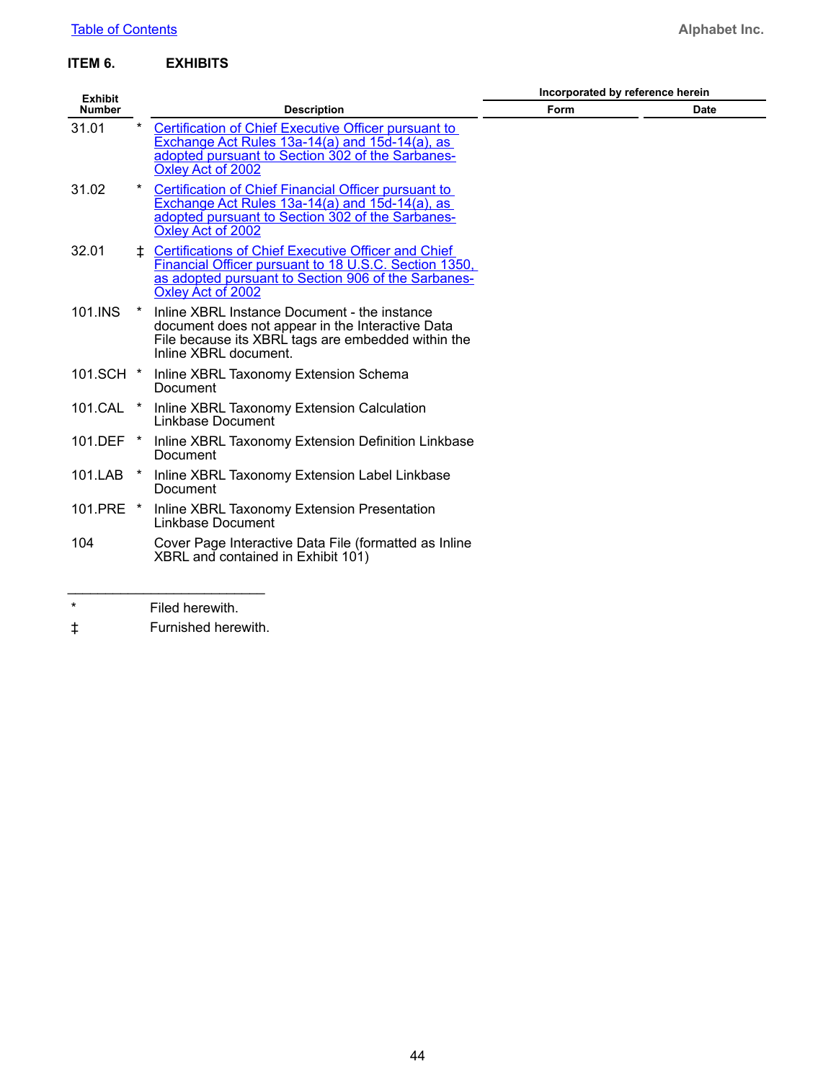#### <span id="page-43-0"></span>**ITEM 6. EXHIBITS**

| <b>Exhibit</b> |         |                                                                                                                                                                                                 | Incorporated by reference herein |      |  |  |  |
|----------------|---------|-------------------------------------------------------------------------------------------------------------------------------------------------------------------------------------------------|----------------------------------|------|--|--|--|
| <b>Number</b>  |         | <b>Description</b>                                                                                                                                                                              | Form                             | Date |  |  |  |
| 31.01          |         | Certification of Chief Executive Officer pursuant to<br>Exchange Act Rules 13a-14(a) and 15d-14(a), as<br>adopted pursuant to Section 302 of the Sarbanes-<br>Oxley Act of 2002                 |                                  |      |  |  |  |
| 31.02          |         | Certification of Chief Financial Officer pursuant to<br>Exchange Act Rules 13a-14(a) and 15d-14(a), as<br>adopted pursuant to Section 302 of the Sarbanes-<br>Oxley Act of 2002                 |                                  |      |  |  |  |
| 32.01          | ÷.      | <b>Certifications of Chief Executive Officer and Chief</b><br>Financial Officer pursuant to 18 U.S.C. Section 1350,<br>as adopted pursuant to Section 906 of the Sarbanes-<br>Oxley Act of 2002 |                                  |      |  |  |  |
| 101.INS        |         | Inline XBRL Instance Document - the instance<br>document does not appear in the Interactive Data<br>File because its XBRL tags are embedded within the<br>Inline XBRL document.                 |                                  |      |  |  |  |
|                |         | 101.SCH * Inline XBRL Taxonomy Extension Schema<br>Document                                                                                                                                     |                                  |      |  |  |  |
| 101.CAL *      |         | Inline XBRL Taxonomy Extension Calculation<br>Linkbase Document                                                                                                                                 |                                  |      |  |  |  |
|                |         | 101.DEF * Inline XBRL Taxonomy Extension Definition Linkbase<br>Document                                                                                                                        |                                  |      |  |  |  |
| 101.LAB        | $\star$ | Inline XBRL Taxonomy Extension Label Linkbase<br>Document                                                                                                                                       |                                  |      |  |  |  |
|                |         | 101.PRE * Inline XBRL Taxonomy Extension Presentation<br>Linkbase Document                                                                                                                      |                                  |      |  |  |  |
| 104            |         | Cover Page Interactive Data File (formatted as Inline<br>XBRL and contained in Exhibit 101)                                                                                                     |                                  |      |  |  |  |
| $\ast$         |         | Filed herowith                                                                                                                                                                                  |                                  |      |  |  |  |

Filed herewith.

‡ Furnished herewith.